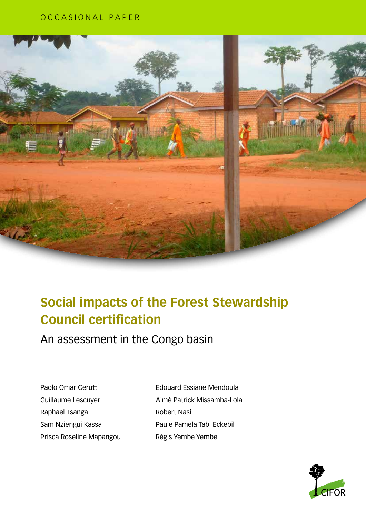# OCCASIONAL PAPER



# **Social impacts of the Forest Stewardship Council certification**

An assessment in the Congo basin

Paolo Omar Cerutti Guillaume Lescuyer Raphael Tsanga Sam Nziengui Kassa Prisca Roseline Mapangou Edouard Essiane Mendoula Aimé Patrick Missamba-Lola Robert Nasi Paule Pamela Tabi Eckebil Régis Yembe Yembe

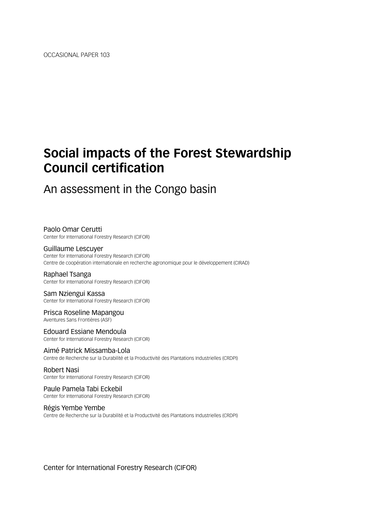# **Social impacts of the Forest Stewardship Council certification**

# An assessment in the Congo basin

Paolo Omar Cerutti Center for International Forestry Research (CIFOR)

Guillaume Lescuyer Center for International Forestry Research (CIFOR) Centre de coopération internationale en recherche agronomique pour le développement (CIRAD)

Raphael Tsanga Center for International Forestry Research (CIFOR)

Sam Nziengui Kassa Center for International Forestry Research (CIFOR)

Prisca Roseline Mapangou Aventures Sans Frontières (ASF)

Edouard Essiane Mendoula Center for International Forestry Research (CIFOR)

Aimé Patrick Missamba-Lola Centre de Recherche sur la Durabilité et la Productivité des Plantations Industrielles (CRDPI)

Robert Nasi Center for International Forestry Research (CIFOR)

Paule Pamela Tabi Eckebil Center for International Forestry Research (CIFOR)

Régis Yembe Yembe

Centre de Recherche sur la Durabilité et la Productivité des Plantations Industrielles (CRDPI)

Center for International Forestry Research (CIFOR)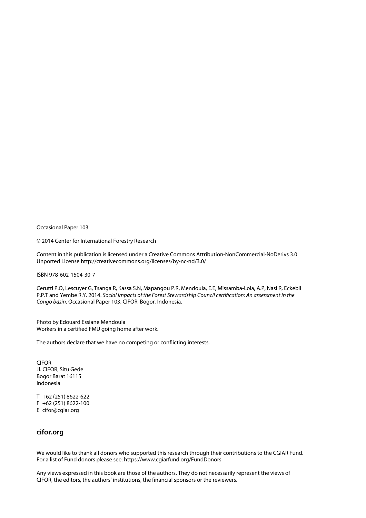Occasional Paper 103

© 2014 Center for International Forestry Research

Content in this publication is licensed under a Creative Commons Attribution-NonCommercial-NoDerivs 3.0 Unported License [http://creativecommons.org/licenses/by-nc-nd/3.0/](http://http://creativecommons.org/licenses/by-nc-nd/3.0/)

ISBN 978-602-1504-30-7

Cerutti P.O, Lescuyer G, Tsanga R, Kassa S.N, Mapangou P.R, Mendoula, E.E, Missamba-Lola, A.P, Nasi R, Eckebil P.P.T and Yembe R.Y. 2014. *Social impacts of the Forest Stewardship Council certification: An assessment in the Congo basin*. Occasional Paper 103. CIFOR, Bogor, Indonesia.

Photo by Edouard Essiane Mendoula Workers in a certified FMU going home after work.

The authors declare that we have no competing or conflicting interests.

CIFOR Jl. CIFOR, Situ Gede Bogor Barat 16115 Indonesia

T +62 (251) 8622-622 F +62 (251) 8622-100 E cifor@cgiar.org

## **cifor.org**

We would like to thank all donors who supported this research through their contributions to the CGIAR Fund. For a list of Fund donors please see: https://www.cgiarfund.org/FundDonors

Any views expressed in this book are those of the authors. They do not necessarily represent the views of CIFOR, the editors, the authors' institutions, the financial sponsors or the reviewers.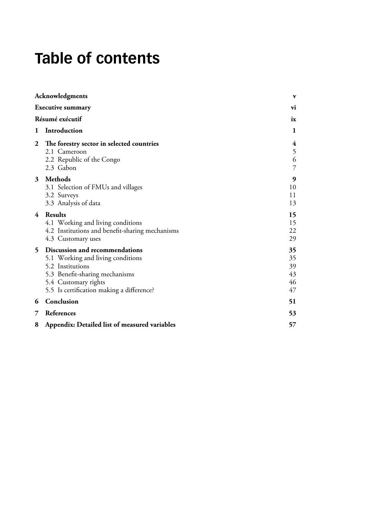# **Table of contents**

|                 | Acknowledgments                                                                                                                                                                                | $\mathbf{v}$                     |
|-----------------|------------------------------------------------------------------------------------------------------------------------------------------------------------------------------------------------|----------------------------------|
|                 | <b>Executive summary</b>                                                                                                                                                                       | vi                               |
| Résumé exécutif |                                                                                                                                                                                                | ix                               |
| 1               | Introduction                                                                                                                                                                                   | 1                                |
| 2               | The forestry sector in selected countries<br>2.1 Cameroon<br>2.2 Republic of the Congo<br>2.3 Gabon                                                                                            | 4<br>5<br>6<br>$\overline{7}$    |
| 3               | Methods<br>3.1 Selection of FMUs and villages<br>3.2 Surveys<br>3.3 Analysis of data                                                                                                           | 9<br>10<br>11<br>13              |
| 4               | <b>Results</b><br>4.1 Working and living conditions<br>4.2 Institutions and benefit-sharing mechanisms<br>4.3 Customary uses                                                                   | 15<br>15<br>22<br>29             |
| 5               | Discussion and recommendations<br>5.1 Working and living conditions<br>5.2 Institutions<br>5.3 Benefit-sharing mechanisms<br>5.4 Customary rights<br>5.5 Is certification making a difference? | 35<br>35<br>39<br>43<br>46<br>47 |
| 6               | Conclusion                                                                                                                                                                                     | 51                               |
| 7               | References                                                                                                                                                                                     | 53                               |
| 8               | Appendix: Detailed list of measured variables                                                                                                                                                  | 57                               |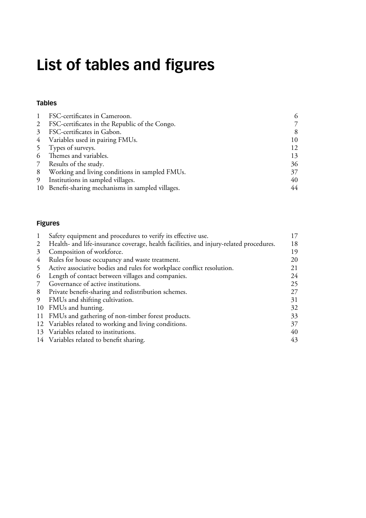# **List of tables and figures**

# **[Tables](#page-19-0)**

|                 | FSC-certificates in Cameroon.                      | 6  |
|-----------------|----------------------------------------------------|----|
| 2               | FSC-certificates in the Republic of the Congo.     |    |
| $\mathcal{Z}$   | FSC-certificates in Gabon.                         | 8  |
|                 | 4 Variables used in pairing FMUs.                  | 10 |
|                 | 5 Types of surveys.                                | 12 |
| 6               | Themes and variables.                              | 13 |
| $7\overline{ }$ | Results of the study.                              | 36 |
| 8               | Working and living conditions in sampled FMUs.     | 37 |
| 9               | Institutions in sampled villages.                  | 40 |
|                 | 10 Benefit-sharing mechanisms in sampled villages. | 44 |

# **[Figures](#page-30-0)**

|          | Safety equipment and procedures to verify its effective use.                           | 17 |
|----------|----------------------------------------------------------------------------------------|----|
| 2        | Health- and life-insurance coverage, health facilities, and injury-related procedures. | 18 |
| 3        | Composition of workforce.                                                              | 19 |
| 4        | Rules for house occupancy and waste treatment.                                         | 20 |
| 5        | Active associative bodies and rules for workplace conflict resolution.                 | 21 |
| $\sigma$ | Length of contact between villages and companies.                                      | 24 |
| 7        | Governance of active institutions.                                                     | 25 |
| 8        | Private benefit-sharing and redistribution schemes.                                    | 27 |
| 9        | FMUs and shifting cultivation.                                                         | 31 |
|          | 10 FMUs and hunting.                                                                   | 32 |
|          | 11 FMUs and gathering of non-timber forest products.                                   | 33 |
|          | 12 Variables related to working and living conditions.                                 | 37 |
|          | 13 Variables related to institutions.                                                  | 40 |
|          | 14 Variables related to benefit sharing.                                               | 43 |
|          |                                                                                        |    |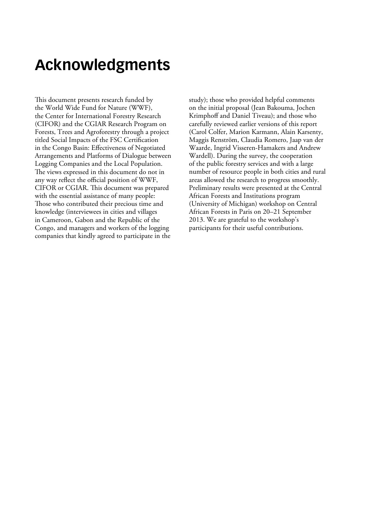# <span id="page-6-0"></span>**Acknowledgments**

This document presents research funded by the World Wide Fund for Nature (WWF), the Center for International Forestry Research (CIFOR) and the CGIAR Research Program on Forests, Trees and Agroforestry through a project titled Social Impacts of the FSC Certification in the Congo Basin: Effectiveness of Negotiated Arrangements and Platforms of Dialogue between Logging Companies and the Local Population. The views expressed in this document do not in any way reflect the official position of WWF, CIFOR or CGIAR. This document was prepared with the essential assistance of many people: Those who contributed their precious time and knowledge (interviewees in cities and villages in Cameroon, Gabon and the Republic of the Congo, and managers and workers of the logging companies that kindly agreed to participate in the

study); those who provided helpful comments on the initial proposal (Jean Bakouma, Jochen Krimphoff and Daniel Tiveau); and those who carefully reviewed earlier versions of this report (Carol Colfer, Marion Karmann, Alain Karsenty, Maggis Renström, Claudia Romero, Jaap van der Waarde, Ingrid Visseren-Hamakers and Andrew Wardell). During the survey, the cooperation of the public forestry services and with a large number of resource people in both cities and rural areas allowed the research to progress smoothly. Preliminary results were presented at the Central African Forests and Institutions program (University of Michigan) workshop on Central African Forests in Paris on 20–21 September 2013. We are grateful to the workshop's participants for their useful contributions.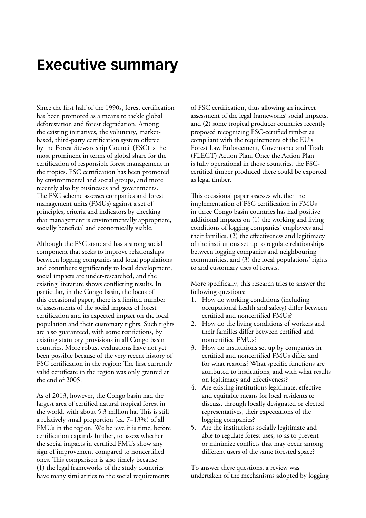# <span id="page-7-0"></span>**Executive summary**

Since the first half of the 1990s, forest certification has been promoted as a means to tackle global deforestation and forest degradation. Among the existing initiatives, the voluntary, marketbased, third-party certification system offered by the Forest Stewardship Council (FSC) is the most prominent in terms of global share for the certification of responsible forest management in the tropics. FSC certification has been promoted by environmental and social groups, and more recently also by businesses and governments. The FSC scheme assesses companies and forest management units (FMUs) against a set of principles, criteria and indicators by checking that management is environmentally appropriate, socially beneficial and economically viable.

Although the FSC standard has a strong social component that seeks to improve relationships between logging companies and local populations and contribute significantly to local development, social impacts are under-researched, and the existing literature shows conflicting results. In particular, in the Congo basin, the focus of this occasional paper, there is a limited number of assessments of the social impacts of forest certification and its expected impact on the local population and their customary rights. Such rights are also guaranteed, with some restrictions, by existing statutory provisions in all Congo basin countries. More robust evaluations have not yet been possible because of the very recent history of FSC certification in the region: The first currently valid certificate in the region was only granted at the end of 2005.

As of 2013, however, the Congo basin had the largest area of certified natural tropical forest in the world, with about 5.3 million ha. This is still a relatively small proportion (ca. 7–13%) of all FMUs in the region. We believe it is time, before certification expands further, to assess whether the social impacts in certified FMUs show any sign of improvement compared to noncertified ones. This comparison is also timely because (1) the legal frameworks of the study countries have many similarities to the social requirements

of FSC certification, thus allowing an indirect assessment of the legal frameworks' social impacts, and (2) some tropical producer countries recently proposed recognizing FSC-certified timber as compliant with the requirements of the EU's Forest Law Enforcement, Governance and Trade (FLEGT) Action Plan. Once the Action Plan is fully operational in those countries, the FSCcertified timber produced there could be exported as legal timber.

This occasional paper assesses whether the implementation of FSC certification in FMUs in three Congo basin countries has had positive additional impacts on (1) the working and living conditions of logging companies' employees and their families, (2) the effectiveness and legitimacy of the institutions set up to regulate relationships between logging companies and neighbouring communities, and (3) the local populations' rights to and customary uses of forests.

More specifically, this research tries to answer the following questions:

- 1. How do working conditions (including occupational health and safety) differ between certified and noncertified FMUs?
- 2. How do the living conditions of workers and their families differ between certified and noncertified FMUs?
- 3. How do institutions set up by companies in certified and noncertified FMUs differ and for what reasons? What specific functions are attributed to institutions, and with what results on legitimacy and effectiveness?
- 4. Are existing institutions legitimate, effective and equitable means for local residents to discuss, through locally designated or elected representatives, their expectations of the logging companies?
- 5. Are the institutions socially legitimate and able to regulate forest uses, so as to prevent or minimize conflicts that may occur among different users of the same forested space?

To answer these questions, a review was undertaken of the mechanisms adopted by logging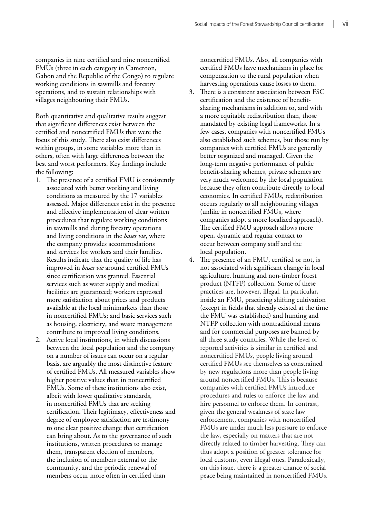companies in nine certified and nine noncertified FMUs (three in each category in Cameroon, Gabon and the Republic of the Congo) to regulate working conditions in sawmills and forestry operations, and to sustain relationships with villages neighbouring their FMUs.

Both quantitative and qualitative results suggest that significant differences exist between the certified and noncertified FMUs that were the focus of this study. There also exist differences within groups, in some variables more than in others, often with large differences between the best and worst performers. Key findings include the following:

- 1. The presence of a certified FMU is consistently associated with better working and living conditions as measured by the 17 variables assessed. Major differences exist in the presence and effective implementation of clear written procedures that regulate working conditions in sawmills and during forestry operations and living conditions in the *bases vie*, where the company provides accommodations and services for workers and their families. Results indicate that the quality of life has improved in *bases vie* around certified FMUs since certification was granted. Essential services such as water supply and medical facilities are guaranteed; workers expressed more satisfaction about prices and products available at the local minimarkets than those in noncertified FMUs; and basic services such as housing, electricity, and waste management contribute to improved living conditions.
- 2. Active local institutions, in which discussions between the local population and the company on a number of issues can occur on a regular basis, are arguably the most distinctive feature of certified FMUs. All measured variables show higher positive values than in noncertified FMUs. Some of these institutions also exist, albeit with lower qualitative standards, in noncertified FMUs that are seeking certification. Their legitimacy, effectiveness and degree of employee satisfaction are testimony to one clear positive change that certification can bring about. As to the governance of such institutions, written procedures to manage them, transparent election of members, the inclusion of members external to the community, and the periodic renewal of members occur more often in certified than

noncertified FMUs. Also, all companies with certified FMUs have mechanisms in place for compensation to the rural population when harvesting operations cause losses to them.

- 3. There is a consistent association between FSC certification and the existence of benefitsharing mechanisms in addition to, and with a more equitable redistribution than, those mandated by existing legal frameworks. In a few cases, companies with noncertified FMUs also established such schemes, but those run by companies with certified FMUs are generally better organized and managed. Given the long-term negative performance of public benefit-sharing schemes, private schemes are very much welcomed by the local population because they often contribute directly to local economies. In certified FMUs, redistribution occurs regularly to all neighbouring villages (unlike in noncertified FMUs, where companies adopt a more localized approach). The certified FMU approach allows more open, dynamic and regular contact to occur between company staff and the local population.
- 4. The presence of an FMU, certified or not, is not associated with significant change in local agriculture, hunting and non-timber forest product (NTFP) collection. Some of these practices are, however, illegal. In particular, inside an FMU, practicing shifting cultivation (except in fields that already existed at the time the FMU was established) and hunting and NTFP collection with nontraditional means and for commercial purposes are banned by all three study countries. While the level of reported activities is similar in certified and noncertified FMUs, people living around certified FMUs see themselves as constrained by new regulations more than people living around noncertified FMUs. This is because companies with certified FMUs introduce procedures and rules to enforce the law and hire personnel to enforce them. In contrast, given the general weakness of state law enforcement, companies with noncertified FMUs are under much less pressure to enforce the law, especially on matters that are not directly related to timber harvesting. They can thus adopt a position of greater tolerance for local customs, even illegal ones. Paradoxically, on this issue, there is a greater chance of social peace being maintained in noncertified FMUs.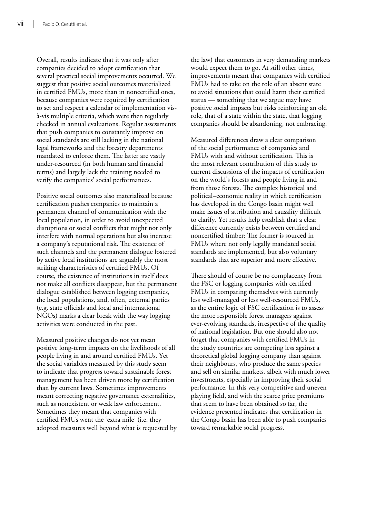Overall, results indicate that it was only after companies decided to adopt certification that several practical social improvements occurred. We suggest that positive social outcomes materialized in certified FMUs, more than in noncertified ones, because companies were required by certification to set and respect a calendar of implementation visà-vis multiple criteria, which were then regularly checked in annual evaluations. Regular assessments that push companies to constantly improve on social standards are still lacking in the national legal frameworks and the forestry departments mandated to enforce them. The latter are vastly under-resourced (in both human and financial terms) and largely lack the training needed to verify the companies' social performances.

Positive social outcomes also materialized because certification pushes companies to maintain a permanent channel of communication with the local population, in order to avoid unexpected disruptions or social conflicts that might not only interfere with normal operations but also increase a company's reputational risk. The existence of such channels and the permanent dialogue fostered by active local institutions are arguably the most striking characteristics of certified FMUs. Of course, the existence of institutions in itself does not make all conflicts disappear, but the permanent dialogue established between logging companies, the local populations, and, often, external parties (e.g. state officials and local and international NGOs) marks a clear break with the way logging activities were conducted in the past.

Measured positive changes do not yet mean positive long-term impacts on the livelihoods of all people living in and around certified FMUs. Yet the social variables measured by this study seem to indicate that progress toward sustainable forest management has been driven more by certification than by current laws. Sometimes improvements meant correcting negative governance externalities, such as nonexistent or weak law enforcement. Sometimes they meant that companies with certified FMUs went the 'extra mile' (i.e. they adopted measures well beyond what is requested by

the law) that customers in very demanding markets would expect them to go. At still other times, improvements meant that companies with certified FMUs had to take on the role of an absent state to avoid situations that could harm their certified status — something that we argue may have positive social impacts but risks reinforcing an old role, that of a state within the state, that logging companies should be abandoning, not embracing.

Measured differences draw a clear comparison of the social performance of companies and FMUs with and without certification. This is the most relevant contribution of this study to current discussions of the impacts of certification on the world's forests and people living in and from those forests. The complex historical and political–economic reality in which certification has developed in the Congo basin might well make issues of attribution and causality difficult to clarify. Yet results help establish that a clear difference currently exists between certified and noncertified timber: The former is sourced in FMUs where not only legally mandated social standards are implemented, but also voluntary standards that are superior and more effective.

There should of course be no complacency from the FSC or logging companies with certified FMUs in comparing themselves with currently less well-managed or less well-resourced FMUs, as the entire logic of FSC certification is to assess the more responsible forest managers against ever-evolving standards, irrespective of the quality of national legislation. But one should also not forget that companies with certified FMUs in the study countries are competing less against a theoretical global logging company than against their neighbours, who produce the same species and sell on similar markets, albeit with much lower investments, especially in improving their social performance. In this very competitive and uneven playing field, and with the scarce price premiums that seem to have been obtained so far, the evidence presented indicates that certification in the Congo basin has been able to push companies toward remarkable social progress.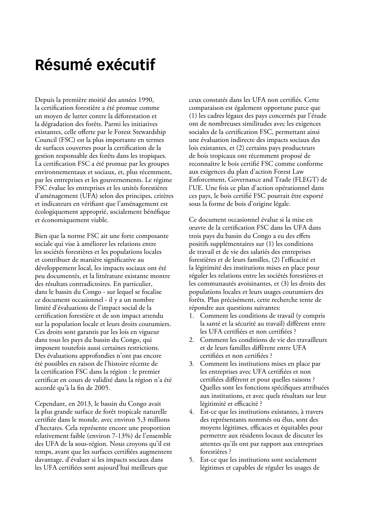# <span id="page-10-0"></span>**Résumé exécutif**

Depuis la première moitié des années 1990, la certification forestière a été promue comme un moyen de lutter contre la déforestation et la dégradation des forêts. Parmi les initiatives existantes, celle offerte par le Forest Stewardship Council (FSC) est la plus importante en termes de surfaces couvertes pour la certification de la gestion responsable des forêts dans les tropiques. La certification FSC a été promue par les groupes environnementaux et sociaux, et, plus récemment, par les entreprises et les gouvernements. Le régime FSC évalue les entreprises et les unités forestières d'aménagement (UFA) selon des principes, critères et indicateurs en vérifiant que l'aménagement est écologiquement approprié, socialement bénéfique et économiquement viable.

Bien que la norme FSC ait une forte composante sociale qui vise à améliorer les relations entre les sociétés forestières et les populations locales et contribuer de manière significative au développement local, les impacts sociaux ont été peu documentés, et la littérature existante montre des résultats contradictoires. En particulier, dans le bassin du Congo - sur lequel se focalise ce document occasionnel - il y a un nombre limité d'évaluations de l'impact social de la certification forestière et de son impact attendu sur la population locale et leurs droits coutumiers. Ces droits sont garantis par les lois en vigueur dans tous les pays du bassin du Congo, qui imposent toutefois aussi certaines restrictions. Des évaluations approfondies n'ont pas encore été possibles en raison de l'histoire récente de la certification FSC dans la région : le premier certificat en cours de validité dans la région n'a été accordé qu'à la fin de 2005.

Cependant, en 2013, le bassin du Congo avait la plus grande surface de forêt tropicale naturelle certifiée dans le monde, avec environ 5,3 millions d'hectares. Cela représente encore une proportion relativement faible (environ 7-13%) de l'ensemble des UFA de la sous-région. Nous croyons qu'il est temps, avant que les surfaces certifiées augmentent davantage, d'évaluer si les impacts sociaux dans les UFA certifiées sont aujourd'hui meilleurs que

ceux constatés dans les UFA non certifiés. Cette comparaison est également opportune parce que (1) les cadres légaux des pays concernés par l'étude ont de nombreuses similitudes avec les exigences sociales de la certification FSC, permettant ainsi une évaluation indirecte des impacts sociaux des lois existantes, et (2) certains pays producteurs de bois tropicaux ont récemment proposé de reconnaître le bois certifié FSC comme conforme aux exigences du plan d'action Forest Law Enforcement, Governance and Trade (FLEGT) de l'UE. Une fois ce plan d'action opérationnel dans ces pays, le bois certifié FSC pourrait être exporté sous la forme de bois d'origine légale.

Ce document occasionnel évalue si la mise en œuvre de la certification FSC dans les UFA dans trois pays du bassin du Congo a eu des effets positifs supplémentaires sur (1) les conditions de travail et de vie des salariés des entreprises forestières et de leurs familles, (2) l'efficacité et la légitimité des institutions mises en place pour réguler les relations entre les sociétés forestières et les communautés avoisinantes, et (3) les droits des populations locales et leurs usages coutumiers des forêts. Plus précisément, cette recherche tente de répondre aux questions suivantes:

- 1. Comment les conditions de travail (y compris la santé et la sécurité au travail) diffèrent entre les UFA certifiées et non certifiées ?
- 2. Comment les conditions de vie des travailleurs et de leurs familles diffèrent entre UFA certifiées et non certifiées ?
- 3. Comment les institutions mises en place par les entreprises avec UFA certifiées et non certifiées différent et pour quelles raisons ? Quelles sont les fonctions spécifiques attribuées aux institutions, et avec quels résultats sur leur légitimité et efficacité ?
- 4. Est-ce que les institutions existantes, à travers des représentants nommés ou élus, sont des moyens légitimes, efficaces et équitables pour permettre aux résidents locaux de discuter les attentes qu'ils ont par rapport aux entreprises forestières ?
- 5. Est-ce que les institutions sont socialement légitimes et capables de réguler les usages de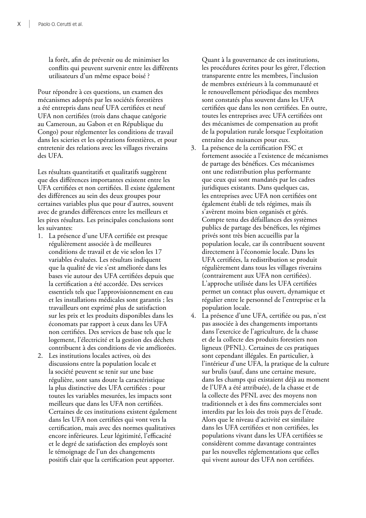la forêt, afin de prévenir ou de minimiser les conflits qui peuvent survenir entre les différents utilisateurs d'un même espace boisé ?

Pour répondre à ces questions, un examen des mécanismes adoptés par les sociétés forestières a été entrepris dans neuf UFA certifiées et neuf UFA non certifiées (trois dans chaque catégorie au Cameroun, au Gabon et en République du Congo) pour réglementer les conditions de travail dans les scieries et les opérations forestières, et pour entretenir des relations avec les villages riverains des UFA.

Les résultats quantitatifs et qualitatifs suggèrent que des différences importantes existent entre les UFA certifiées et non certifiées. Il existe également des différences au sein des deux groupes pour certaines variables plus que pour d'autres, souvent avec de grandes différences entre les meilleurs et les pires résultats. Les principales conclusions sont les suivantes:

- 1. La présence d'une UFA certifiée est presque régulièrement associée à de meilleures conditions de travail et de vie selon les 17 variables évaluées. Les résultats indiquent que la qualité de vie s'est améliorée dans les bases vie autour des UFA certifiées depuis que la certification a été accordée. Des services essentiels tels que l'approvisionnement en eau et les installations médicales sont garantis ; les travailleurs ont exprimé plus de satisfaction sur les prix et les produits disponibles dans les économats par rapport à ceux dans les UFA non certifiées. Des services de base tels que le logement, l'électricité et la gestion des déchets contribuent à des conditions de vie améliorées.
- 2. Les institutions locales actives, où des discussions entre la population locale et la société peuvent se tenir sur une base régulière, sont sans doute la caractéristique la plus distinctive des UFA certifiées : pour toutes les variables mesurées, les impacts sont meilleurs que dans les UFA non certifiées. Certaines de ces institutions existent également dans les UFA non certifiées qui vont vers la certification, mais avec des normes qualitatives encore inférieures. Leur légitimité, l'efficacité et le degré de satisfaction des employés sont le témoignage de l'un des changements positifs clair que la certification peut apporter.

Quant à la gouvernance de ces institutions, les procédures écrites pour les gérer, l'élection transparente entre les membres, l'inclusion de membres extérieurs à la communauté et le renouvellement périodique des membres sont constatés plus souvent dans les UFA certifiées que dans les non certifiées. En outre, toutes les entreprises avec UFA certifiées ont des mécanismes de compensation au profit de la population rurale lorsque l'exploitation entraîne des nuisances pour eux.

- 3. La présence de la certification FSC et fortement associée a l'existence de mécanismes de partage des bénéfices. Ces mécanismes ont une redistribution plus performante que ceux qui sont mandatés par les cadres juridiques existants. Dans quelques cas, les entreprises avec UFA non certifiées ont également établi de tels régimes, mais ils s'avèrent moins bien organisés et gérés. Compte tenu des défaillances des systèmes publics de partage des bénéfices, les régimes privés sont très bien accueillis par la population locale, car ils contribuent souvent directement à l'économie locale. Dans les UFA certifiées, la redistribution se produit régulièrement dans tous les villages riverains (contrairement aux UFA non certifiées). L'approche utilisée dans les UFA certifiées permet un contact plus ouvert, dynamique et régulier entre le personnel de l'entreprise et la population locale.
- 4. La présence d'une UFA, certifiée ou pas, n'est pas associée à des changements importants dans l'exercice de l'agriculture, de la chasse et de la collecte des produits forestiers non ligneux (PFNL). Certaines de ces pratiques sont cependant illégales. En particulier, à l'intérieur d'une UFA, la pratique de la culture sur brulis (sauf, dans une certaine mesure, dans les champs qui existaient déjà au moment de l'UFA a été attribuée), de la chasse et de la collecte des PFNL avec des moyens non traditionnels et à des fins commerciales sont interdits par les lois des trois pays de l'étude. Alors que le niveau d'activité est similaire dans les UFA certifiées et non certifiées, les populations vivant dans les UFA certifiées se considèrent comme davantage contraintes par les nouvelles réglementations que celles qui vivent autour des UFA non certifiées.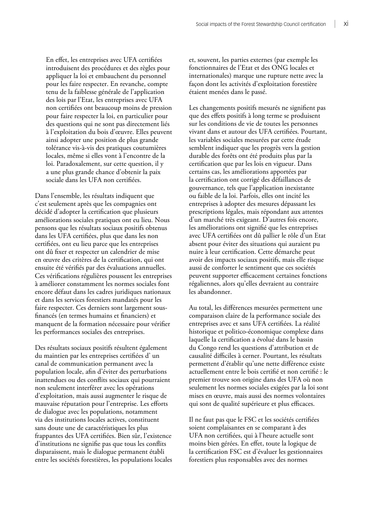En effet, les entreprises avec UFA certifiées introduisent des procédures et des règles pour appliquer la loi et embauchent du personnel pour les faire respecter. En revanche, compte tenu de la faiblesse générale de l'application des lois par l'Etat, les entreprises avec UFA non certifiées ont beaucoup moins de pression pour faire respecter la loi, en particulier pour des questions qui ne sont pas directement liés à l'exploitation du bois d'œuvre. Elles peuvent ainsi adopter une position de plus grande tolérance vis-à-vis des pratiques coutumières locales, même si elles vont à l'encontre de la loi. Paradoxalement, sur cette question, il y a une plus grande chance d'obtenir la paix sociale dans les UFA non certifiées.

Dans l'ensemble, les résultats indiquent que c'est seulement après que les compagnies ont décidé d'adopter la certification que plusieurs améliorations sociales pratiques ont eu lieu. Nous pensons que les résultats sociaux positifs obtenus dans les UFA certifiées, plus que dans les non certifiées, ont eu lieu parce que les entreprises ont dû fixer et respecter un calendrier de mise en œuvre des critères de la certification, qui ont ensuite été vérifiés par des évaluations annuelles. Ces vérifications régulières poussent les entreprises à améliorer constamment les normes sociales font encore défaut dans les cadres juridiques nationaux et dans les services forestiers mandatés pour les faire respecter. Ces derniers sont largement sousfinancés (en termes humains et financiers) et manquent de la formation nécessaire pour vérifier les performances sociales des entreprises.

Des résultats sociaux positifs résultent également du maintien par les entreprises certifiées d' un canal de communication permanent avec la population locale, afin d'éviter des perturbations inattendues ou des conflits sociaux qui pourraient non seulement interférer avec les opérations d'exploitation, mais aussi augmenter le risque de mauvaise réputation pour l'entreprise. Les efforts de dialogue avec les populations, notamment via des institutions locales actives, constituent sans doute une de caractéristiques les plus frappantes des UFA certifiées. Bien sûr, l'existence d'institutions ne signifie pas que tous les conflits disparaissent, mais le dialogue permanent établi entre les sociétés forestières, les populations locales et, souvent, les parties externes (par exemple les fonctionnaires de l'Etat et des ONG locales et internationales) marque une rupture nette avec la façon dont les activités d'exploitation forestière étaient menées dans le passé.

Les changements positifs mesurés ne signifient pas que des effets positifs à long terme se produisent sur les conditions de vie de toutes les personnes vivant dans et autour des UFA certifiées. Pourtant, les variables sociales mesurées par cette étude semblent indiquer que les progrès vers la gestion durable des forêts ont été produits plus par la certification que par les lois en vigueur. Dans certains cas, les améliorations apportées par la certification ont corrigé des défaillances de gouvernance, tels que l'application inexistante ou faible de la loi. Parfois, elles ont incité les entreprises à adopter des mesures dépassant les prescriptions légales, mais répondant aux attentes d'un marché très exigeant. D'autres fois encore, les améliorations ont signifié que les entreprises avec UFA certifiées ont dû pallier le rôle d'un Etat absent pour éviter des situations qui auraient pu nuire à leur certification. Cette démarche peut avoir des impacts sociaux positifs, mais elle risque aussi de conforter le sentiment que ces sociétés peuvent supporter efficacement certaines fonctions régaliennes, alors qu'elles devraient au contraire les abandonner.

Au total, les différences mesurées permettent une comparaison claire de la performance sociale des entreprises avec et sans UFA certifiées. La réalité historique et politico-économique complexe dans laquelle la certification a évolué dans le bassin du Congo rend les questions d'attribution et de causalité difficiles à cerner. Pourtant, les résultats permettent d'établir qu'une nette différence existe actuellement entre le bois certifié et non certifié : le premier trouve son origine dans des UFA où non seulement les normes sociales exigées par la loi sont mises en œuvre, mais aussi des normes volontaires qui sont de qualité supérieure et plus efficaces.

Il ne faut pas que le FSC et les sociétés certifiées soient complaisantes en se comparant à des UFA non certifiées, qui à l'heure actuelle sont moins bien gérées. En effet, toute la logique de la certification FSC est d'évaluer les gestionnaires forestiers plus responsables avec des normes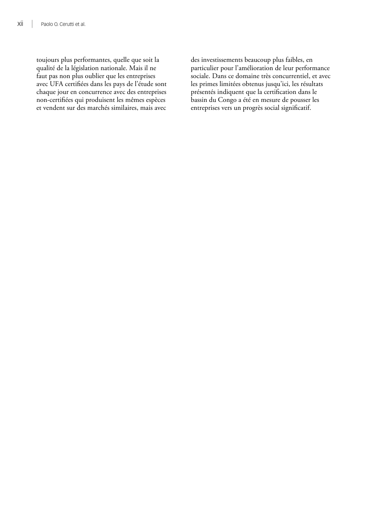toujours plus performantes, quelle que soit la qualité de la législation nationale. Mais il ne faut pas non plus oublier que les entreprises avec UFA certifiées dans les pays de l'étude sont chaque jour en concurrence avec des entreprises non-certifiées qui produisent les mêmes espèces et vendent sur des marchés similaires, mais avec des investissements beaucoup plus faibles, en particulier pour l'amélioration de leur performance sociale. Dans ce domaine très concurrentiel, et avec les primes limitées obtenus jusqu'ici, les résultats présentés indiquent que la certification dans le bassin du Congo a été en mesure de pousser les entreprises vers un progrès social significatif.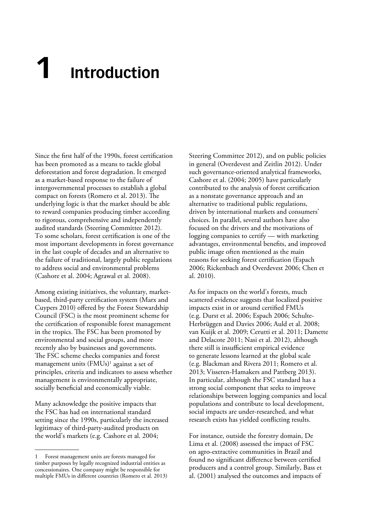# <span id="page-14-0"></span>**1 Introduction**

Since the first half of the 1990s, forest certification has been promoted as a means to tackle global deforestation and forest degradation. It emerged as a market-based response to the failure of intergovernmental processes to establish a global compact on forests (Romero et al. 2013). The underlying logic is that the market should be able to reward companies producing timber according to rigorous, comprehensive and independently audited standards (Steering Committee 2012). To some scholars, forest certification is one of the most important developments in forest governance in the last couple of decades and an alternative to the failure of traditional, largely public regulations to address social and environmental problems (Cashore et al. 2004; Agrawal et al. 2008).

Among existing initiatives, the voluntary, marketbased, third-party certification system (Marx and Cuypers 2010) offered by the Forest Stewardship Council (FSC) is the most prominent scheme for the certification of responsible forest management in the tropics. The FSC has been promoted by environmental and social groups, and more recently also by businesses and governments. The FSC scheme checks companies and forest management units  $(FMUs)^1$  against a set of principles, criteria and indicators to assess whether management is environmentally appropriate, socially beneficial and economically viable.

Many acknowledge the positive impacts that the FSC has had on international standard setting since the 1990s, particularly the increased legitimacy of third-party-audited products on the world's markets (e.g. Cashore et al. 2004;

Steering Committee 2012), and on public policies in general (Overdevest and Zeitlin 2012). Under such governance-oriented analytical frameworks, Cashore et al. (2004; 2005) have particularly contributed to the analysis of forest certification as a nonstate governance approach and an alternative to traditional public regulations, driven by international markets and consumers' choices. In parallel, several authors have also focused on the drivers and the motivations of logging companies to certify — with marketing advantages, environmental benefits, and improved public image often mentioned as the main reasons for seeking forest certification (Espach 2006; Rickenbach and Overdevest 2006; Chen et al. 2010).

As for impacts on the world's forests, much scattered evidence suggests that localized positive impacts exist in or around certified FMUs (e.g. Durst et al. 2006; Espach 2006; Schulte-Herbrüggen and Davies 2006; Auld et al. 2008; van Kuijk et al. 2009; Cerutti et al. 2011; Damette and Delacote 2011; Nasi et al. 2012), although there still is insufficient empirical evidence to generate lessons learned at the global scale (e.g. Blackman and Rivera 2011; Romero et al. 2013; Visseren-Hamakers and Pattberg 2013). In particular, although the FSC standard has a strong social component that seeks to improve relationships between logging companies and local populations and contribute to local development, social impacts are under-researched, and what research exists has yielded conflicting results.

For instance, outside the forestry domain, De Lima et al. (2008) assessed the impact of FSC on agro-extractive communities in Brazil and found no significant difference between certified producers and a control group. Similarly, Bass et al. (2001) analysed the outcomes and impacts of

<sup>1</sup> Forest management units are forests managed for timber purposes by legally recognized industrial entities as concessionaires. One company might be responsible for multiple FMUs in different countries (Romero et al. 2013)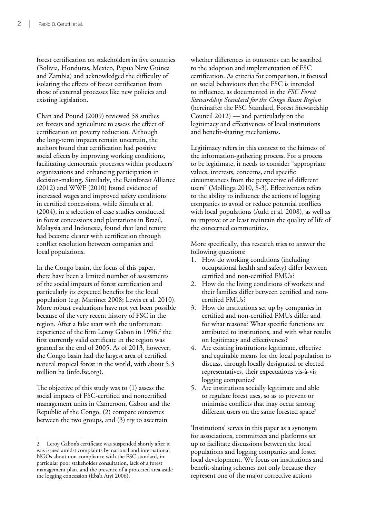forest certification on stakeholders in five countries (Bolivia, Honduras, Mexico, Papua New Guinea and Zambia) and acknowledged the difficulty of isolating the effects of forest certification from those of external processes like new policies and existing legislation.

Chan and Pound (2009) reviewed 58 studies on forests and agriculture to assess the effect of certification on poverty reduction. Although the long-term impacts remain uncertain, the authors found that certification had positive social effects by improving working conditions, facilitating democratic processes within producers' organizations and enhancing participation in decision-making. Similarly, the Rainforest Alliance (2012) and WWF (2010) found evidence of increased wages and improved safety conditions in certified concessions, while Simula et al. (2004), in a selection of case studies conducted in forest concessions and plantations in Brazil, Malaysia and Indonesia, found that land tenure had become clearer with certification through conflict resolution between companies and local populations.

In the Congo basin, the focus of this paper, there have been a limited number of assessments of the social impacts of forest certification and particularly its expected benefits for the local population (e.g. Martinet 2008; Lewis et al. 2010). More robust evaluations have not yet been possible because of the very recent history of FSC in the region. After a false start with the unfortunate experience of the firm Leroy Gabon in 1996,<sup>2</sup> the first currently valid certificate in the region was granted at the end of 2005. As of 2013, however, the Congo basin had the largest area of certified natural tropical forest in the world, with about 5.3 million ha (info.fsc.org).

The objective of this study was to (1) assess the social impacts of FSC-certified and noncertified management units in Cameroon, Gabon and the Republic of the Congo, (2) compare outcomes between the two groups, and (3) try to ascertain

whether differences in outcomes can be ascribed to the adoption and implementation of FSC certification. As criteria for comparison, it focused on social behaviours that the FSC is intended to influence, as documented in the *FSC Forest Stewardship Standard for the Congo Basin Region* (hereinafter the FSC Standard, Forest Stewardship Council 2012) — and particularly on the legitimacy and effectiveness of local institutions and benefit-sharing mechanisms.

Legitimacy refers in this context to the fairness of the information-gathering process. For a process to be legitimate, it needs to consider "appropriate values, interests, concerns, and specific circumstances from the perspective of different users" (Mollinga 2010, S-3). Effectiveness refers to the ability to influence the actions of logging companies to avoid or reduce potential conflicts with local populations (Auld et al. 2008), as well as to improve or at least maintain the quality of life of the concerned communities.

More specifically, this research tries to answer the following questions:

- 1. How do working conditions (including occupational health and safety) differ between certified and non-certified FMUs?
- 2. How do the living conditions of workers and their families differ between certified and noncertified FMUs?
- 3. How do institutions set up by companies in certified and non-certified FMUs differ and for what reasons? What specific functions are attributed to institutions, and with what results on legitimacy and effectiveness?
- 4. Are existing institutions legitimate, effective and equitable means for the local population to discuss, through locally designated or elected representatives, their expectations vis-à-vis logging companies?
- 5. Are institutions socially legitimate and able to regulate forest uses, so as to prevent or minimise conflicts that may occur among different users on the same forested space?

'Institutions' serves in this paper as a synonym for associations, committees and platforms set up to facilitate discussions between the local populations and logging companies and foster local development. We focus on institutions and benefit-sharing schemes not only because they represent one of the major corrective actions

<span id="page-15-0"></span><sup>2</sup> Leroy Gabon's certificate was suspended shortly after it was issued amidst complaints by national and international NGOs about non-compliance with the FSC standard, in particular poor stakeholder consultation, lack of a forest management plan, and the presence of a protected area aside the logging concession (Eba'a Atyi 2006).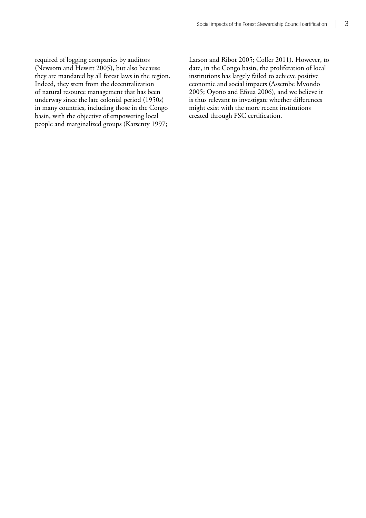required of logging companies by auditors (Newsom and Hewitt 2005), but also because they are mandated by all forest laws in the region. Indeed, they stem from the decentralization of natural resource management that has been underway since the late colonial period (1950s) in many countries, including those in the Congo basin, with the objective of empowering local people and marginalized groups (Karsenty 1997;

Larson and Ribot 2005; Colfer 2011). However, to date, in the Congo basin, the proliferation of local institutions has largely failed to achieve positive economic and social impacts (Assembe Mvondo 2005; Oyono and Efoua 2006), and we believe it is thus relevant to investigate whether differences might exist with the more recent institutions created through FSC certification.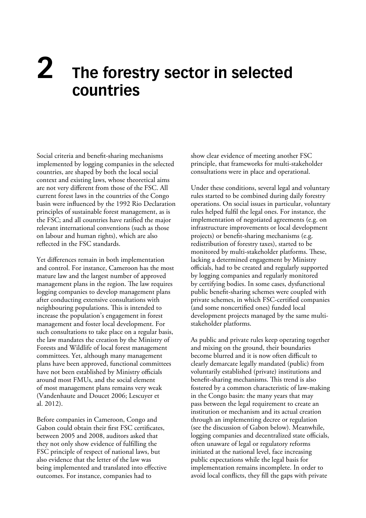# <span id="page-17-0"></span>**The forestry sector in selected countries 2**

Social criteria and benefit-sharing mechanisms implemented by logging companies in the selected countries, are shaped by both the local social context and existing laws, whose theoretical aims are not very different from those of the FSC. All current forest laws in the countries of the Congo basin were influenced by the 1992 Rio Declaration principles of sustainable forest management, as is the FSC; and all countries have ratified the major relevant international conventions (such as those on labour and human rights), which are also reflected in the FSC standards.

Yet differences remain in both implementation and control. For instance, Cameroon has the most mature law and the largest number of approved management plans in the region. The law requires logging companies to develop management plans after conducting extensive consultations with neighbouring populations. This is intended to increase the population's engagement in forest management and foster local development. For such consultations to take place on a regular basis, the law mandates the creation by the Ministry of Forests and Wildlife of local forest management committees. Yet, although many management plans have been approved, functional committees have not been established by Ministry officials around most FMUs, and the social element of most management plans remains very weak (Vandenhaute and Doucet 2006; Lescuyer et al. 2012).

Before companies in Cameroon, Congo and Gabon could obtain their first FSC certificates, between 2005 and 2008, auditors asked that they not only show evidence of fulfilling the FSC principle of respect of national laws, but also evidence that the letter of the law was being implemented and translated into effective outcomes. For instance, companies had to

show clear evidence of meeting another FSC principle, that frameworks for multi-stakeholder consultations were in place and operational.

Under these conditions, several legal and voluntary rules started to be combined during daily forestry operations. On social issues in particular, voluntary rules helped fulfil the legal ones. For instance, the implementation of negotiated agreements (e.g. on infrastructure improvements or local development projects) or benefit-sharing mechanisms (e.g. redistribution of forestry taxes), started to be monitored by multi-stakeholder platforms. These, lacking a determined engagement by Ministry officials, had to be created and regularly supported by logging companies and regularly monitored by certifying bodies. In some cases, dysfunctional public benefit-sharing schemes were coupled with private schemes, in which FSC-certified companies (and some noncertified ones) funded local development projects managed by the same multistakeholder platforms.

As public and private rules keep operating together and mixing on the ground, their boundaries become blurred and it is now often difficult to clearly demarcate legally mandated (public) from voluntarily established (private) institutions and benefit-sharing mechanisms. This trend is also fostered by a common characteristic of law-making in the Congo basin: the many years that may pass between the legal requirement to create an institution or mechanism and its actual creation through an implementing decree or regulation (see the discussion of Gabon below). Meanwhile, logging companies and decentralized state officials, often unaware of legal or regulatory reforms initiated at the national level, face increasing public expectations while the legal basis for implementation remains incomplete. In order to avoid local conflicts, they fill the gaps with private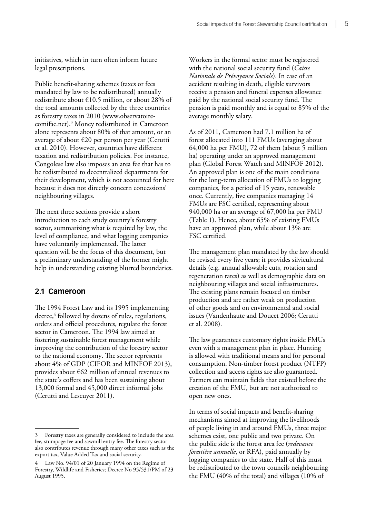<span id="page-18-0"></span>initiatives, which in turn often inform future legal prescriptions.

Public benefit-sharing schemes (taxes or fees mandated by law to be redistributed) annually redistribute about €10.5 million, or about 28% of the total amounts collected by the three countries as forestry taxes in 2010 ([www.observatoire](http://www.observatoire-comifac.net)[comifac.net](http://www.observatoire-comifac.net)).3 Money redistributed in Cameroon alone represents about 80% of that amount, or an average of about €20 per person per year (Cerutti et al. 2010). However, countries have different taxation and redistribution policies. For instance, Congolese law also imposes an area fee that has to be redistributed to decentralized departments for their development, which is not accounted for here because it does not directly concern concessions' neighbouring villages.

The next three sections provide a short introduction to each study country's forestry sector, summarizing what is required by law, the level of compliance, and what logging companies have voluntarily implemented. The latter question will be the focus of this document, but a preliminary understanding of the former might help in understanding existing blurred boundaries.

## **2.1 Cameroon**

The 1994 Forest Law and its 1995 implementing decree,4 followed by dozens of rules, regulations, orders and official procedures, regulate the forest sector in Cameroon. The 1994 law aimed at fostering sustainable forest management while improving the contribution of the forestry sector to the national economy. The sector represents about 4% of GDP (CIFOR and MINFOF 2013), provides about €62 million of annual revenues to the state's coffers and has been sustaining about 13,000 formal and 45,000 direct informal jobs (Cerutti and Lescuyer 2011).

Workers in the formal sector must be registered with the national social security fund (*Caisse Nationale de Prévoyance Sociale*). In case of an accident resulting in death, eligible survivors receive a pension and funeral expenses allowance paid by the national social security fund. The pension is paid monthly and is equal to 85% of the average monthly salary.

As of 2011, Cameroon had 7.1 million ha of forest allocated into 111 FMUs (averaging about 64,000 ha per FMU), 72 of them (about 5 million ha) operating under an approved management plan (Global Forest Watch and MINFOF 2012). An approved plan is one of the main conditions for the long-term allocation of FMUs to logging companies, for a period of 15 years, renewable once. Currently, five companies managing 14 FMUs are FSC certified, representing about 940,000 ha or an average of 67,000 ha per FMU (Table 1). Hence, about 65% of existing FMUs have an approved plan, while about 13% are FSC certified.

The management plan mandated by the law should be revised every five years; it provides silvicultural details (e.g. annual allowable cuts, rotation and regeneration rates) as well as demographic data on neighbouring villages and social infrastructures. The existing plans remain focused on timber production and are rather weak on production of other goods and on environmental and social issues (Vandenhaute and Doucet 2006; Cerutti et al. 2008).

The law guarantees customary rights inside FMUs even with a management plan in place. Hunting is allowed with traditional means and for personal consumption. Non-timber forest product (NTFP) collection and access rights are also guaranteed. Farmers can maintain fields that existed before the creation of the FMU, but are not authorized to open new ones.

In terms of social impacts and benefit-sharing mechanisms aimed at improving the livelihoods of people living in and around FMUs, three major schemes exist, one public and two private. On the public side is the forest area fee (*redevance forestière annuelle*, or RFA), paid annually by logging companies to the state. Half of this must be redistributed to the town councils neighbouring the FMU (40% of the total) and villages (10% of

<sup>3</sup> Forestry taxes are generally considered to include the area fee, stumpage fee and sawmill entry fee. The forestry sector also contributes revenue through many other taxes such as the export tax, Value Added Tax and social security.

<sup>4</sup> Law No. 94/01 of 20 January 1994 on the Regime of Forestry, Wildlife and Fisheries; Decree No 95/531/PM of 23 August 1995.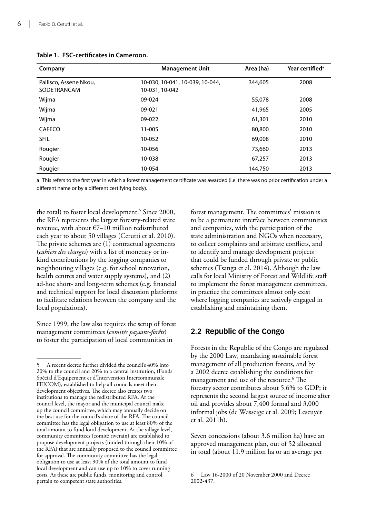| Company                               | <b>Management Unit</b>                            | Area (ha) | Year certified <sup>a</sup> |
|---------------------------------------|---------------------------------------------------|-----------|-----------------------------|
| Pallisco, Assene Nkou,<br>SODETRANCAM | 10-030, 10-041, 10-039, 10-044,<br>10-031, 10-042 | 344,605   | 2008                        |
| Wijma                                 | 09-024                                            | 55,078    | 2008                        |
| Wijma                                 | 09-021                                            | 41,965    | 2005                        |
| Wijma                                 | 09-022                                            | 61,301    | 2010                        |
| <b>CAFECO</b>                         | 11-005                                            | 80,800    | 2010                        |
| <b>SFIL</b>                           | 10-052                                            | 69,008    | 2010                        |
| Rougier                               | 10-056                                            | 73,660    | 2013                        |
| Rougier                               | 10-038                                            | 67,257    | 2013                        |
| Rougier                               | 10-054                                            | 144,750   | 2013                        |

### <span id="page-19-0"></span>**Table 1. FSC-certificates in Cameroon.**

a This refers to the first year in which a forest management certificate was awarded (i.e. there was no prior certification under a different name or by a different certifying body).

the total) to foster local development.<sup>5</sup> Since 2000, the RFA represents the largest forestry-related state revenue, with about €7–10 million redistributed each year to about 50 villages (Cerutti et al. 2010). The private schemes are (1) contractual agreements (*cahiers des charges*) with a list of monetary or inkind contributions by the logging companies to neighbouring villages (e.g. for school renovation, health centres and water supply systems), and (2) ad-hoc short- and long-term schemes (e.g. financial and technical support for local discussion platforms to facilitate relations between the company and the local populations).

Since 1999, the law also requires the setup of forest management committees (*comités paysans-forêts*) to foster the participation of local communities in

forest management. The committees' mission is to be a permanent interface between communities and companies, with the participation of the state administration and NGOs when necessary, to collect complaints and arbitrate conflicts, and to identify and manage development projects that could be funded through private or public schemes (Tsanga et al. 2014). Although the law calls for local Ministry of Forest and Wildlife staff to implement the forest management committees, in practice the committees almost only exist where logging companies are actively engaged in establishing and maintaining them.

# **2.2 Republic of the Congo**

Forests in the Republic of the Congo are regulated by the 2000 Law, mandating sustainable forest management of all production forests, and by a 2002 decree establishing the conditions for management and use of the resource.<sup>6</sup> The forestry sector contributes about 5.6% to GDP; it represents the second largest source of income after oil and provides about 7,400 formal and 3,000 informal jobs (de Wasseige et al. 2009; Lescuyer et al. 2011b).

Seven concessions (about 3.6 million ha) have an approved management plan, out of 52 allocated in total (about 11.9 million ha or an average per

<sup>5</sup> A recent decree further divided the council's 40% into 20% to the council and 20% to a central institution, (Fonds Spécial d'Equipement et d'Intervention Intercommunale, FEICOM), established to help all councils meet their development objectives. The decree also creates two institutions to manage the redistributed RFA. At the council level, the mayor and the municipal council make up the council committee, which may annually decide on the best use for the council's share of the RFA. The council committee has the legal obligation to use at least 80% of the total amount to fund local development. At the village level, community committees (comité riverain) are established to propose development projects (funded through their 10% of the RFA) that are annually proposed to the council committee for approval. The community committee has the legal obligation to use at least 90% of the total amount to fund local development and can use up to 10% to cover running costs. As these are public funds, monitoring and control pertain to competent state authorities.

<sup>6</sup> Law 16-2000 of 20 November 2000 and Decree 2002-437.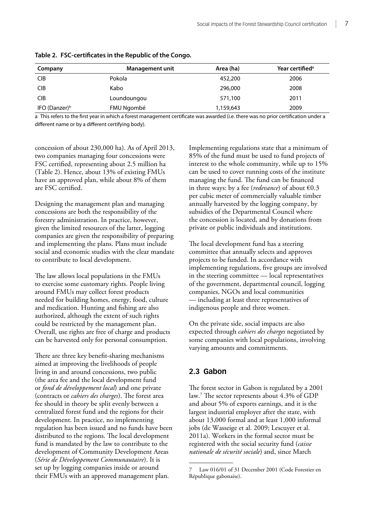| Company               | <b>Management unit</b> | Area (ha) | Year certified <sup>a</sup> |
|-----------------------|------------------------|-----------|-----------------------------|
| <b>CIB</b>            | Pokola                 | 452,200   | 2006                        |
| <b>CIB</b>            | Kabo                   | 296,000   | 2008                        |
| <b>CIB</b>            | Loundoungou            | 571,100   | 2011                        |
| IFO (Danzer) $\rm ^b$ | FMU Ngombé             | 1,159,643 | 2009                        |

<span id="page-20-0"></span>**Table 2. FSC-certificates in the Republic of the Congo.**

a This refers to the first year in which a forest management certificate was awarded (i.e. there was no prior certification under a different name or by a different certifying body).

concession of about 230,000 ha). As of April 2013, two companies managing four concessions were FSC certified, representing about 2.5 million ha [\(Table 2](#page-20-1)). Hence, about 13% of existing FMUs have an approved plan, while about 8% of them are FSC certified.

<span id="page-20-1"></span>Designing the management plan and managing concessions are both the responsibility of the forestry administration. In practice, however, given the limited resources of the latter, logging companies are given the responsibility of preparing and implementing the plans. Plans must include social and economic studies with the clear mandate to contribute to local development.

The law allows local populations in the FMUs to exercise some customary rights. People living around FMUs may collect forest products needed for building homes, energy, food, culture and medication. Hunting and fishing are also authorized, although the extent of such rights could be restricted by the management plan. Overall, use rights are free of charge and products can be harvested only for personal consumption.

There are three key benefit-sharing mechanisms aimed at improving the livelihoods of people living in and around concessions, two public (the area fee and the local development fund or *fond de développement local*) and one private (contracts or *cahiers des charges*). The forest area fee should in theory be split evenly between a centralized forest fund and the regions for their development. In practice, no implementing regulation has been issued and no funds have been distributed to the regions. The local development fund is mandated by the law to contribute to the development of Community Development Areas (*Série de Développement Communautaire*). It is set up by logging companies inside or around their FMUs with an approved management plan.

Implementing regulations state that a minimum of 85% of the fund must be used to fund projects of interest to the whole community, while up to 15% can be used to cover running costs of the institute managing the fund. The fund can be financed in three ways: by a fee (*redevance*) of about €0.3 per cubic meter of commercially valuable timber annually harvested by the logging company, by subsidies of the Departmental Council where the concession is located, and by donations from private or public individuals and institutions.

The local development fund has a steering committee that annually selects and approves projects to be funded. In accordance with implementing regulations, five groups are involved in the steering committee — local representatives of the government, departmental council, logging companies, NGOs and local communities — including at least three representatives of indigenous people and three women.

On the private side, social impacts are also expected through *cahiers des charges* negotiated by some companies with local populations, involving varying amounts and commitments.

# **2.3 Gabon**

The forest sector in Gabon is regulated by a 2001 law.7 The sector represents about 4.3% of GDP and about 5% of exports earnings, and it is the largest industrial employer after the state, with about 13,000 formal and at least 1,000 informal jobs (de Wasseige et al. 2009; Lescuyer et al. 2011a). Workers in the formal sector must be registered with the social security fund (*caisse nationale de sécurité sociale*) and, since March

Law 016/01 of 31 December 2001 (Code Forestier en République gabonaise).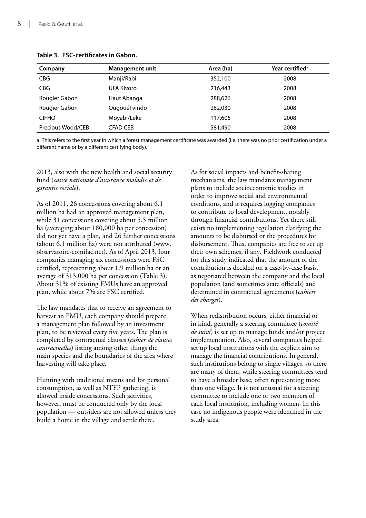| Company           | <b>Management unit</b> | Area (ha) | Year certified <sup>a</sup> |
|-------------------|------------------------|-----------|-----------------------------|
| <b>CBG</b>        | Manji/Rabi             | 352,100   | 2008                        |
| <b>CBG</b>        | UFA Kivoro             | 216,443   | 2008                        |
| Rougier Gabon     | Haut Abanga            | 288,626   | 2008                        |
| Rougier Gabon     | Ougouél vindo          | 282,030   | 2008                        |
| <b>CIFHO</b>      | Moyabi/Leke            | 117,606   | 2008                        |
| Precious Wood/CEB | CFAD CEB               | 581,490   | 2008                        |

#### <span id="page-21-0"></span>**Table 3. FSC-certificates in Gabon.**

a This refers to the first year in which a forest management certificate was awarded (i.e. there was no prior certification under a different name or by a different certifying body).

2013, also with the new health and social security fund (*caisse nationale d'assurance maladie et de garantie sociale*).

As of 2011, 26 concessions covering about 6.1 million ha had an approved management plan, while 31 concessions covering about 5.5 million ha (averaging about 180,000 ha per concession) did not yet have a plan, and 26 further concessions (about 6.1 million ha) were not attributed [\(www.](http://www.observatoire-comifac.net) [observatoire-comifac.net](http://www.observatoire-comifac.net)). As of April 2013, four companies managing six concessions were FSC certified, representing about 1.9 million ha or an average of 313,000 ha per concession [\(Table 3](#page-15-0)). About 31% of existing FMUs have an approved plan, while about 7% are FSC certified.

The law mandates that to receive an agreement to harvest an FMU, each company should prepare a management plan followed by an investment plan, to be reviewed every five years. The plan is completed by contractual clauses (*cahier de clauses contractuelles*) listing among other things the main species and the boundaries of the area where harvesting will take place.

Hunting with traditional means and for personal consumption, as well as NTFP gathering, is allowed inside concessions. Such activities, however, must be conducted only by the local population — outsiders are not allowed unless they build a home in the village and settle there.

As for social impacts and benefit-sharing mechanisms, the law mandates management plans to include socioeconomic studies in order to improve social and environmental conditions, and it requires logging companies to contribute to local development, notably through financial contributions. Yet there still exists no implementing regulation clarifying the amounts to be disbursed or the procedures for disbursement. Thus, companies are free to set up their own schemes, if any. Fieldwork conducted for this study indicated that the amount of the contribution is decided on a case-by-case basis, as negotiated between the company and the local population (and sometimes state officials) and determined in contractual agreements (*cahiers des charges*).

When redistribution occurs, either financial or in kind, generally a steering committee (*comité de suivi*) is set up to manage funds and/or project implementation. Also, several companies helped set up local institutions with the explicit aim to manage the financial contributions. In general, such institutions belong to single villages, so there are many of them, while steering committees tend to have a broader base, often representing more than one village. It is not unusual for a steering committee to include one or two members of each local institution, including women. In this case no indigenous people were identified in the study area.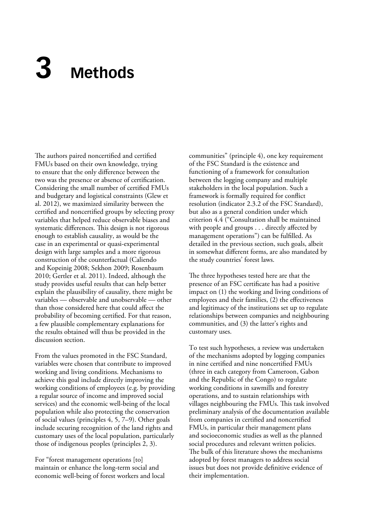# <span id="page-22-0"></span>**3 Methods**

The authors paired noncertified and certified FMUs based on their own knowledge, trying to ensure that the only difference between the two was the presence or absence of certification. Considering the small number of certified FMUs and budgetary and logistical constraints (Glew et al. 2012), we maximized similarity between the certified and noncertified groups by selecting proxy variables that helped reduce observable biases and systematic differences. This design is not rigorous enough to establish causality, as would be the case in an experimental or quasi-experimental design with large samples and a more rigorous construction of the counterfactual (Caliendo and Kopeinig 2008; Sekhon 2009; Rosenbaum 2010; Gertler et al. 2011). Indeed, although the study provides useful results that can help better explain the plausibility of causality, there might be variables — observable and unobservable — other than those considered here that could affect the probability of becoming certified. For that reason, a few plausible complementary explanations for the results obtained will thus be provided in the discussion section.

From the values promoted in the FSC Standard, variables were chosen that contribute to improved working and living conditions. Mechanisms to achieve this goal include directly improving the working conditions of employees (e.g. by providing a regular source of income and improved social services) and the economic well-being of the local population while also protecting the conservation of social values (principles 4, 5, 7–9). Other goals include securing recognition of the land rights and customary uses of the local population, particularly those of indigenous peoples (principles 2, 3).

For "forest management operations [to] maintain or enhance the long-term social and economic well-being of forest workers and local communities" (principle 4), one key requirement of the FSC Standard is the existence and functioning of a framework for consultation between the logging company and multiple stakeholders in the local population. Such a framework is formally required for conflict resolution (indicator 2.3.2 of the FSC Standard), but also as a general condition under which criterion 4.4 ("Consultation shall be maintained with people and groups . . . directly affected by management operations") can be fulfilled. As detailed in the previous section, such goals, albeit in somewhat different forms, are also mandated by the study countries' forest laws.

The three hypotheses tested here are that the presence of an FSC certificate has had a positive impact on (1) the working and living conditions of employees and their families, (2) the effectiveness and legitimacy of the institutions set up to regulate relationships between companies and neighbouring communities, and (3) the latter's rights and customary uses.

To test such hypotheses, a review was undertaken of the mechanisms adopted by logging companies in nine certified and nine noncertified FMUs (three in each category from Cameroon, Gabon and the Republic of the Congo) to regulate working conditions in sawmills and forestry operations, and to sustain relationships with villages neighbouring the FMUs. This task involved preliminary analysis of the documentation available from companies in certified and noncertified FMUs, in particular their management plans and socioeconomic studies as well as the planned social procedures and relevant written policies. The bulk of this literature shows the mechanisms adopted by forest managers to address social issues but does not provide definitive evidence of their implementation.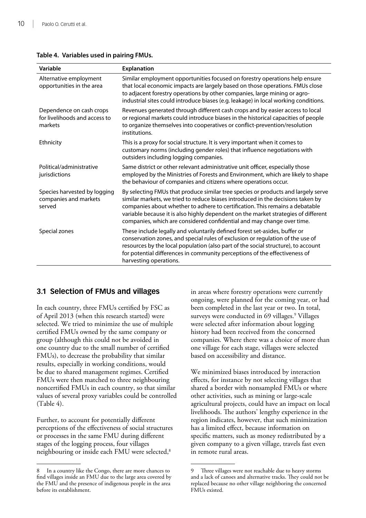| Variable                                                             | <b>Explanation</b>                                                                                                                                                                                                                                                                                                                                                                                                   |
|----------------------------------------------------------------------|----------------------------------------------------------------------------------------------------------------------------------------------------------------------------------------------------------------------------------------------------------------------------------------------------------------------------------------------------------------------------------------------------------------------|
| Alternative employment<br>opportunities in the area                  | Similar employment opportunities focused on forestry operations help ensure<br>that local economic impacts are largely based on those operations. FMUs close<br>to adjacent forestry operations by other companies, large mining or agro-<br>industrial sites could introduce biases (e.g. leakage) in local working conditions.                                                                                     |
| Dependence on cash crops<br>for livelihoods and access to<br>markets | Revenues generated through different cash crops and by easier access to local<br>or regional markets could introduce biases in the historical capacities of people<br>to organize themselves into cooperatives or conflict-prevention/resolution<br>institutions.                                                                                                                                                    |
| Ethnicity                                                            | This is a proxy for social structure. It is very important when it comes to<br>customary norms (including gender roles) that influence negotiations with<br>outsiders including logging companies.                                                                                                                                                                                                                   |
| Political/administrative<br>jurisdictions                            | Same district or other relevant administrative unit officer, especially those<br>employed by the Ministries of Forests and Environment, which are likely to shape<br>the behaviour of companies and citizens where operations occur.                                                                                                                                                                                 |
| Species harvested by logging<br>companies and markets<br>served      | By selecting FMUs that produce similar tree species or products and largely serve<br>similar markets, we tried to reduce biases introduced in the decisions taken by<br>companies about whether to adhere to certification. This remains a debatable<br>variable because it is also highly dependent on the market strategies of different<br>companies, which are considered confidential and may change over time. |
| Special zones                                                        | These include legally and voluntarily defined forest set-asides, buffer or<br>conservation zones, and special rules of exclusion or regulation of the use of<br>resources by the local population (also part of the social structure), to account<br>for potential differences in community perceptions of the effectiveness of<br>harvesting operations.                                                            |

### <span id="page-23-0"></span>**Table 4. Variables used in pairing FMUs.**

# **3.1 Selection of FMUs and villages**

In each country, three FMUs certified by FSC as of April 2013 (when this research started) were selected. We tried to minimize the use of multiple certified FMUs owned by the same company or group (although this could not be avoided in one country due to the small number of certified FMUs), to decrease the probability that similar results, especially in working conditions, would be due to shared management regimes. Certified FMUs were then matched to three neighbouring noncertified FMUs in each country, so that similar values of several proxy variables could be controlled [\(Table 4](#page-15-0)).

Further, to account for potentially different perceptions of the effectiveness of social structures or processes in the same FMU during different stages of the logging process, four villages neighbouring or inside each FMU were selected,<sup>8</sup>

8 In a country like the Congo, there are more chances to find villages inside an FMU due to the large area covered by the FMU and the presence of indigenous people in the area before its establishment.

in areas where forestry operations were currently ongoing, were planned for the coming year, or had been completed in the last year or two. In total, surveys were conducted in 69 villages.<sup>9</sup> Villages were selected after information about logging history had been received from the concerned companies. Where there was a choice of more than one village for each stage, villages were selected based on accessibility and distance.

We minimized biases introduced by interaction effects, for instance by not selecting villages that shared a border with nonsampled FMUs or where other activities, such as mining or large-scale agricultural projects, could have an impact on local livelihoods. The authors' lengthy experience in the region indicates, however, that such minimization has a limited effect, because information on specific matters, such as money redistributed by a given company to a given village, travels fast even in remote rural areas.

<sup>9</sup> Three villages were not reachable due to heavy storms and a lack of canoes and alternative tracks. They could not be replaced because no other village neighboring the concerned FMUs existed.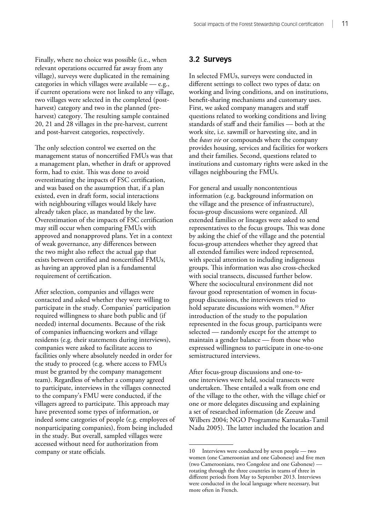<span id="page-24-0"></span>Finally, where no choice was possible (i.e., when relevant operations occurred far away from any village), surveys were duplicated in the remaining categories in which villages were available — e.g., if current operations were not linked to any village, two villages were selected in the completed (postharvest) category and two in the planned (preharvest) category. The resulting sample contained 20, 21 and 28 villages in the pre-harvest, current and post-harvest categories, respectively.

The only selection control we exerted on the management status of noncertified FMUs was that a management plan, whether in draft or approved form, had to exist. This was done to avoid overestimating the impacts of FSC certification, and was based on the assumption that, if a plan existed, even in draft form, social interactions with neighbouring villages would likely have already taken place, as mandated by the law. Overestimation of the impacts of FSC certification may still occur when comparing FMUs with approved and nonapproved plans. Yet in a context of weak governance, any differences between the two might also reflect the actual gap that exists between certified and noncertified FMUs, as having an approved plan is a fundamental requirement of certification.

After selection, companies and villages were contacted and asked whether they were willing to participate in the study. Companies' participation required willingness to share both public and (if needed) internal documents. Because of the risk of companies influencing workers and village residents (e.g. their statements during interviews), companies were asked to facilitate access to facilities only where absolutely needed in order for the study to proceed (e.g. where access to FMUs must be granted by the company management team). Regardless of whether a company agreed to participate, interviews in the villages connected to the company's FMU were conducted, if the villagers agreed to participate. This approach may have prevented some types of information, or indeed some categories of people (e.g. employees of nonparticipating companies), from being included in the study. But overall, sampled villages were accessed without need for authorization from company or state officials.

# **3.2 Surveys**

In selected FMUs, surveys were conducted in different settings to collect two types of data: on working and living conditions, and on institutions, benefit-sharing mechanisms and customary uses. First, we asked company managers and staff questions related to working conditions and living standards of staff and their families — both at the work site, i.e. sawmill or harvesting site, and in the *bases vie* or compounds where the company provides housing, services and facilities for workers and their families. Second, questions related to institutions and customary rights were asked in the villages neighbouring the FMUs.

For general and usually noncontentious information (e.g. background information on the village and the presence of infrastructure), focus-group discussions were organized. All extended families or lineages were asked to send representatives to the focus groups. This was done by asking the chief of the village and the potential focus-group attendees whether they agreed that all extended families were indeed represented, with special attention to including indigenous groups. This information was also cross-checked with social transects, discussed further below. Where the sociocultural environment did not favour good representation of women in focusgroup discussions, the interviewers tried to hold separate discussions with women.<sup>10</sup> After introduction of the study to the population represented in the focus group, participants were selected — randomly except for the attempt to maintain a gender balance — from those who expressed willingness to participate in one-to-one semistructured interviews.

After focus-group discussions and one-toone interviews were held, social transects were undertaken. These entailed a walk from one end of the village to the other, with the village chief or one or more delegates discussing and explaining a set of researched information (de Zeeuw and Wilbers 2004; NGO Programme Karnataka-Tamil Nadu 2005). The latter included the location and

<sup>10</sup> Interviews were conducted by seven people — two women (one Cameroonian and one Gabonese) and five men (two Cameroonians, two Congolese and one Gabonese) rotating through the three countries in teams of three in different periods from May to September 2013. Interviews were conducted in the local language where necessary, but more often in French.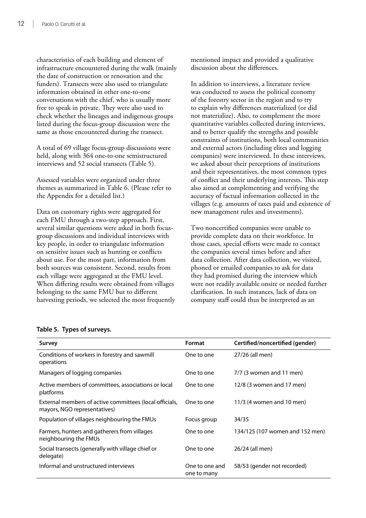<span id="page-25-0"></span>characteristics of each building and element of infrastructure encountered during the walk (mainly the date of construction or renovation and the funders). Transects were also used to triangulate information obtained in other one-to-one conversations with the chief, who is usually more free to speak in private. They were also used to check whether the lineages and indigenous groups listed during the focus-group discussion were the same as those encountered during the transect.

A total of 69 village focus-group discussions were held, along with 364 one-to-one semistructured interviews and 52 social transects ([Table 5\)](#page-15-0).

Assessed variables were organized under three themes as summarized in [Table 6.](#page-15-0) (Please refer to the Appendix for a detailed list.)

Data on customary rights were aggregated for each FMU through a two-step approach. First, several similar questions were asked in both focusgroup discussions and individual interviews with key people, in order to triangulate information on sensitive issues such as hunting or conflicts about use. For the most part, information from both sources was consistent. Second, results from each village were aggregated at the FMU level. When differing results were obtained from villages belonging to the same FMU but to different harvesting periods, we selected the most frequently mentioned impact and provided a qualitative discussion about the differences.

In addition to interviews, a literature review was conducted to assess the political economy of the forestry sector in the region and to try to explain why differences materialized (or did not materialize). Also, to complement the more quantitative variables collected during interviews, and to better qualify the strengths and possible constraints of institutions, both local communities and external actors (including elites and logging companies) were interviewed. In these interviews, we asked about their perceptions of institutions and their representatives, the most common types of conflict and their underlying interests. This step also aimed at complementing and verifying the accuracy of factual information collected in the villages (e.g. amounts of taxes paid and existence of new management rules and investments).

Two noncertified companies were unable to provide complete data on their workforce. In those cases, special efforts were made to contact the companies several times before and after data collection. After data collection, we visited, phoned or emailed companies to ask for data they had promised during the interview which were not readily available onsite or needed further clarification. In such instances, lack of data on company staff could thus be interpreted as an

| Survey                                                                                  | Format                        | Certified/noncertified (gender) |
|-----------------------------------------------------------------------------------------|-------------------------------|---------------------------------|
| Conditions of workers in forestry and sawmill<br>operations                             | One to one                    | 27/26 (all men)                 |
| Managers of logging companies                                                           | One to one                    | $7/7$ (3 women and 11 men)      |
| Active members of committees, associations or local<br>platforms                        | One to one                    | 12/8 (3 women and 17 men)       |
| External members of active committees (local officials,<br>mayors, NGO representatives) | One to one                    | 11/3 (4 women and 10 men)       |
| Population of villages neighbouring the FMUs                                            | Focus group                   | 34/35                           |
| Farmers, hunters and gatherers from villages<br>neighbouring the FMUs                   | One to one                    | 134/125 (107 women and 152 men) |
| Social transects (generally with village chief or<br>delegate)                          | One to one                    | 26/24 (all men)                 |
| Informal and unstructured interviews                                                    | One to one and<br>one to many | 58/53 (gender not recorded)     |

### **Table 5. Types of surveys.**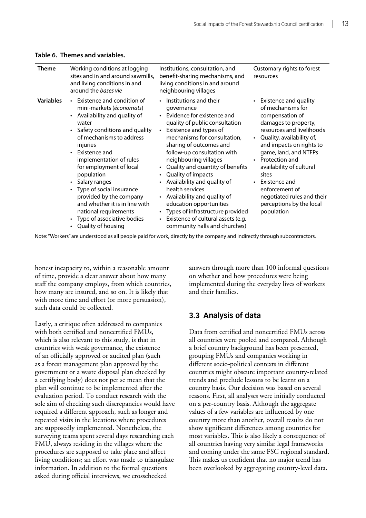| <b>Theme</b>     | Working conditions at logging<br>sites and in and around sawmills,<br>and living conditions in and<br>around the bases vie                                                                                                                                                                                                                                                                                                                   | Institutions, consultation, and<br>benefit-sharing mechanisms, and<br>living conditions in and around<br>neighbouring villages                                                                                                                                                                                                                                                                                                                                                                                                             | Customary rights to forest<br>resources                                                                                                                                                                                                                                                                                                                                  |
|------------------|----------------------------------------------------------------------------------------------------------------------------------------------------------------------------------------------------------------------------------------------------------------------------------------------------------------------------------------------------------------------------------------------------------------------------------------------|--------------------------------------------------------------------------------------------------------------------------------------------------------------------------------------------------------------------------------------------------------------------------------------------------------------------------------------------------------------------------------------------------------------------------------------------------------------------------------------------------------------------------------------------|--------------------------------------------------------------------------------------------------------------------------------------------------------------------------------------------------------------------------------------------------------------------------------------------------------------------------------------------------------------------------|
| <b>Variables</b> | • Existence and condition of<br>mini-markets (économats)<br>Availability and quality of<br>water<br>Safety conditions and quality<br>of mechanisms to address<br>injuries<br>Existence and<br>$\bullet$<br>implementation of rules<br>for employment of local<br>population<br>Salary ranges<br>Type of social insurance<br>provided by the company<br>and whether it is in line with<br>national requirements<br>Type of associative bodies | Institutions and their<br>governance<br>Evidence for existence and<br>quality of public consultation<br>Existence and types of<br>mechanisms for consultation,<br>sharing of outcomes and<br>follow-up consultation with<br>neighbouring villages<br>Quality and quantity of benefits<br>Quality of impacts<br>$\bullet$<br>• Availability and quality of<br>health services<br>Availability and quality of<br>$\bullet$<br>education opportunities<br>Types of infrastructure provided<br>Existence of cultural assets (e.g.<br>$\bullet$ | • Existence and quality<br>of mechanisms for<br>compensation of<br>damages to property,<br>resources and livelihoods<br>Quality, availability of,<br>and impacts on rights to<br>game, land, and NTFPs<br>Protection and<br>availability of cultural<br>sites<br>Existence and<br>enforcement of<br>negotiated rules and their<br>perceptions by the local<br>population |
|                  | Quality of housing                                                                                                                                                                                                                                                                                                                                                                                                                           | community halls and churches)                                                                                                                                                                                                                                                                                                                                                                                                                                                                                                              |                                                                                                                                                                                                                                                                                                                                                                          |

#### <span id="page-26-0"></span>**Table 6. Themes and variables.**

Note: "Workers" are understood as all people paid for work, directly by the company and indirectly through subcontractors.

honest incapacity to, within a reasonable amount of time, provide a clear answer about how many staff the company employs, from which countries, how many are insured, and so on. It is likely that with more time and effort (or more persuasion), such data could be collected.

Lastly, a critique often addressed to companies with both certified and noncertified FMUs, which is also relevant to this study, is that in countries with weak governance, the existence of an officially approved or audited plan (such as a forest management plan approved by the government or a waste disposal plan checked by a certifying body) does not per se mean that the plan will continue to be implemented after the evaluation period. To conduct research with the sole aim of checking such discrepancies would have required a different approach, such as longer and repeated visits in the locations where procedures are supposedly implemented. Nonetheless, the surveying teams spent several days researching each FMU, always residing in the villages where the procedures are supposed to take place and affect living conditions; an effort was made to triangulate information. In addition to the formal questions asked during official interviews, we crosschecked

answers through more than 100 informal questions on whether and how procedures were being implemented during the everyday lives of workers and their families.

## **3.3 Analysis of data**

Data from certified and noncertified FMUs across all countries were pooled and compared. Although a brief country background has been presented, grouping FMUs and companies working in different socio-political contexts in different countries might obscure important country-related trends and preclude lessons to be learnt on a country basis. Our decision was based on several reasons. First, all analyses were initially conducted on a per-country basis. Although the aggregate values of a few variables are influenced by one country more than another, overall results do not show significant differences among countries for most variables. This is also likely a consequence of all countries having very similar legal frameworks and coming under the same FSC regional standard. This makes us confident that no major trend has been overlooked by aggregating country-level data.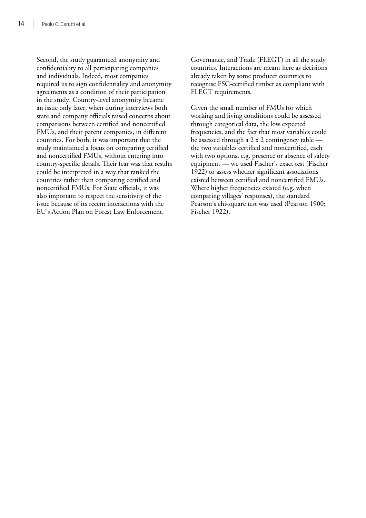Second, the study guaranteed anonymity and confidentiality to all participating companies and individuals. Indeed, most companies required us to sign confidentiality and anonymity agreements as a condition of their participation in the study. Country-level anonymity became an issue only later, when during interviews both state and company officials raised concerns about comparisons between certified and noncertified FMUs, and their parent companies, in different countries. For both, it was important that the study maintained a focus on comparing certified and noncertified FMUs, without entering into country-specific details. Their fear was that results could be interpreted in a way that ranked the countries rather than comparing certified and noncertified FMUs. For State officials, it was also important to respect the sensitivity of the issue because of its recent interactions with the EU's Action Plan on Forest Law Enforcement,

Governance, and Trade (FLEGT) in all the study countries. Interactions are meant here as decisions already taken by some producer countries to recognise FSC-certified timber as compliant with FLEGT requirements.

Given the small number of FMUs for which working and living conditions could be assessed through categorical data, the low expected frequencies, and the fact that most variables could be assessed through a 2 x 2 contingency table the two variables certified and noncertified, each with two options, e.g. presence or absence of safety equipment — we used Fischer's exact test (Fischer 1922) to assess whether significant associations existed between certified and noncertified FMUs. Where higher frequencies existed (e.g. when comparing villages' responses), the standard Pearson's chi-square test was used (Pearson 1900; Fischer 1922).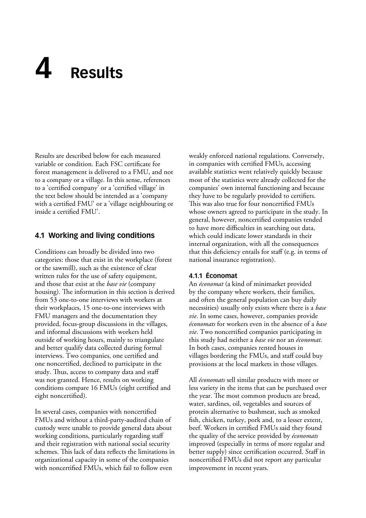# <span id="page-28-0"></span>**4 Results**

Results are described below for each measured variable or condition. Each FSC certificate for forest management is delivered to a FMU, and not to a company or a village. In this sense, references to a 'certified company' or a 'certified village' in the text below should be intended as a 'company with a certified FMU' or a 'village neighbouring or inside a certified FMU'.

# **4.1 Working and living conditions**

Conditions can broadly be divided into two categories: those that exist in the workplace (forest or the sawmill), such as the existence of clear written rules for the use of safety equipment, and those that exist at the *base vie* (company housing). The information in this section is derived from 53 one-to-one interviews with workers at their workplaces, 15 one-to-one interviews with FMU managers and the documentation they provided, focus-group discussions in the villages, and informal discussions with workers held outside of working hours, mainly to triangulate and better qualify data collected during formal interviews. Two companies, one certified and one noncertified, declined to participate in the study. Thus, access to company data and staff was not granted. Hence, results on working conditions compare 16 FMUs (eight certified and eight noncertified).

In several cases, companies with noncertified FMUs and without a third-party-audited chain of custody were unable to provide general data about working conditions, particularly regarding staff and their registration with national social security schemes. This lack of data reflects the limitations in organizational capacity in some of the companies with noncertified FMUs, which fail to follow even

weakly enforced national regulations. Conversely, in companies with certified FMUs, accessing available statistics went relatively quickly because most of the statistics were already collected for the companies' own internal functioning and because they have to be regularly provided to certifiers. This was also true for four noncertified FMUs whose owners agreed to participate in the study. In general, however, noncertified companies tended to have more difficulties in searching out data, which could indicate lower standards in their internal organization, with all the consequences that this deficiency entails for staff (e.g. in terms of national insurance registration).

## **4.1.1 Économat**

An *économat* (a kind of minimarket provided by the company where workers, their families, and often the general population can buy daily necessities) usually only exists where there is a *base vie*. In some cases, however, companies provide *économats* for workers even in the absence of a *base vie*. Two noncertified companies participating in this study had neither a *base vie* nor an *économat*. In both cases, companies rented houses in villages bordering the FMUs, and staff could buy provisions at the local markets in those villages.

All *économats* sell similar products with more or less variety in the items that can be purchased over the year. The most common products are bread, water, sardines, oil, vegetables and sources of protein alternative to bushmeat, such as smoked fish, chicken, turkey, pork and, to a lesser extent, beef. Workers in certified FMUs said they found the quality of the service provided by *économats* improved (especially in terms of more regular and better supply) since certification occurred. Staff in noncertified FMUs did not report any particular improvement in recent years.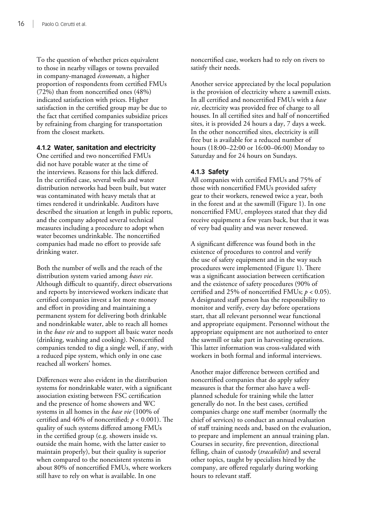To the question of whether prices equivalent to those in nearby villages or towns prevailed in company-managed *économats*, a higher proportion of respondents from certified FMUs (72%) than from noncertified ones (48%) indicated satisfaction with prices. Higher satisfaction in the certified group may be due to the fact that certified companies subsidize prices by refraining from charging for transportation from the closest markets.

## **4.1.2 Water, sanitation and electricity**

One certified and two noncertified FMUs did not have potable water at the time of the interviews. Reasons for this lack differed. In the certified case, several wells and water distribution networks had been built, but water was contaminated with heavy metals that at times rendered it undrinkable. Auditors have described the situation at length in public reports, and the company adopted several technical measures including a procedure to adopt when water becomes undrinkable. The noncertified companies had made no effort to provide safe drinking water.

Both the number of wells and the reach of the distribution system varied among *bases vie*. Although difficult to quantify, direct observations and reports by interviewed workers indicate that certified companies invest a lot more money and effort in providing and maintaining a permanent system for delivering both drinkable and nondrinkable water, able to reach all homes in the *base vie* and to support all basic water needs (drinking, washing and cooking). Noncertified companies tended to dig a single well, if any, with a reduced pipe system, which only in one case reached all workers' homes.

Differences were also evident in the distribution systems for nondrinkable water, with a significant association existing between FSC certification and the presence of home showers and WC systems in all homes in the *base vie* (100% of certified and 46% of noncertified; *p* < 0.001). The quality of such systems differed among FMUs in the certified group (e.g. showers inside vs. outside the main home, with the latter easier to maintain properly), but their quality is superior when compared to the nonexistent systems in about 80% of noncertified FMUs, where workers still have to rely on what is available. In one

noncertified case, workers had to rely on rivers to satisfy their needs.

Another service appreciated by the local population is the provision of electricity where a sawmill exists. In all certified and noncertified FMUs with a *base vie*, electricity was provided free of charge to all houses. In all certified sites and half of noncertified sites, it is provided 24 hours a day, 7 days a week. In the other noncertified sites, electricity is still free but is available for a reduced number of hours (18:00–22:00 or 16:00–06:00) Monday to Saturday and for 24 hours on Sundays.

## **4.1.3 Safety**

All companies with certified FMUs and 75% of those with noncertified FMUs provided safety gear to their workers, renewed twice a year, both in the forest and at the sawmill [\(Figure 1](#page-15-0)). In one noncertified FMU, employees stated that they did receive equipment a few years back, but that it was of very bad quality and was never renewed.

A significant difference was found both in the existence of procedures to control and verify the use of safety equipment and in the way such procedures were implemented [\(Figure 1](#page-15-0)). There was a significant association between certification and the existence of safety procedures (90% of certified and 25% of noncertified FMUs; *p* < 0.05). A designated staff person has the responsibility to monitor and verify, every day before operations start, that all relevant personnel wear functional and appropriate equipment. Personnel without the appropriate equipment are not authorized to enter the sawmill or take part in harvesting operations. This latter information was cross-validated with workers in both formal and informal interviews.

Another major difference between certified and noncertified companies that do apply safety measures is that the former also have a wellplanned schedule for training while the latter generally do not. In the best cases, certified companies charge one staff member (normally the chief of services) to conduct an annual evaluation of staff training needs and, based on the evaluation, to prepare and implement an annual training plan. Courses in security, fire prevention, directional felling, chain of custody (*tracabilité*) and several other topics, taught by specialists hired by the company, are offered regularly during working hours to relevant staff.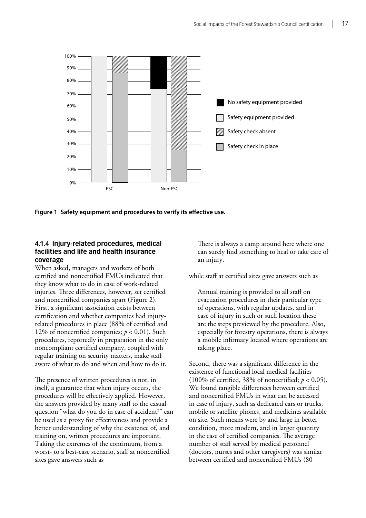<span id="page-30-0"></span>

**Figure 1 Safety equipment and procedures to verify its effective use.**

## **4.1.4 Injury-related procedures, medical facilities and life and health insurance coverage**

When asked, managers and workers of both certified and noncertified FMUs indicated that they know what to do in case of work-related injuries. Three differences, however, set certified and noncertified companies apart (Figure 2). First, a significant association exists between certification and whether companies had injuryrelated procedures in place (88% of certified and 12% of noncertified companies; *p* < 0.01). Such procedures, reportedly in preparation in the only noncompliant certified company, coupled with regular training on security matters, make staff aware of what to do and when and how to do it.

The presence of written procedures is not, in itself, a guarantee that when injury occurs, the procedures will be effectively applied. However, the answers provided by many staff to the casual question "what do you do in case of accident?" can be used as a proxy for effectiveness and provide a better understanding of why the existence of, and training on, written procedures are important. Taking the extremes of the continuum, from a worst- to a best-case scenario, staff at noncertified sites gave answers such as

There is always a camp around here where one can surely find something to heal or take care of an injury.

while staff at certified sites gave answers such as

Annual training is provided to all staff on evacuation procedures in their particular type of operations, with regular updates, and in case of injury in such or such location these are the steps previewed by the procedure. Also, especially for forestry operations, there is always a mobile infirmary located where operations are taking place.

Second, there was a significant difference in the existence of functional local medical facilities (100% of certified, 38% of noncertified;  $p < 0.05$ ). We found tangible differences between certified and noncertified FMUs in what can be accessed in case of injury, such as dedicated cars or trucks, mobile or satellite phones, and medicines available on site. Such means were by and large in better condition, more modern, and in larger quantity in the case of certified companies. The average number of staff served by medical personnel (doctors, nurses and other caregivers) was similar between certified and noncertified FMUs (80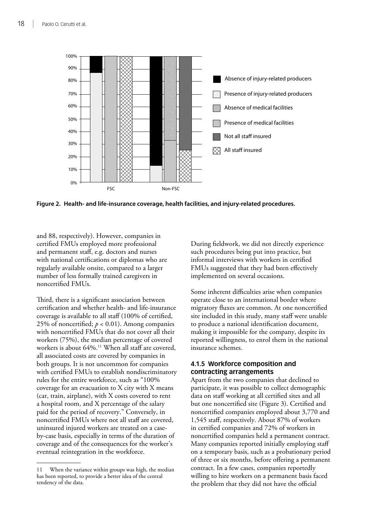<span id="page-31-0"></span>

**Figure 2. Health- and life-insurance coverage, health facilities, and injury-related procedures.**

and 88, respectively). However, companies in certified FMUs employed more professional and permanent staff, e.g. doctors and nurses with national certifications or diplomas who are regularly available onsite, compared to a larger number of less formally trained caregivers in noncertified FMUs.

Third, there is a significant association between certification and whether health- and life-insurance coverage is available to all staff (100% of certified, 25% of noncertified;  $p < 0.01$ ). Among companies with noncertified FMUs that do not cover all their workers (75%), the median percentage of covered workers is about 64%.<sup>11</sup> When all staff are covered, all associated costs are covered by companies in both groups. It is not uncommon for companies with certified FMUs to establish nondiscriminatory rules for the entire workforce, such as "100% coverage for an evacuation to X city with X means (car, train, airplane), with X costs covered to rent a hospital room, and X percentage of the salary paid for the period of recovery." Conversely, in noncertified FMUs where not all staff are covered, uninsured injured workers are treated on a caseby-case basis, especially in terms of the duration of coverage and of the consequences for the worker's eventual reintegration in the workforce.

During fieldwork, we did not directly experience such procedures being put into practice, but informal interviews with workers in certified FMUs suggested that they had been effectively implemented on several occasions.

Some inherent difficulties arise when companies operate close to an international border where migratory fluxes are common. At one noncertified site included in this study, many staff were unable to produce a national identification document, making it impossible for the company, despite its reported willingness, to enrol them in the national insurance schemes.

## **4.1.5 Workforce composition and contracting arrangements**

Apart from the two companies that declined to participate, it was possible to collect demographic data on staff working at all certified sites and all but one noncertified site (Figure 3). Certified and noncertified companies employed about 3,770 and 1,545 staff, respectively. About 87% of workers in certified companies and 72% of workers in noncertified companies held a permanent contract. Many companies reported initially employing staff on a temporary basis, such as a probationary period of three or six months, before offering a permanent contract. In a few cases, companies reportedly willing to hire workers on a permanent basis faced the problem that they did not have the official

<sup>11</sup> When the variance within groups was high, the median has been reported, to provide a better idea of the central tendency of the data.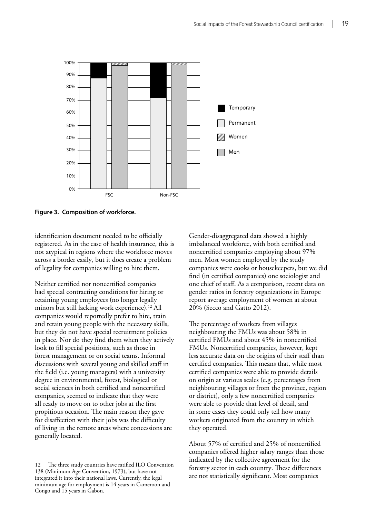<span id="page-32-0"></span>

**Figure 3. Composition of workforce.**

identification document needed to be officially registered. As in the case of health insurance, this is not atypical in regions where the workforce moves across a border easily, but it does create a problem of legality for companies willing to hire them.

Neither certified nor noncertified companies had special contracting conditions for hiring or retaining young employees (no longer legally minors but still lacking work experience).<sup>12</sup> All companies would reportedly prefer to hire, train and retain young people with the necessary skills, but they do not have special recruitment policies in place. Nor do they find them when they actively look to fill special positions, such as those in forest management or on social teams. Informal discussions with several young and skilled staff in the field (i.e. young managers) with a university degree in environmental, forest, biological or social sciences in both certified and noncertified companies, seemed to indicate that they were all ready to move on to other jobs at the first propitious occasion. The main reason they gave for disaffection with their jobs was the difficulty of living in the remote areas where concessions are generally located.

12 The three study countries have ratified ILO Convention 138 (Minimum Age Convention, 1973), but have not integrated it into their national laws. Currently, the legal minimum age for employment is 14 years in Cameroon and Congo and 15 years in Gabon.

Gender-disaggregated data showed a highly imbalanced workforce, with both certified and noncertified companies employing about 97% men. Most women employed by the study companies were cooks or housekeepers, but we did find (in certified companies) one sociologist and one chief of staff. As a comparison, recent data on gender ratios in forestry organizations in Europe report average employment of women at about 20% (Secco and Gatto 2012).

The percentage of workers from villages neighbouring the FMUs was about 58% in certified FMUs and about 45% in noncertified FMUs. Noncertified companies, however, kept less accurate data on the origins of their staff than certified companies. This means that, while most certified companies were able to provide details on origin at various scales (e.g. percentages from neighbouring villages or from the province, region or district), only a few noncertified companies were able to provide that level of detail, and in some cases they could only tell how many workers originated from the country in which they operated.

About 57% of certified and 25% of noncertified companies offered higher salary ranges than those indicated by the collective agreement for the forestry sector in each country. These differences are not statistically significant. Most companies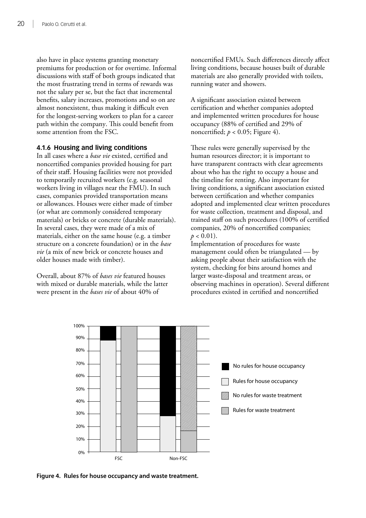<span id="page-33-0"></span>also have in place systems granting monetary premiums for production or for overtime. Informal discussions with staff of both groups indicated that the most frustrating trend in terms of rewards was not the salary per se, but the fact that incremental benefits, salary increases, promotions and so on are almost nonexistent, thus making it difficult even for the longest-serving workers to plan for a career path within the company. This could benefit from some attention from the FSC.

## **4.1.6 Housing and living conditions**

In all cases where a *base vie* existed, certified and noncertified companies provided housing for part of their staff. Housing facilities were not provided to temporarily recruited workers (e.g. seasonal workers living in villages near the FMU). In such cases, companies provided transportation means or allowances. Houses were either made of timber (or what are commonly considered temporary materials) or bricks or concrete (durable materials). In several cases, they were made of a mix of materials, either on the same house (e.g. a timber structure on a concrete foundation) or in the *base vie* (a mix of new brick or concrete houses and older houses made with timber).

Overall, about 87% of *bases vie* featured houses with mixed or durable materials, while the latter were present in the *bases vie* of about 40% of

noncertified FMUs. Such differences directly affect living conditions, because houses built of durable materials are also generally provided with toilets, running water and showers.

A significant association existed between certification and whether companies adopted and implemented written procedures for house occupancy (88% of certified and 29% of noncertified;  $p < 0.05$ ; Figure 4).

These rules were generally supervised by the human resources director; it is important to have transparent contracts with clear agreements about who has the right to occupy a house and the timeline for renting. Also important for living conditions, a significant association existed between certification and whether companies adopted and implemented clear written procedures for waste collection, treatment and disposal, and trained staff on such procedures (100% of certified companies, 20% of noncertified companies;  $p < 0.01$ ).

Implementation of procedures for waste management could often be triangulated — by asking people about their satisfaction with the system, checking for bins around homes and larger waste-disposal and treatment areas, or observing machines in operation). Several different procedures existed in certified and noncertified



**Figure 4. Rules for house occupancy and waste treatment.**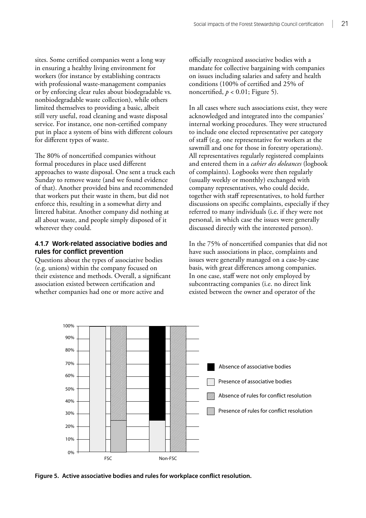<span id="page-34-0"></span>sites. Some certified companies went a long way in ensuring a healthy living environment for workers (for instance by establishing contracts with professional waste-management companies or by enforcing clear rules about biodegradable vs. nonbiodegradable waste collection), while others limited themselves to providing a basic, albeit still very useful, road cleaning and waste disposal service. For instance, one non-certified company put in place a system of bins with different colours for different types of waste.

The 80% of noncertified companies without formal procedures in place used different approaches to waste disposal. One sent a truck each Sunday to remove waste (and we found evidence of that). Another provided bins and recommended that workers put their waste in them, but did not enforce this, resulting in a somewhat dirty and littered habitat. Another company did nothing at all about waste, and people simply disposed of it wherever they could.

## **4.1.7 Work-related associative bodies and rules for conflict prevention**

Questions about the types of associative bodies (e.g. unions) within the company focused on their existence and methods. Overall, a significant association existed between certification and whether companies had one or more active and

officially recognized associative bodies with a mandate for collective bargaining with companies on issues including salaries and safety and health conditions (100% of certified and 25% of noncertified,  $p < 0.01$ ; Figure 5).

In all cases where such associations exist, they were acknowledged and integrated into the companies' internal working procedures. They were structured to include one elected representative per category of staff (e.g. one representative for workers at the sawmill and one for those in forestry operations). All representatives regularly registered complaints and entered them in a *cahier des doleances* (logbook of complaints). Logbooks were then regularly (usually weekly or monthly) exchanged with company representatives, who could decide, together with staff representatives, to hold further discussions on specific complaints, especially if they referred to many individuals (i.e. if they were not personal, in which case the issues were generally discussed directly with the interested person).

In the 75% of noncertified companies that did not have such associations in place, complaints and issues were generally managed on a case-by-case basis, with great differences among companies. In one case, staff were not only employed by subcontracting companies (i.e. no direct link existed between the owner and operator of the



**Figure 5. Active associative bodies and rules for workplace conflict resolution.**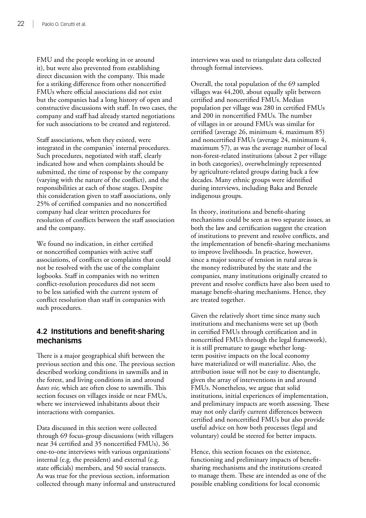<span id="page-35-0"></span>FMU and the people working in or around it), but were also prevented from establishing direct discussion with the company. This made for a striking difference from other noncertified FMUs where official associations did not exist but the companies had a long history of open and constructive discussions with staff. In two cases, the company and staff had already started negotiations for such associations to be created and registered.

Staff associations, when they existed, were integrated in the companies' internal procedures. Such procedures, negotiated with staff, clearly indicated how and when complaints should be submitted, the time of response by the company (varying with the nature of the conflict), and the responsibilities at each of those stages. Despite this consideration given to staff associations, only 25% of certified companies and no noncertified company had clear written procedures for resolution of conflicts between the staff association and the company.

We found no indication, in either certified or noncertified companies with active staff associations, of conflicts or complaints that could not be resolved with the use of the complaint logbooks. Staff in companies with no written conflict-resolution procedures did not seem to be less satisfied with the current system of conflict resolution than staff in companies with such procedures.

# **4.2 Institutions and benefit-sharing mechanisms**

There is a major geographical shift between the previous section and this one. The previous section described working conditions in sawmills and in the forest, and living conditions in and around *bases vie,* which are often close to sawmills. This section focuses on villages inside or near FMUs, where we interviewed inhabitants about their interactions with companies.

Data discussed in this section were collected through 69 focus-group discussions (with villagers near 34 certified and 35 noncertified FMUs), 36 one-to-one interviews with various organizations' internal (e.g. the president) and external (e.g. state officials) members, and 50 social transects. As was true for the previous section, information collected through many informal and unstructured interviews was used to triangulate data collected through formal interviews.

Overall, the total population of the 69 sampled villages was 44,200, about equally split between certified and noncertified FMUs. Median population per village was 280 in certified FMUs and 200 in noncertified FMUs. The number of villages in or around FMUs was similar for certified (average 26, minimum 4, maximum 85) and noncertified FMUs (average 24, minimum 4, maximum 57), as was the average number of local non-forest-related institutions (about 2 per village in both categories), overwhelmingly represented by agriculture-related groups dating back a few decades. Many ethnic groups were identified during interviews, including Baka and Benzele indigenous groups.

In theory, institutions and benefit-sharing mechanisms could be seen as two separate issues, as both the law and certification suggest the creation of institutions to prevent and resolve conflicts, and the implementation of benefit-sharing mechanisms to improve livelihoods. In practice, however, since a major source of tension in rural areas is the money redistributed by the state and the companies, many institutions originally created to prevent and resolve conflicts have also been used to manage benefit-sharing mechanisms. Hence, they are treated together.

Given the relatively short time since many such institutions and mechanisms were set up (both in certified FMUs through certification and in noncertified FMUs through the legal framework), it is still premature to gauge whether longterm positive impacts on the local economy have materialized or will materialize. Also, the attribution issue will not be easy to disentangle, given the array of interventions in and around FMUs. Nonetheless, we argue that solid institutions, initial experiences of implementation, and preliminary impacts are worth assessing. These may not only clarify current differences between certified and noncertified FMUs but also provide useful advice on how both processes (legal and voluntary) could be steered for better impacts.

Hence, this section focuses on the existence, functioning and preliminary impacts of benefitsharing mechanisms and the institutions created to manage them. These are intended as one of the possible enabling conditions for local economic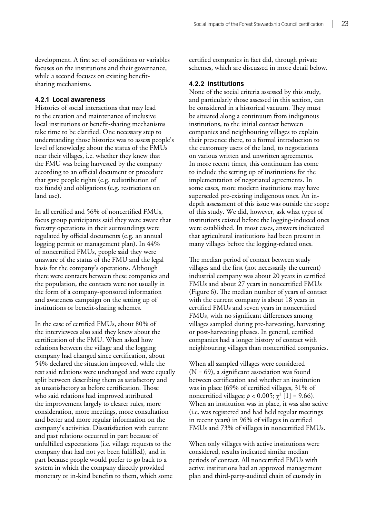development. A first set of conditions or variables focuses on the institutions and their governance, while a second focuses on existing benefitsharing mechanisms.

#### **4.2.1 Local awareness**

Histories of social interactions that may lead to the creation and maintenance of inclusive local institutions or benefit-sharing mechanisms take time to be clarified. One necessary step to understanding those histories was to assess people's level of knowledge about the status of the FMUs near their villages, i.e. whether they knew that the FMU was being harvested by the company according to an official document or procedure that gave people rights (e.g. redistribution of tax funds) and obligations (e.g. restrictions on land use).

In all certified and 56% of noncertified FMUs, focus group participants said they were aware that forestry operations in their surroundings were regulated by official documents (e.g. an annual logging permit or management plan). In 44% of noncertified FMUs, people said they were unaware of the status of the FMU and the legal basis for the company's operations. Although there were contacts between these companies and the population, the contacts were not usually in the form of a company-sponsored information and awareness campaign on the setting up of institutions or benefit-sharing schemes.

In the case of certified FMUs, about 80% of the interviewees also said they knew about the certification of the FMU. When asked how relations between the village and the logging company had changed since certification, about 54% declared the situation improved, while the rest said relations were unchanged and were equally split between describing them as satisfactory and as unsatisfactory as before certification. Those who said relations had improved attributed the improvement largely to clearer rules, more consideration, more meetings, more consultation and better and more regular information on the company's activities. Dissatisfaction with current and past relations occurred in part because of unfulfilled expectations (i.e. village requests to the company that had not yet been fulfilled), and in part because people would prefer to go back to a system in which the company directly provided monetary or in-kind benefits to them, which some

certified companies in fact did, through private schemes, which are discussed in more detail below.

#### **4.2.2 Institutions**

None of the social criteria assessed by this study, and particularly those assessed in this section, can be considered in a historical vacuum. They must be situated along a continuum from indigenous institutions, to the initial contact between companies and neighbouring villages to explain their presence there, to a formal introduction to the customary users of the land, to negotiations on various written and unwritten agreements. In more recent times, this continuum has come to include the setting up of institutions for the implementation of negotiated agreements. In some cases, more modern institutions may have superseded pre-existing indigenous ones. An indepth assessment of this issue was outside the scope of this study. We did, however, ask what types of institutions existed before the logging-induced ones were established. In most cases, answers indicated that agricultural institutions had been present in many villages before the logging-related ones.

The median period of contact between study villages and the first (not necessarily the current) industrial company was about 20 years in certified FMUs and about 27 years in noncertified FMUs (Figure 6). The median number of years of contact with the current company is about 18 years in certified FMUs and seven years in noncertified FMUs, with no significant differences among villages sampled during pre-harvesting, harvesting or post-harvesting phases. In general, certified companies had a longer history of contact with neighbouring villages than noncertified companies.

When all sampled villages were considered  $(N = 69)$ , a significant association was found between certification and whether an institution was in place (69% of certified villages, 31% of noncertified villages; *p* < 0.005;  $\chi^2$  [1] = 9.66). When an institution was in place, it was also active (i.e. was registered and had held regular meetings in recent years) in 96% of villages in certified FMUs and 73% of villages in noncertified FMUs.

When only villages with active institutions were considered, results indicated similar median periods of contact. All noncertified FMUs with active institutions had an approved management plan and third-party-audited chain of custody in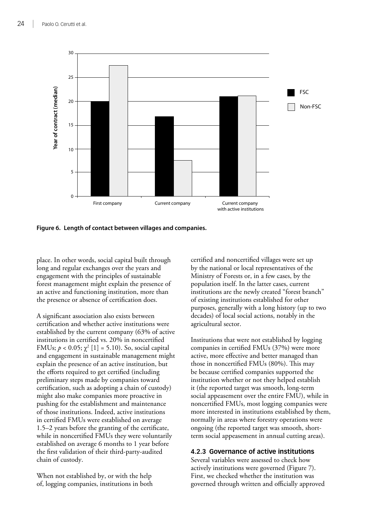

**Figure 6. Length of contact between villages and companies.**

place. In other words, social capital built through long and regular exchanges over the years and engagement with the principles of sustainable forest management might explain the presence of an active and functioning institution, more than the presence or absence of certification does.

A significant association also exists between certification and whether active institutions were established by the current company (63% of active institutions in certified vs. 20% in noncertified FMUs;  $p < 0.05$ ;  $\chi^2$  [1] = 5.10). So, social capital and engagement in sustainable management might explain the presence of an active institution, but the efforts required to get certified (including preliminary steps made by companies toward certification, such as adopting a chain of custody) might also make companies more proactive in pushing for the establishment and maintenance of those institutions. Indeed, active institutions in certified FMUs were established on average 1.5–2 years before the granting of the certificate, while in noncertified FMUs they were voluntarily established on average 6 months to 1 year before the first validation of their third-party-audited chain of custody.

When not established by, or with the help of, logging companies, institutions in both certified and noncertified villages were set up by the national or local representatives of the Ministry of Forests or, in a few cases, by the population itself. In the latter cases, current institutions are the newly created "forest branch" of existing institutions established for other purposes, generally with a long history (up to two decades) of local social actions, notably in the agricultural sector.

Institutions that were not established by logging companies in certified FMUs (37%) were more active, more effective and better managed than those in noncertified FMUs (80%). This may be because certified companies supported the institution whether or not they helped establish it (the reported target was smooth, long-term social appeasement over the entire FMU), while in noncertified FMUs, most logging companies were more interested in institutions established by them, normally in areas where forestry operations were ongoing (the reported target was smooth, shortterm social appeasement in annual cutting areas).

# **4.2.3 Governance of active institutions**

Several variables were assessed to check how actively institutions were governed (Figure 7). First, we checked whether the institution was governed through written and officially approved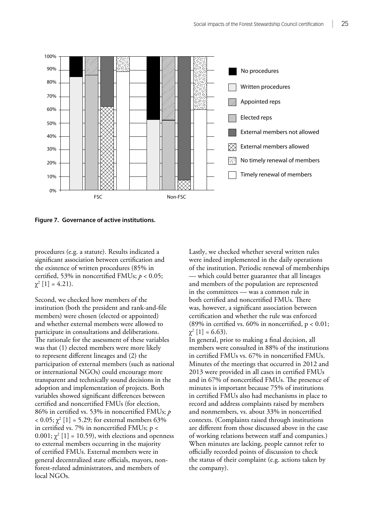

**Figure 7. Governance of active institutions.**

procedures (e.g. a statute). Results indicated a significant association between certification and the existence of written procedures (85% in certified, 53% in noncertified FMUs; *p* < 0.05;  $\chi^2$  [1] = 4.21).

Second, we checked how members of the institution (both the president and rank-and-file members) were chosen (elected or appointed) and whether external members were allowed to participate in consultations and deliberations. The rationale for the assessment of these variables was that (1) elected members were more likely to represent different lineages and (2) the participation of external members (such as national or international NGOs) could encourage more transparent and technically sound decisions in the adoption and implementation of projects. Both variables showed significant differences between certified and noncertified FMUs (for election, 86% in certified vs. 53% in noncertified FMUs; *p*  $< 0.05; \chi^2 [1] = 5.29;$  for external members 63% in certified vs. 7% in noncertified FMUs; p <  $0.001$ ;  $\chi^2$  [1] = 10.59), with elections and openness to external members occurring in the majority of certified FMUs. External members were in general decentralized state officials, mayors, nonforest-related administrators, and members of local NGOs.

Lastly, we checked whether several written rules were indeed implemented in the daily operations of the institution. Periodic renewal of memberships — which could better guarantee that all lineages and members of the population are represented in the committees — was a common rule in both certified and noncertified FMUs. There was, however, a significant association between certification and whether the rule was enforced (89% in certified vs.  $60\%$  in noncertified, p < 0.01;  $\chi^2$  [1] = 6.63).

In general, prior to making a final decision, all members were consulted in 88% of the institutions in certified FMUs vs. 67% in noncertified FMUs. Minutes of the meetings that occurred in 2012 and 2013 were provided in all cases in certified FMUs and in 67% of noncertified FMUs. The presence of minutes is important because 75% of institutions in certified FMUs also had mechanisms in place to record and address complaints raised by members and nonmembers, vs. about 33% in noncertified contexts. (Complaints raised through institutions are different from those discussed above in the case of working relations between staff and companies.) When minutes are lacking, people cannot refer to officially recorded points of discussion to check the status of their complaint (e.g. actions taken by the company).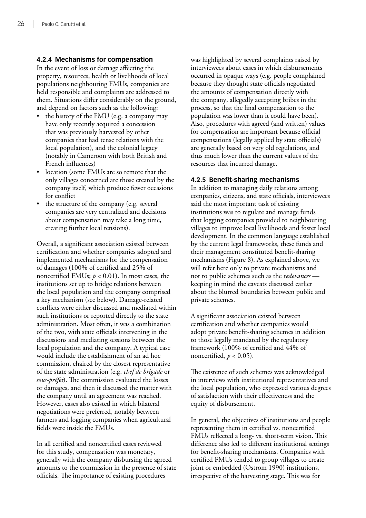# **4.2.4 Mechanisms for compensation**

In the event of loss or damage affecting the property, resources, health or livelihoods of local populations neighbouring FMUs, companies are held responsible and complaints are addressed to them. Situations differ considerably on the ground, and depend on factors such as the following:

- the history of the FMU (e.g. a company may have only recently acquired a concession that was previously harvested by other companies that had tense relations with the local population), and the colonial legacy (notably in Cameroon with both British and French influences)
- location (some FMUs are so remote that the only villages concerned are those created by the company itself, which produce fewer occasions for conflict
- the structure of the company (e.g. several companies are very centralized and decisions about compensation may take a long time, creating further local tensions).

Overall, a significant association existed between certification and whether companies adopted and implemented mechanisms for the compensation of damages (100% of certified and 25% of noncertified FMUs;  $p < 0.01$ ). In most cases, the institutions set up to bridge relations between the local population and the company comprised a key mechanism (see below). Damage-related conflicts were either discussed and mediated within such institutions or reported directly to the state administration. Most often, it was a combination of the two, with state officials intervening in the discussions and mediating sessions between the local population and the company. A typical case would include the establishment of an ad hoc commission, chaired by the closest representative of the state administration (e.g. *chef de brigade* or *sous-préfet*). The commission evaluated the losses or damages, and then it discussed the matter with the company until an agreement was reached. However, cases also existed in which bilateral negotiations were preferred, notably between farmers and logging companies when agricultural fields were inside the FMUs.

In all certified and noncertified cases reviewed for this study, compensation was monetary, generally with the company disbursing the agreed amounts to the commission in the presence of state officials. The importance of existing procedures

was highlighted by several complaints raised by interviewees about cases in which disbursements occurred in opaque ways (e.g. people complained because they thought state officials negotiated the amounts of compensation directly with the company, allegedly accepting bribes in the process, so that the final compensation to the population was lower than it could have been). Also, procedures with agreed (and written) values for compensation are important because official compensations (legally applied by state officials) are generally based on very old regulations, and thus much lower than the current values of the resources that incurred damage.

# **4.2.5 Benefit-sharing mechanisms**

In addition to managing daily relations among companies, citizens, and state officials, interviewees said the most important task of existing institutions was to regulate and manage funds that logging companies provided to neighbouring villages to improve local livelihoods and foster local development. In the common language established by the current legal frameworks, these funds and their management constituted benefit-sharing mechanisms (Figure 8). As explained above, we will refer here only to private mechanisms and not to public schemes such as the *redevances*  keeping in mind the caveats discussed earlier about the blurred boundaries between public and private schemes.

A significant association existed between certification and whether companies would adopt private benefit-sharing schemes in addition to those legally mandated by the regulatory framework (100% of certified and 44% of noncertified,  $p < 0.05$ ).

The existence of such schemes was acknowledged in interviews with institutional representatives and the local population, who expressed various degrees of satisfaction with their effectiveness and the equity of disbursement.

In general, the objectives of institutions and people representing them in certified vs. noncertified FMUs reflected a long- vs. short-term vision. This difference also led to different institutional settings for benefit-sharing mechanisms. Companies with certified FMUs tended to group villages to create joint or embedded (Ostrom 1990) institutions, irrespective of the harvesting stage. This was for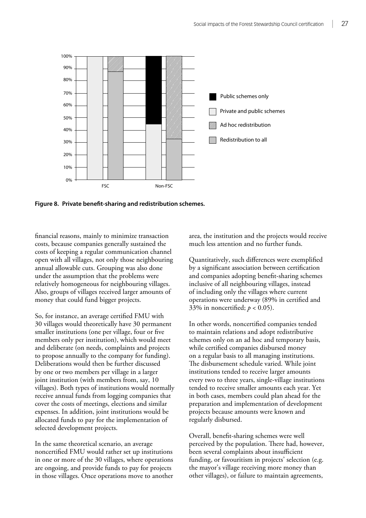

**Figure 8. Private benefit-sharing and redistribution schemes.**

financial reasons, mainly to minimize transaction costs, because companies generally sustained the costs of keeping a regular communication channel open with all villages, not only those neighbouring annual allowable cuts. Grouping was also done under the assumption that the problems were relatively homogeneous for neighbouring villages. Also, groups of villages received larger amounts of money that could fund bigger projects.

So, for instance, an average certified FMU with 30 villages would theoretically have 30 permanent smaller institutions (one per village, four or five members only per institution), which would meet and deliberate (on needs, complaints and projects to propose annually to the company for funding). Deliberations would then be further discussed by one or two members per village in a larger joint institution (with members from, say, 10 villages). Both types of institutions would normally receive annual funds from logging companies that cover the costs of meetings, elections and similar expenses. In addition, joint institutions would be allocated funds to pay for the implementation of selected development projects.

In the same theoretical scenario, an average noncertified FMU would rather set up institutions in one or more of the 30 villages, where operations are ongoing, and provide funds to pay for projects in those villages. Once operations move to another area, the institution and the projects would receive much less attention and no further funds.

Quantitatively, such differences were exemplified by a significant association between certification and companies adopting benefit-sharing schemes inclusive of all neighbouring villages, instead of including only the villages where current operations were underway (89% in certified and 33% in noncertified;  $p < 0.05$ ).

In other words, noncertified companies tended to maintain relations and adopt redistributive schemes only on an ad hoc and temporary basis, while certified companies disbursed money on a regular basis to all managing institutions. The disbursement schedule varied. While joint institutions tended to receive larger amounts every two to three years, single-village institutions tended to receive smaller amounts each year. Yet in both cases, members could plan ahead for the preparation and implementation of development projects because amounts were known and regularly disbursed.

Overall, benefit-sharing schemes were well perceived by the population. There had, however, been several complaints about insufficient funding, or favouritism in projects' selection (e.g. the mayor's village receiving more money than other villages), or failure to maintain agreements,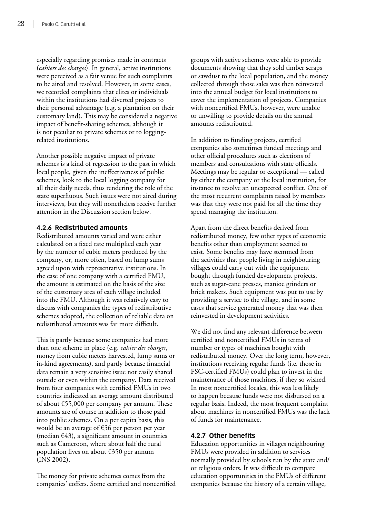especially regarding promises made in contracts (*cahiers des charges*). In general, active institutions were perceived as a fair venue for such complaints to be aired and resolved. However, in some cases, we recorded complaints that elites or individuals within the institutions had diverted projects to their personal advantage (e.g. a plantation on their customary land). This may be considered a negative impact of benefit-sharing schemes, although it is not peculiar to private schemes or to loggingrelated institutions.

Another possible negative impact of private schemes is a kind of regression to the past in which local people, given the ineffectiveness of public schemes, look to the local logging company for all their daily needs, thus rendering the role of the state superfluous. Such issues were not aired during interviews, but they will nonetheless receive further attention in the Discussion section below.

# **4.2.6 Redistributed amounts**

Redistributed amounts varied and were either calculated on a fixed rate multiplied each year by the number of cubic meters produced by the company, or, more often, based on lump sums agreed upon with representative institutions. In the case of one company with a certified FMU, the amount is estimated on the basis of the size of the customary area of each village included into the FMU. Although it was relatively easy to discuss with companies the types of redistributive schemes adopted, the collection of reliable data on redistributed amounts was far more difficult.

This is partly because some companies had more than one scheme in place (e.g. *cahier des charges*, money from cubic meters harvested, lump sums or in-kind agreements), and partly because financial data remain a very sensitive issue not easily shared outside or even within the company. Data received from four companies with certified FMUs in two countries indicated an average amount distributed of about €55,000 per company per annum. These amounts are of course in addition to those paid into public schemes. On a per capita basis, this would be an average of €56 per person per year (median  $\epsilon$ 43), a significant amount in countries such as Cameroon, where about half the rural population lives on about €350 per annum (INS 2002).

The money for private schemes comes from the companies' coffers. Some certified and noncertified groups with active schemes were able to provide documents showing that they sold timber scraps or sawdust to the local population, and the money collected through those sales was then reinvested into the annual budget for local institutions to cover the implementation of projects. Companies with noncertified FMUs, however, were unable or unwilling to provide details on the annual amounts redistributed.

In addition to funding projects, certified companies also sometimes funded meetings and other official procedures such as elections of members and consultations with state officials. Meetings may be regular or exceptional — called by either the company or the local institution, for instance to resolve an unexpected conflict. One of the most recurrent complaints raised by members was that they were not paid for all the time they spend managing the institution.

Apart from the direct benefits derived from redistributed money, few other types of economic benefits other than employment seemed to exist. Some benefits may have stemmed from the activities that people living in neighbouring villages could carry out with the equipment bought through funded development projects, such as sugar-cane presses, manioc grinders or brick makers. Such equipment was put to use by providing a service to the village, and in some cases that service generated money that was then reinvested in development activities.

We did not find any relevant difference between certified and noncertified FMUs in terms of number or types of machines bought with redistributed money. Over the long term, however, institutions receiving regular funds (i.e. those in FSC-certified FMUs) could plan to invest in the maintenance of those machines, if they so wished. In most noncertified locales, this was less likely to happen because funds were not disbursed on a regular basis. Indeed, the most frequent complaint about machines in noncertified FMUs was the lack of funds for maintenance.

# **4.2.7 Other benefits**

Education opportunities in villages neighbouring FMUs were provided in addition to services normally provided by schools run by the state and/ or religious orders. It was difficult to compare education opportunities in the FMUs of different companies because the history of a certain village,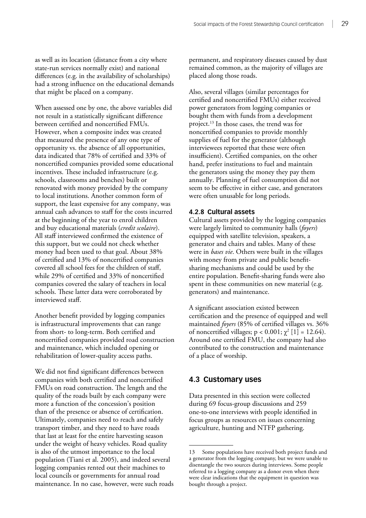as well as its location (distance from a city where state-run services normally exist) and national differences (e.g. in the availability of scholarships) had a strong influence on the educational demands that might be placed on a company.

When assessed one by one, the above variables did not result in a statistically significant difference between certified and noncertified FMUs. However, when a composite index was created that measured the presence of any one type of opportunity vs. the absence of all opportunities, data indicated that 78% of certified and 33% of noncertified companies provided some educational incentives. These included infrastructure (e.g. schools, classrooms and benches) built or renovated with money provided by the company to local institutions. Another common form of support, the least expensive for any company, was annual cash advances to staff for the costs incurred at the beginning of the year to enrol children and buy educational materials (*credit scolaire*). All staff interviewed confirmed the existence of this support, but we could not check whether money had been used to that goal. About 38% of certified and 13% of noncertified companies covered all school fees for the children of staff, while 29% of certified and 33% of noncertified companies covered the salary of teachers in local schools. These latter data were corroborated by interviewed staff.

Another benefit provided by logging companies is infrastructural improvements that can range from short- to long-term. Both certified and noncertified companies provided road construction and maintenance, which included opening or rehabilitation of lower-quality access paths.

We did not find significant differences between companies with both certified and noncertified FMUs on road construction. The length and the quality of the roads built by each company were more a function of the concession's position than of the presence or absence of certification. Ultimately, companies need to reach and safely transport timber, and they need to have roads that last at least for the entire harvesting season under the weight of heavy vehicles. Road quality is also of the utmost importance to the local population (Tiani et al. 2005), and indeed several logging companies rented out their machines to local councils or governments for annual road maintenance. In no case, however, were such roads permanent, and respiratory diseases caused by dust remained common, as the majority of villages are placed along those roads.

Also, several villages (similar percentages for certified and noncertified FMUs) either received power generators from logging companies or bought them with funds from a development project.13 In those cases, the trend was for noncertified companies to provide monthly supplies of fuel for the generator (although interviewees reported that these were often insufficient). Certified companies, on the other hand, prefer institutions to fuel and maintain the generators using the money they pay them annually. Planning of fuel consumption did not seem to be effective in either case, and generators were often unusable for long periods.

#### **4.2.8 Cultural assets**

Cultural assets provided by the logging companies were largely limited to community halls (*foyers*) equipped with satellite television, speakers, a generator and chairs and tables. Many of these were in *bases vie*. Others were built in the villages with money from private and public benefitsharing mechanisms and could be used by the entire population. Benefit-sharing funds were also spent in these communities on new material (e.g. generators) and maintenance.

A significant association existed between certification and the presence of equipped and well maintained *foyers* (85% of certified villages vs. 36% of noncertified villages; p < 0.001;  $\chi^2$  [1] = 12.64). Around one certified FMU, the company had also contributed to the construction and maintenance of a place of worship.

# **4.3 Customary uses**

Data presented in this section were collected during 69 focus-group discussions and 259 one-to-one interviews with people identified in focus groups as resources on issues concerning agriculture, hunting and NTFP gathering.

<sup>13</sup> Some populations have received both project funds and a generator from the logging company, but we were unable to disentangle the two sources during interviews. Some people referred to a logging company as a donor even when there were clear indications that the equipment in question was bought through a project.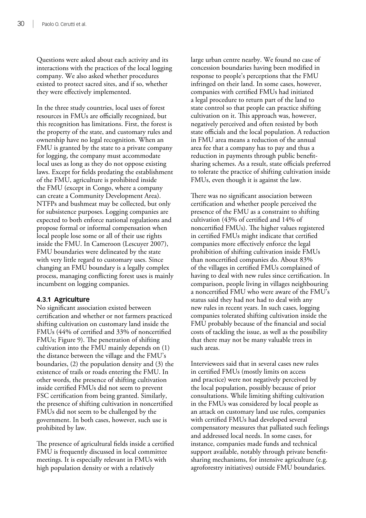Questions were asked about each activity and its interactions with the practices of the local logging company. We also asked whether procedures existed to protect sacred sites, and if so, whether they were effectively implemented.

In the three study countries, local uses of forest resources in FMUs are officially recognized, but this recognition has limitations. First, the forest is the property of the state, and customary rules and ownership have no legal recognition. When an FMU is granted by the state to a private company for logging, the company must accommodate local uses as long as they do not oppose existing laws. Except for fields predating the establishment of the FMU, agriculture is prohibited inside the FMU (except in Congo, where a company can create a Community Development Area). NTFPs and bushmeat may be collected, but only for subsistence purposes. Logging companies are expected to both enforce national regulations and propose formal or informal compensation when local people lose some or all of their use rights inside the FMU. In Cameroon (Lescuyer 2007), FMU boundaries were delineated by the state with very little regard to customary uses. Since changing an FMU boundary is a legally complex process, managing conflicting forest uses is mainly incumbent on logging companies.

# **4.3.1 Agriculture**

No significant association existed between certification and whether or not farmers practiced shifting cultivation on customary land inside the FMUs (44% of certified and 33% of noncertified FMUs; Figure 9). The penetration of shifting cultivation into the FMU mainly depends on (1) the distance between the village and the FMU's boundaries, (2) the population density and (3) the existence of trails or roads entering the FMU. In other words, the presence of shifting cultivation inside certified FMUs did not seem to prevent FSC certification from being granted. Similarly, the presence of shifting cultivation in noncertified FMUs did not seem to be challenged by the government. In both cases, however, such use is prohibited by law.

The presence of agricultural fields inside a certified FMU is frequently discussed in local committee meetings. It is especially relevant in FMUs with high population density or with a relatively

large urban centre nearby. We found no case of concession boundaries having been modified in response to people's perceptions that the FMU infringed on their land. In some cases, however, companies with certified FMUs had initiated a legal procedure to return part of the land to state control so that people can practice shifting cultivation on it. This approach was, however, negatively perceived and often resisted by both state officials and the local population. A reduction in FMU area means a reduction of the annual area fee that a company has to pay and thus a reduction in payments through public benefitsharing schemes. As a result, state officials preferred to tolerate the practice of shifting cultivation inside FMUs, even though it is against the law.

There was no significant association between certification and whether people perceived the presence of the FMU as a constraint to shifting cultivation (43% of certified and 14% of noncertified FMUs). The higher values registered in certified FMUs might indicate that certified companies more effectively enforce the legal prohibition of shifting cultivation inside FMUs than noncertified companies do. About 83% of the villages in certified FMUs complained of having to deal with new rules since certification. In comparison, people living in villages neighbouring a noncertified FMU who were aware of the FMU's status said they had not had to deal with any new rules in recent years. In such cases, logging companies tolerated shifting cultivation inside the FMU probably because of the financial and social costs of tackling the issue, as well as the possibility that there may not be many valuable trees in such areas.

Interviewees said that in several cases new rules in certified FMUs (mostly limits on access and practice) were not negatively perceived by the local population, possibly because of prior consultations. While limiting shifting cultivation in the FMUs was considered by local people as an attack on customary land use rules, companies with certified FMUs had developed several compensatory measures that palliated such feelings and addressed local needs. In some cases, for instance, companies made funds and technical support available, notably through private benefitsharing mechanisms, for intensive agriculture (e.g. agroforestry initiatives) outside FMU boundaries.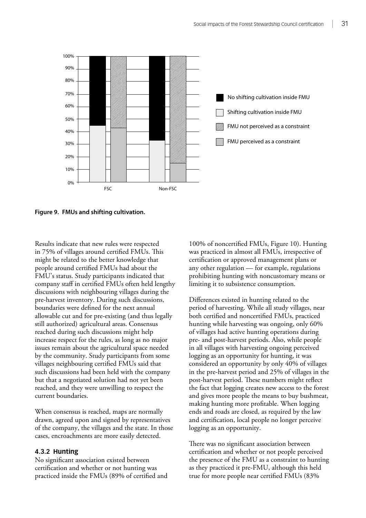

**Figure 9. FMUs and shifting cultivation.**

Results indicate that new rules were respected in 75% of villages around certified FMUs. This might be related to the better knowledge that people around certified FMUs had about the FMU's status. Study participants indicated that company staff in certified FMUs often held lengthy discussions with neighbouring villages during the pre-harvest inventory. During such discussions, boundaries were defined for the next annual allowable cut and for pre-existing (and thus legally still authorized) agricultural areas. Consensus reached during such discussions might help increase respect for the rules, as long as no major issues remain about the agricultural space needed by the community. Study participants from some villages neighbouring certified FMUs said that such discussions had been held with the company but that a negotiated solution had not yet been reached, and they were unwilling to respect the current boundaries.

When consensus is reached, maps are normally drawn, agreed upon and signed by representatives of the company, the villages and the state. In those cases, encroachments are more easily detected.

# **4.3.2 Hunting**

No significant association existed between certification and whether or not hunting was practiced inside the FMUs (89% of certified and 100% of noncertified FMUs, Figure 10). Hunting was practiced in almost all FMUs, irrespective of certification or approved management plans or any other regulation — for example, regulations prohibiting hunting with noncustomary means or limiting it to subsistence consumption.

Differences existed in hunting related to the period of harvesting. While all study villages, near both certified and noncertified FMUs, practiced hunting while harvesting was ongoing, only 60% of villages had active hunting operations during pre- and post-harvest periods. Also, while people in all villages with harvesting ongoing perceived logging as an opportunity for hunting, it was considered an opportunity by only 40% of villages in the pre-harvest period and 25% of villages in the post-harvest period. These numbers might reflect the fact that logging creates new access to the forest and gives more people the means to buy bushmeat, making hunting more profitable. When logging ends and roads are closed, as required by the law and certification, local people no longer perceive logging as an opportunity.

There was no significant association between certification and whether or not people perceived the presence of the FMU as a constraint to hunting as they practiced it pre-FMU, although this held true for more people near certified FMUs (83%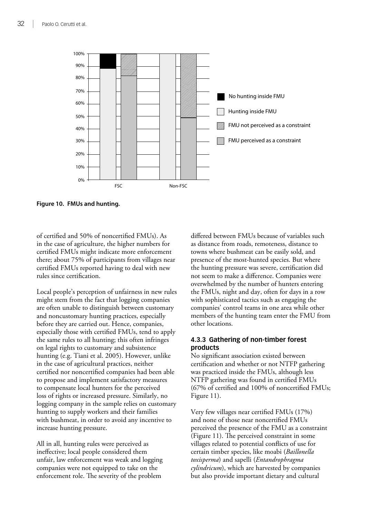

**Figure 10. FMUs and hunting.**

of certified and 50% of noncertified FMUs). As in the case of agriculture, the higher numbers for certified FMUs might indicate more enforcement there; about 75% of participants from villages near certified FMUs reported having to deal with new rules since certification.

Local people's perception of unfairness in new rules might stem from the fact that logging companies are often unable to distinguish between customary and noncustomary hunting practices, especially before they are carried out. Hence, companies, especially those with certified FMUs, tend to apply the same rules to all hunting; this often infringes on legal rights to customary and subsistence hunting (e.g. Tiani et al. 2005). However, unlike in the case of agricultural practices, neither certified nor noncertified companies had been able to propose and implement satisfactory measures to compensate local hunters for the perceived loss of rights or increased pressure. Similarly, no logging company in the sample relies on customary hunting to supply workers and their families with bushmeat, in order to avoid any incentive to increase hunting pressure.

All in all, hunting rules were perceived as ineffective; local people considered them unfair, law enforcement was weak and logging companies were not equipped to take on the enforcement role. The severity of the problem

differed between FMUs because of variables such as distance from roads, remoteness, distance to towns where bushmeat can be easily sold, and presence of the most-hunted species. But where the hunting pressure was severe, certification did not seem to make a difference. Companies were overwhelmed by the number of hunters entering the FMUs, night and day, often for days in a row with sophisticated tactics such as engaging the companies' control teams in one area while other members of the hunting team enter the FMU from other locations.

# **4.3.3 Gathering of non-timber forest products**

No significant association existed between certification and whether or not NTFP gathering was practiced inside the FMUs, although less NTFP gathering was found in certified FMUs (67% of certified and 100% of noncertified FMUs; Figure 11).

Very few villages near certified FMUs (17%) and none of those near noncertified FMUs perceived the presence of the FMU as a constraint (Figure 11). The perceived constraint in some villages related to potential conflicts of use for certain timber species, like moabi (*Baillonella toxisperma*) and sapelli (*Entandrophragma cylindricum*), which are harvested by companies but also provide important dietary and cultural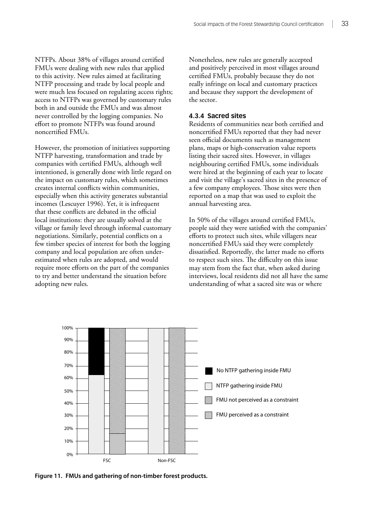NTFPs. About 38% of villages around certified FMUs were dealing with new rules that applied to this activity. New rules aimed at facilitating NTFP processing and trade by local people and were much less focused on regulating access rights; access to NTFPs was governed by customary rules both in and outside the FMUs and was almost never controlled by the logging companies. No effort to promote NTFPs was found around noncertified FMUs.

However, the promotion of initiatives supporting NTFP harvesting, transformation and trade by companies with certified FMUs, although well intentioned, is generally done with little regard on the impact on customary rules, which sometimes creates internal conflicts within communities, especially when this activity generates substantial incomes (Lescuyer 1996). Yet, it is infrequent that these conflicts are debated in the official local institutions: they are usually solved at the village or family level through informal customary negotiations. Similarly, potential conflicts on a few timber species of interest for both the logging company and local population are often underestimated when rules are adopted, and would require more efforts on the part of the companies to try and better understand the situation before adopting new rules.

Nonetheless, new rules are generally accepted and positively perceived in most villages around certified FMUs, probably because they do not really infringe on local and customary practices and because they support the development of the sector.

# **4.3.4 Sacred sites**

Residents of communities near both certified and noncertified FMUs reported that they had never seen official documents such as management plans, maps or high-conservation value reports listing their sacred sites. However, in villages neighbouring certified FMUs, some individuals were hired at the beginning of each year to locate and visit the village's sacred sites in the presence of a few company employees. Those sites were then reported on a map that was used to exploit the annual harvesting area.

In 50% of the villages around certified FMUs, people said they were satisfied with the companies' efforts to protect such sites, while villagers near noncertified FMUs said they were completely dissatisfied. Reportedly, the latter made no efforts to respect such sites. The difficulty on this issue may stem from the fact that, when asked during interviews, local residents did not all have the same understanding of what a sacred site was or where



**Figure 11. FMUs and gathering of non-timber forest products.**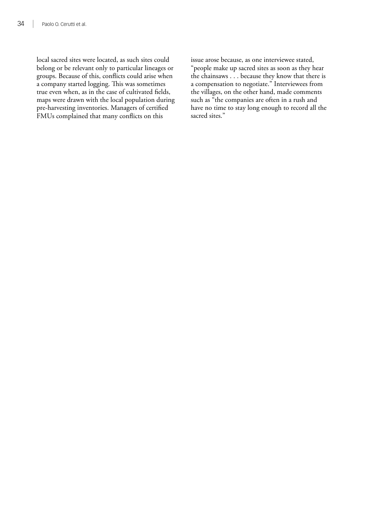local sacred sites were located, as such sites could belong or be relevant only to particular lineages or groups. Because of this, conflicts could arise when a company started logging. This was sometimes true even when, as in the case of cultivated fields, maps were drawn with the local population during pre-harvesting inventories. Managers of certified FMUs complained that many conflicts on this

issue arose because, as one interviewee stated, "people make up sacred sites as soon as they hear the chainsaws . . . because they know that there is a compensation to negotiate." Interviewees from the villages, on the other hand, made comments such as "the companies are often in a rush and have no time to stay long enough to record all the sacred sites."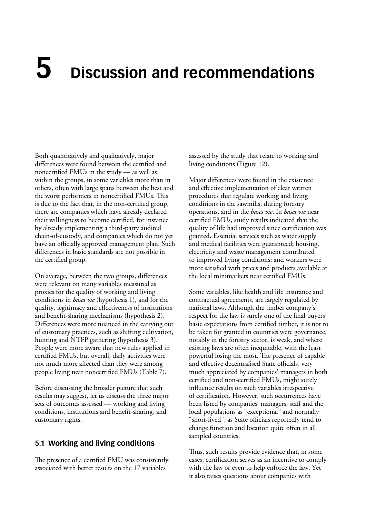# **5 Discussion and recommendations**

Both quantitatively and qualitatively, major differences were found between the certified and noncertified FMUs in the study — as well as within the groups, in some variables more than in others, often with large spans between the best and the worst performers in noncertified FMUs. This is due to the fact that, in the non-certified group, there are companies which have already declared their willingness to become certified, for instance by already implementing a third-party audited chain-of-custody, and companies which do not yet have an officially approved management plan. Such differences in basic standards are not possible in the certified group.

On average, between the two groups, differences were relevant on many variables measured as proxies for the quality of working and living conditions in *bases vie* (hypothesis 1), and for the quality, legitimacy and effectiveness of institutions and benefit-sharing mechanisms (hypothesis 2). Differences were more nuanced in the carrying out of customary practices, such as shifting cultivation, hunting and NTFP gathering (hypothesis 3). People were more aware that new rules applied in certified FMUs, but overall, daily activities were not much more affected than they were among people living near noncertified FMUs (Table 7).

Before discussing the broader picture that such results may suggest, let us discuss the three major sets of outcomes assessed — working and living conditions, institutions and benefit-sharing, and customary rights.

# **5.1 Working and living conditions**

The presence of a certified FMU was consistently associated with better results on the 17 variables

assessed by the study that relate to working and living conditions (Figure 12).

Major differences were found in the existence and effective implementation of clear written procedures that regulate working and living conditions in the sawmills, during forestry operations, and in the *bases vie*. In *bases vie* near certified FMUs, study results indicated that the quality of life had improved since certification was granted. Essential services such as water supply and medical facilities were guaranteed; housing, electricity and waste management contributed to improved living conditions; and workers were more satisfied with prices and products available at the local minimarkets near certified FMUs.

Some variables, like health and life insurance and contractual agreements, are largely regulated by national laws. Although the timber company's respect for the law is surely one of the final buyers' basic expectations from certified timber, it is not to be taken for granted in countries were governance, notably in the forestry sector, is weak, and where existing laws are often inequitable, with the least powerful losing the most. The presence of capable and effective decentralised State officials, very much appreciated by companies' managers in both certified and non-certified FMUs, might surely influence results on such variables irrespective of certification. However, such occurrences have been listed by companies' managers, staff and the local populations as "exceptional" and normally "short-lived", as State officials reportedly tend to change function and location quite often in all sampled countries.

Thus, such results provide evidence that, in some cases, certification serves as an incentive to comply with the law or even to help enforce the law. Yet it also raises questions about companies with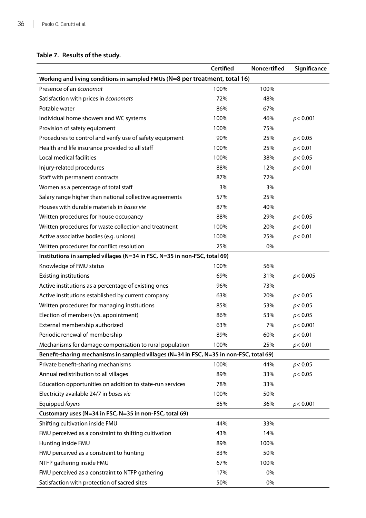# **Table 7. Results of the study.**

|                                                                                         | Certified | <b>Noncertified</b> | Significance |  |  |
|-----------------------------------------------------------------------------------------|-----------|---------------------|--------------|--|--|
| Working and living conditions in sampled FMUs (N=8 per treatment, total 16)             |           |                     |              |  |  |
| Presence of an économat                                                                 | 100%      | 100%                |              |  |  |
| Satisfaction with prices in économats                                                   | 72%       | 48%                 |              |  |  |
| Potable water                                                                           | 86%       | 67%                 |              |  |  |
| Individual home showers and WC systems                                                  | 100%      | 46%                 | p<0.001      |  |  |
| Provision of safety equipment                                                           | 100%      | 75%                 |              |  |  |
| Procedures to control and verify use of safety equipment                                | 90%       | 25%                 | p< 0.05      |  |  |
| Health and life insurance provided to all staff                                         | 100%      | 25%                 | p<0.01       |  |  |
| Local medical facilities                                                                | 100%      | 38%                 | p< 0.05      |  |  |
| Injury-related procedures                                                               | 88%       | 12%                 | p < 0.01     |  |  |
| Staff with permanent contracts                                                          | 87%       | 72%                 |              |  |  |
| Women as a percentage of total staff                                                    | 3%        | 3%                  |              |  |  |
| Salary range higher than national collective agreements                                 | 57%       | 25%                 |              |  |  |
| Houses with durable materials in bases vie                                              | 87%       | 40%                 |              |  |  |
| Written procedures for house occupancy                                                  | 88%       | 29%                 | p< 0.05      |  |  |
| Written procedures for waste collection and treatment                                   | 100%      | 20%                 | p < 0.01     |  |  |
| Active associative bodies (e.g. unions)                                                 | 100%      | 25%                 | p< 0.01      |  |  |
| Written procedures for conflict resolution                                              | 25%       | 0%                  |              |  |  |
| Institutions in sampled villages (N=34 in FSC, N=35 in non-FSC, total 69)               |           |                     |              |  |  |
| Knowledge of FMU status                                                                 | 100%      | 56%                 |              |  |  |
| <b>Existing institutions</b>                                                            | 69%       | 31%                 | p<0.005      |  |  |
| Active institutions as a percentage of existing ones                                    | 96%       | 73%                 |              |  |  |
| Active institutions established by current company                                      | 63%       | 20%                 | p< 0.05      |  |  |
| Written procedures for managing institutions                                            | 85%       | 53%                 | p< 0.05      |  |  |
| Election of members (vs. appointment)                                                   | 86%       | 53%                 | p< 0.05      |  |  |
| External membership authorized                                                          | 63%       | 7%                  | p < 0.001    |  |  |
| Periodic renewal of membership                                                          | 89%       | 60%                 | p< 0.01      |  |  |
| Mechanisms for damage compensation to rural population                                  | 100%      | 25%                 | p<0.01       |  |  |
| Benefit-sharing mechanisms in sampled villages (N=34 in FSC, N=35 in non-FSC, total 69) |           |                     |              |  |  |
| Private benefit-sharing mechanisms                                                      | 100%      | 44%                 | p< 0.05      |  |  |
| Annual redistribution to all villages                                                   | 89%       | 33%                 | p< 0.05      |  |  |
| Education opportunities on addition to state-run services                               | 78%       | 33%                 |              |  |  |
| Electricity available 24/7 in bases vie                                                 | 100%      | 50%                 |              |  |  |
| Equipped foyers                                                                         | 85%       | 36%                 | p < 0.001    |  |  |
| Customary uses (N=34 in FSC, N=35 in non-FSC, total 69)                                 |           |                     |              |  |  |
| Shifting cultivation inside FMU                                                         | 44%       | 33%                 |              |  |  |
| FMU perceived as a constraint to shifting cultivation                                   | 43%       | 14%                 |              |  |  |
| Hunting inside FMU                                                                      | 89%       | 100%                |              |  |  |
| FMU perceived as a constraint to hunting                                                | 83%       | 50%                 |              |  |  |
| NTFP gathering inside FMU                                                               | 67%       | 100%                |              |  |  |
| FMU perceived as a constraint to NTFP gathering                                         | 17%       | 0%                  |              |  |  |
| Satisfaction with protection of sacred sites                                            | 50%       | 0%                  |              |  |  |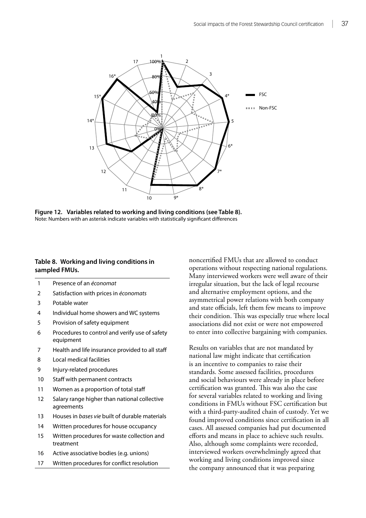

**Figure 12. Variables related to working and living conditions (see Table 8).** Note: Numbers with an asterisk indicate variables with statistically significant differences

# **Table 8. Working and living conditions in sampled FMUs.**

- 1 Presence of an *économat*
- 2 Satisfaction with prices in *économats*
- 3 Potable water
- 4 Individual home showers and WC systems
- 5 Provision of safety equipment
- 6 Procedures to control and verify use of safety equipment
- 7 Health and life insurance provided to all staff
- 8 Local medical facilities
- 9 Injury-related procedures
- 10 Staff with permanent contracts
- 11 Women as a proportion of total staff
- 12 Salary range higher than national collective agreements
- 13 Houses in *bases vie* built of durable materials
- 14 Written procedures for house occupancy
- 15 Written procedures for waste collection and treatment
- 16 Active associative bodies (e.g. unions)
- 17 Written procedures for conflict resolution

noncertified FMUs that are allowed to conduct operations without respecting national regulations. Many interviewed workers were well aware of their irregular situation, but the lack of legal recourse and alternative employment options, and the asymmetrical power relations with both company and state officials, left them few means to improve their condition. This was especially true where local associations did not exist or were not empowered to enter into collective bargaining with companies.

Results on variables that are not mandated by national law might indicate that certification is an incentive to companies to raise their standards. Some assessed facilities, procedures and social behaviours were already in place before certification was granted. This was also the case for several variables related to working and living conditions in FMUs without FSC certification but with a third-party-audited chain of custody. Yet we found improved conditions since certification in all cases. All assessed companies had put documented efforts and means in place to achieve such results. Also, although some complaints were recorded, interviewed workers overwhelmingly agreed that working and living conditions improved since the company announced that it was preparing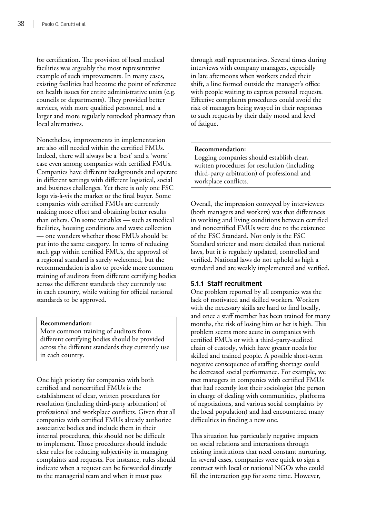for certification. The provision of local medical facilities was arguably the most representative example of such improvements. In many cases, existing facilities had become the point of reference on health issues for entire administrative units (e.g. councils or departments). They provided better services, with more qualified personnel, and a larger and more regularly restocked pharmacy than local alternatives.

Nonetheless, improvements in implementation are also still needed within the certified FMUs. Indeed, there will always be a 'best' and a 'worst' case even among companies with certified FMUs. Companies have different backgrounds and operate in different settings with different logistical, social and business challenges. Yet there is only one FSC logo vis-à-vis the market or the final buyer. Some companies with certified FMUs are currently making more effort and obtaining better results than others. On some variables — such as medical facilities, housing conditions and waste collection — one wonders whether those FMUs should be put into the same category. In terms of reducing such gap within certified FMUs, the approval of a regional standard is surely welcomed, but the recommendation is also to provide more common training of auditors from different certifying bodies across the different standards they currently use in each country, while waiting for official national standards to be approved.

#### **Recommendation:**

More common training of auditors from different certifying bodies should be provided across the different standards they currently use in each country.

One high priority for companies with both certified and noncertified FMUs is the establishment of clear, written procedures for resolution (including third-party arbitration) of professional and workplace conflicts. Given that all companies with certified FMUs already authorize associative bodies and include them in their internal procedures, this should not be difficult to implement. Those procedures should include clear rules for reducing subjectivity in managing complaints and requests. For instance, rules should indicate when a request can be forwarded directly to the managerial team and when it must pass

through staff representatives. Several times during interviews with company managers, especially in late afternoons when workers ended their shift, a line formed outside the manager's office with people waiting to express personal requests. Effective complaints procedures could avoid the risk of managers being swayed in their responses to such requests by their daily mood and level of fatigue.

#### **Recommendation:**

Logging companies should establish clear, written procedures for resolution (including third-party arbitration) of professional and workplace conflicts.

Overall, the impression conveyed by interviewees (both managers and workers) was that differences in working and living conditions between certified and noncertified FMUs were due to the existence of the FSC Standard. Not only is the FSC Standard stricter and more detailed than national laws, but it is regularly updated, controlled and verified. National laws do not uphold as high a standard and are weakly implemented and verified.

#### **5.1.1 Staff recruitment**

One problem reported by all companies was the lack of motivated and skilled workers. Workers with the necessary skills are hard to find locally, and once a staff member has been trained for many months, the risk of losing him or her is high. This problem seems more acute in companies with certified FMUs or with a third-party-audited chain of custody, which have greater needs for skilled and trained people. A possible short-term negative consequence of staffing shortage could be decreased social performance. For example, we met managers in companies with certified FMUs that had recently lost their sociologist (the person in charge of dealing with communities, platforms of negotiations, and various social complaints by the local population) and had encountered many difficulties in finding a new one.

This situation has particularly negative impacts on social relations and interactions through existing institutions that need constant nurturing. In several cases, companies were quick to sign a contract with local or national NGOs who could fill the interaction gap for some time. However,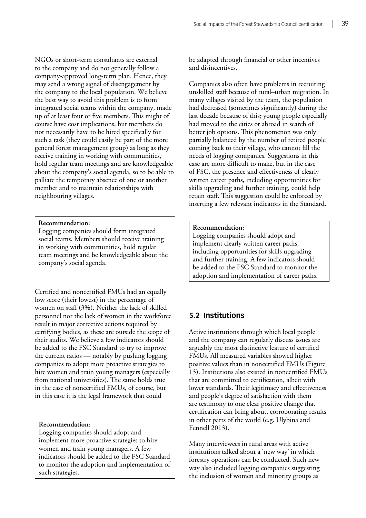NGOs or short-term consultants are external to the company and do not generally follow a company-approved long-term plan. Hence, they may send a wrong signal of disengagement by the company to the local population. We believe the best way to avoid this problem is to form integrated social teams within the company, made up of at least four or five members. This might of course have cost implications, but members do not necessarily have to be hired specifically for such a task (they could easily be part of the more general forest management group) as long as they receive training in working with communities, hold regular team meetings and are knowledgeable about the company's social agenda, so to be able to palliate the temporary absence of one or another member and to maintain relationships with neighbouring villages.

#### **Recommendation:**

Logging companies should form integrated social teams. Members should receive training in working with communities, hold regular team meetings and be knowledgeable about the company's social agenda.

Certified and noncertified FMUs had an equally low score (their lowest) in the percentage of women on staff (3%). Neither the lack of skilled personnel nor the lack of women in the workforce result in major corrective actions required by certifying bodies, as these are outside the scope of their audits. We believe a few indicators should be added to the FSC Standard to try to improve the current ratios — notably by pushing logging companies to adopt more proactive strategies to hire women and train young managers (especially from national universities). The same holds true in the case of noncertified FMUs, of course, but in this case it is the legal framework that could

**Recommendation:** 

Logging companies should adopt and implement more proactive strategies to hire women and train young managers. A few indicators should be added to the FSC Standard to monitor the adoption and implementation of such strategies.

be adapted through financial or other incentives and disincentives.

Companies also often have problems in recruiting unskilled staff because of rural–urban migration. In many villages visited by the team, the population had decreased (sometimes significantly) during the last decade because of this; young people especially had moved to the cities or abroad in search of better job options. This phenomenon was only partially balanced by the number of retired people coming back to their village, who cannot fill the needs of logging companies. Suggestions in this case are more difficult to make, but in the case of FSC, the presence and effectiveness of clearly written career paths, including opportunities for skills upgrading and further training, could help retain staff. This suggestion could be enforced by inserting a few relevant indicators in the Standard.

#### **Recommendation:**

Logging companies should adopt and implement clearly written career paths, including opportunities for skills upgrading and further training. A few indicators should be added to the FSC Standard to monitor the adoption and implementation of career paths.

# **5.2 Institutions**

Active institutions through which local people and the company can regularly discuss issues are arguably the most distinctive feature of certified FMUs. All measured variables showed higher positive values than in noncertified FMUs (Figure 13). Institutions also existed in noncertified FMUs that are committed to certification, albeit with lower standards. Their legitimacy and effectiveness and people's degree of satisfaction with them are testimony to one clear positive change that certification can bring about, corroborating results in other parts of the world (e.g. Ulybina and Fennell 2013).

Many interviewees in rural areas with active institutions talked about a 'new way' in which forestry operations can be conducted. Such new way also included logging companies suggesting the inclusion of women and minority groups as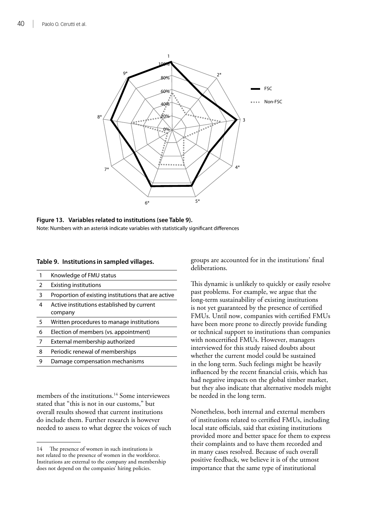

**Figure 13. Variables related to institutions (see Table 9).** Note: Numbers with an asterisk indicate variables with statistically significant differences

# **Table 9. Institutions in sampled villages.**

| 1 | Knowledge of FMU status                               |
|---|-------------------------------------------------------|
| 2 | <b>Existing institutions</b>                          |
| 3 | Proportion of existing institutions that are active   |
| 4 | Active institutions established by current<br>company |
|   |                                                       |
| 5 | Written procedures to manage institutions             |
| 6 | Election of members (vs. appointment)                 |
| 7 | External membership authorized                        |
| 8 | Periodic renewal of memberships                       |

members of the institutions.<sup>14</sup> Some interviewees stated that "this is not in our customs," but overall results showed that current institutions do include them. Further research is however needed to assess to what degree the voices of such groups are accounted for in the institutions' final deliberations.

This dynamic is unlikely to quickly or easily resolve past problems. For example, we argue that the long-term sustainability of existing institutions is not yet guaranteed by the presence of certified FMUs. Until now, companies with certified FMUs have been more prone to directly provide funding or technical support to institutions than companies with noncertified FMUs. However, managers interviewed for this study raised doubts about whether the current model could be sustained in the long term. Such feelings might be heavily influenced by the recent financial crisis, which has had negative impacts on the global timber market, but they also indicate that alternative models might be needed in the long term.

Nonetheless, both internal and external members of institutions related to certified FMUs, including local state officials, said that existing institutions provided more and better space for them to express their complaints and to have them recorded and in many cases resolved. Because of such overall positive feedback, we believe it is of the utmost importance that the same type of institutional

<sup>14</sup> The presence of women in such institutions is not related to the presence of women in the workforce. Institutions are external to the company and membership does not depend on the companies' hiring policies.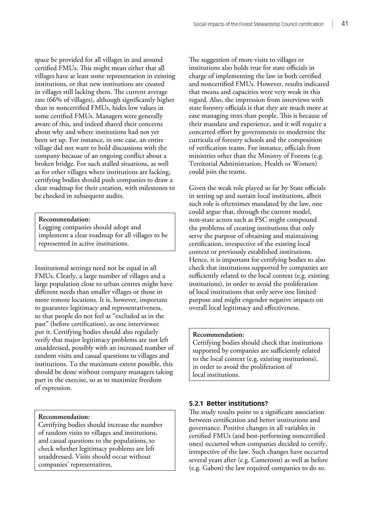space be provided for all villages in and around certified FMUs. This might mean either that all villages have at least some representation in existing institutions, or that new institutions are created in villages still lacking them. The current average rate (66% of villages), although significantly higher than in noncertified FMUs, hides low values in some certified FMUs. Managers were generally aware of this, and indeed shared their concerns about why and where institutions had not yet been set up. For instance, in one case, an entire village did not want to hold discussions with the company because of an ongoing conflict about a broken bridge. For such stalled situations, as well as for other villages where institutions are lacking, certifying bodies should push companies to draw a clear roadmap for their creation, with milestones to be checked in subsequent audits.

#### **Recommendation:**

Logging companies should adopt and implement a clear roadmap for all villages to be represented in active institutions.

Institutional settings need not be equal in all FMUs. Clearly, a large number of villages and a large population close to urban centres might have different needs than smaller villages or those in more remote locations. It is, however, important to guarantee legitimacy and representativeness, so that people do not feel as "excluded as in the past" (before certification), as one interviewee put it. Certifying bodies should also regularly verify that major legitimacy problems are not left unaddressed, possibly with an increased number of random visits and casual questions to villages and institutions. To the maximum extent possible, this should be done without company managers taking part in the exercise, so as to maximize freedom of expression.

#### **Recommendation:**

Certifying bodies should increase the number of random visits to villages and institutions, and casual questions to the populations, to check whether legitimacy problems are left unaddressed. Visits should occur without companies' representatives.

The suggestion of more visits to villages or institutions also holds true for state officials in charge of implementing the law in both certified and noncertified FMUs. However, results indicated that means and capacities were very weak in this regard. Also, the impression from interviews with state forestry officials is that they are much more at ease managing trees than people. This is because of their mandate and experience, and it will require a concerted effort by governments to modernize the curricula of forestry schools and the composition of verification teams. For instance, officials from ministries other than the Ministry of Forests (e.g. Territorial Administration, Health or Women) could join the teams.

Given the weak role played so far by State officials in setting up and sustain local institutions, albeit such role is oftentimes mandated by the law, one could argue that, through the current model, non-state actors such as FSC might compound the problems of creating institutions that only serve the purpose of obtaining and maintaining certification, irrespective of the existing local context or previously established institutions. Hence, it is important for certifying bodies to also check that institutions supported by companies are sufficiently related to the local context (e.g. existing institutions), in order to avoid the proliferation of local institutions that only serve one limited purpose and might engender negative impacts on overall local legitimacy and effectiveness.

#### **Recommendation:**

Certifying bodies should check that institutions supported by companies are sufficiently related to the local context (e.g. existing institutions), in order to avoid the proliferation of local institutions.

#### **5.2.1 Better institutions?**

The study results point to a significant association between certification and better institutions and governance. Positive changes in all variables in certified FMUs (and best-performing noncertified ones) occurred when companies decided to certify, irrespective of the law. Such changes have occurred several years after (e.g. Cameroon) as well as before (e.g. Gabon) the law required companies to do so.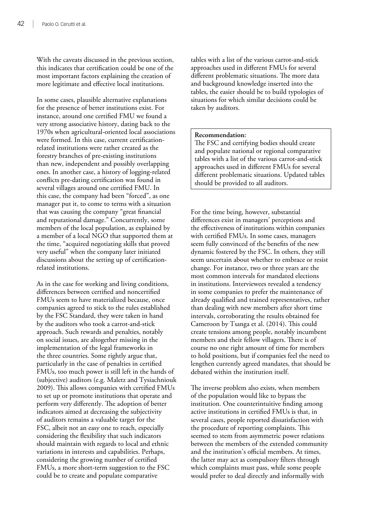With the caveats discussed in the previous section, this indicates that certification could be one of the most important factors explaining the creation of more legitimate and effective local institutions.

In some cases, plausible alternative explanations for the presence of better institutions exist. For instance, around one certified FMU we found a very strong associative history, dating back to the 1970s when agricultural-oriented local associations were formed. In this case, current certificationrelated institutions were rather created as the forestry branches of pre-existing institutions than new, independent and possibly overlapping ones. In another case, a history of logging-related conflicts pre-dating certification was found in several villages around one certified FMU. In this case, the company had been "forced", as one manager put it, to come to terms with a situation that was causing the company "great financial and reputational damage." Concurrently, some members of the local population, as explained by a member of a local NGO that supported them at the time, "acquired negotiating skills that proved very useful" when the company later initiated discussions about the setting up of certificationrelated institutions.

As in the case for working and living conditions, differences between certified and noncertified FMUs seem to have materialized because, once companies agreed to stick to the rules established by the FSC Standard, they were taken in hand by the auditors who took a carrot-and-stick approach. Such rewards and penalties, notably on social issues, are altogether missing in the implementation of the legal frameworks in the three countries. Some rightly argue that, particularly in the case of penalties in certified FMUs, too much power is still left in the hands of (subjective) auditors (e.g. Maletz and Tysiachniouk 2009). This allows companies with certified FMUs to set up or promote institutions that operate and perform very differently. The adoption of better indicators aimed at decreasing the subjectivity of auditors remains a valuable target for the FSC, albeit not an easy one to reach, especially considering the flexibility that such indicators should maintain with regards to local and ethnic variations in interests and capabilities. Perhaps, considering the growing number of certified FMUs, a more short-term suggestion to the FSC could be to create and populate comparative

tables with a list of the various carrot-and-stick approaches used in different FMUs for several different problematic situations. The more data and background knowledge inserted into the tables, the easier should be to build typologies of situations for which similar decisions could be taken by auditors.

#### **Recommendation:**

The FSC and certifying bodies should create and populate national or regional comparative tables with a list of the various carrot-and-stick approaches used in different FMUs for several different problematic situations. Updated tables should be provided to all auditors.

For the time being, however, substantial differences exist in managers' perceptions and the effectiveness of institutions within companies with certified FMUs. In some cases, managers seem fully convinced of the benefits of the new dynamic fostered by the FSC. In others, they still seem uncertain about whether to embrace or resist change. For instance, two or three years are the most common intervals for mandated elections in institutions. Interviewees revealed a tendency in some companies to prefer the maintenance of already qualified and trained representatives, rather than dealing with new members after short time intervals, corroborating the results obtained for Cameroon by Tsanga et al. (2014). This could create tensions among people, notably incumbent members and their fellow villagers. There is of course no one right amount of time for members to hold positions, but if companies feel the need to lengthen currently agreed mandates, that should be debated within the institution itself.

The inverse problem also exists, when members of the population would like to bypass the institution. One counterintuitive finding among active institutions in certified FMUs is that, in several cases, people reported dissatisfaction with the procedure of reporting complaints. This seemed to stem from asymmetric power relations between the members of the extended community and the institution's official members. At times, the latter may act as compulsory filters through which complaints must pass, while some people would prefer to deal directly and informally with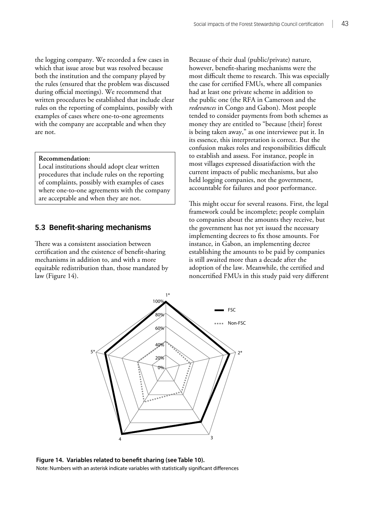the logging company. We recorded a few cases in which that issue arose but was resolved because both the institution and the company played by the rules (ensured that the problem was discussed during official meetings). We recommend that written procedures be established that include clear rules on the reporting of complaints, possibly with examples of cases where one-to-one agreements with the company are acceptable and when they are not.

#### **Recommendation:**

Local institutions should adopt clear written procedures that include rules on the reporting of complaints, possibly with examples of cases where one-to-one agreements with the company are acceptable and when they are not.

# **5.3 Benefit-sharing mechanisms**

There was a consistent association between certification and the existence of benefit-sharing mechanisms in addition to, and with a more equitable redistribution than, those mandated by law (Figure 14).

Because of their dual (public/private) nature, however, benefit-sharing mechanisms were the most difficult theme to research. This was especially the case for certified FMUs, where all companies had at least one private scheme in addition to the public one (the RFA in Cameroon and the *redevances* in Congo and Gabon). Most people tended to consider payments from both schemes as money they are entitled to "because [their] forest is being taken away," as one interviewee put it. In its essence, this interpretation is correct. But the confusion makes roles and responsibilities difficult to establish and assess. For instance, people in most villages expressed dissatisfaction with the current impacts of public mechanisms, but also held logging companies, not the government, accountable for failures and poor performance.

This might occur for several reasons. First, the legal framework could be incomplete; people complain to companies about the amounts they receive, but the government has not yet issued the necessary implementing decrees to fix those amounts. For instance, in Gabon, an implementing decree establishing the amounts to be paid by companies is still awaited more than a decade after the adoption of the law. Meanwhile, the certified and noncertified FMUs in this study paid very different



**Figure 14. Variables related to benefit sharing (see Table 10).** Note: Numbers with an asterisk indicate variables with statistically significant differences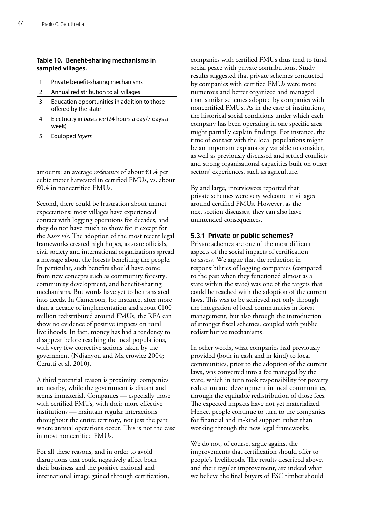# **Table 10. Benefit-sharing mechanisms in sampled villages.**

| 1 | Private benefit-sharing mechanisms                                   |
|---|----------------------------------------------------------------------|
|   | Annual redistribution to all villages                                |
| 3 | Education opportunities in addition to those<br>offered by the state |
|   | Electricity in bases vie (24 hours a day/7 days a<br>week)           |
|   | Equipped foyers                                                      |

amounts: an average *redevance* of about €1.4 per cubic meter harvested in certified FMUs, vs. about  $€0.4$  in noncertified FMUs.

Second, there could be frustration about unmet expectations: most villages have experienced contact with logging operations for decades, and they do not have much to show for it except for the *bases vie*. The adoption of the most recent legal frameworks created high hopes, as state officials, civil society and international organizations spread a message about the forests benefiting the people. In particular, such benefits should have come from new concepts such as community forestry, community development, and benefit-sharing mechanisms. But words have yet to be translated into deeds. In Cameroon, for instance, after more than a decade of implementation and about  $£100$ million redistributed around FMUs, the RFA can show no evidence of positive impacts on rural livelihoods. In fact, money has had a tendency to disappear before reaching the local populations, with very few corrective actions taken by the government (Ndjanyou and Majerowicz 2004; Cerutti et al. 2010).

A third potential reason is proximity: companies are nearby, while the government is distant and seems immaterial. Companies — especially those with certified FMUs, with their more effective institutions — maintain regular interactions throughout the entire territory, not just the part where annual operations occur. This is not the case in most noncertified FMUs.

For all these reasons, and in order to avoid disruptions that could negatively affect both their business and the positive national and international image gained through certification, companies with certified FMUs thus tend to fund social peace with private contributions. Study results suggested that private schemes conducted by companies with certified FMUs were more numerous and better organized and managed than similar schemes adopted by companies with noncertified FMUs. As in the case of institutions, the historical social conditions under which each company has been operating in one specific area might partially explain findings. For instance, the time of contact with the local populations might be an important explanatory variable to consider, as well as previously discussed and settled conflicts and strong organisational capacities built on other sectors' experiences, such as agriculture.

By and large, interviewees reported that private schemes were very welcome in villages around certified FMUs. However, as the next section discusses, they can also have unintended consequences.

# **5.3.1 Private or public schemes?**

Private schemes are one of the most difficult aspects of the social impacts of certification to assess. We argue that the reduction in responsibilities of logging companies (compared to the past when they functioned almost as a state within the state) was one of the targets that could be reached with the adoption of the current laws. This was to be achieved not only through the integration of local communities in forest management, but also through the introduction of stronger fiscal schemes, coupled with public redistributive mechanisms.

In other words, what companies had previously provided (both in cash and in kind) to local communities, prior to the adoption of the current laws, was converted into a fee managed by the state, which in turn took responsibility for poverty reduction and development in local communities, through the equitable redistribution of those fees. The expected impacts have not yet materialized. Hence, people continue to turn to the companies for financial and in-kind support rather than working through the new legal frameworks.

We do not, of course, argue against the improvements that certification should offer to people's livelihoods. The results described above, and their regular improvement, are indeed what we believe the final buyers of FSC timber should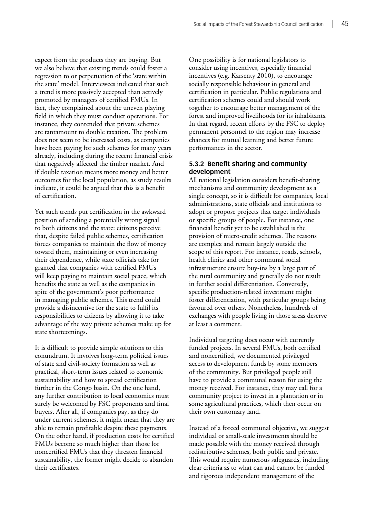expect from the products they are buying. But we also believe that existing trends could foster a regression to or perpetuation of the 'state within the state' model. Interviewees indicated that such a trend is more passively accepted than actively promoted by managers of certified FMUs. In fact, they complained about the uneven playing field in which they must conduct operations. For instance, they contended that private schemes are tantamount to double taxation. The problem does not seem to be increased costs, as companies have been paying for such schemes for many years already, including during the recent financial crisis that negatively affected the timber market. And if double taxation means more money and better outcomes for the local population, as study results indicate, it could be argued that this is a benefit of certification.

Yet such trends put certification in the awkward position of sending a potentially wrong signal to both citizens and the state: citizens perceive that, despite failed public schemes, certification forces companies to maintain the flow of money toward them, maintaining or even increasing their dependence, while state officials take for granted that companies with certified FMUs will keep paying to maintain social peace, which benefits the state as well as the companies in spite of the government's poor performance in managing public schemes. This trend could provide a disincentive for the state to fulfil its responsibilities to citizens by allowing it to take advantage of the way private schemes make up for state shortcomings.

It is difficult to provide simple solutions to this conundrum. It involves long-term political issues of state and civil-society formation as well as practical, short-term issues related to economic sustainability and how to spread certification further in the Congo basin. On the one hand, any further contribution to local economies must surely be welcomed by FSC proponents and final buyers. After all, if companies pay, as they do under current schemes, it might mean that they are able to remain profitable despite these payments. On the other hand, if production costs for certified FMUs become so much higher than those for noncertified FMUs that they threaten financial sustainability, the former might decide to abandon their certificates.

One possibility is for national legislators to consider using incentives, especially financial incentives (e.g. Karsenty 2010), to encourage socially responsible behaviour in general and certification in particular. Public regulations and certification schemes could and should work together to encourage better management of the forest and improved livelihoods for its inhabitants. In that regard, recent efforts by the FSC to deploy permanent personnel to the region may increase chances for mutual learning and better future performances in the sector.

# **5.3.2 Benefit sharing and community development**

All national legislation considers benefit-sharing mechanisms and community development as a single concept, so it is difficult for companies, local administrations, state officials and institutions to adopt or propose projects that target individuals or specific groups of people. For instance, one financial benefit yet to be established is the provision of micro-credit schemes. The reasons are complex and remain largely outside the scope of this report. For instance, roads, schools, health clinics and other communal social infrastructure ensure buy-ins by a large part of the rural community and generally do not result in further social differentiation. Conversely, specific production-related investment might foster differentiation, with particular groups being favoured over others. Nonetheless, hundreds of exchanges with people living in those areas deserve at least a comment.

Individual targeting does occur with currently funded projects. In several FMUs, both certified and noncertified, we documented privileged access to development funds by some members of the community. But privileged people still have to provide a communal reason for using the money received. For instance, they may call for a community project to invest in a plantation or in some agricultural practices, which then occur on their own customary land.

Instead of a forced communal objective, we suggest individual or small-scale investments should be made possible with the money received through redistributive schemes, both public and private. This would require numerous safeguards, including clear criteria as to what can and cannot be funded and rigorous independent management of the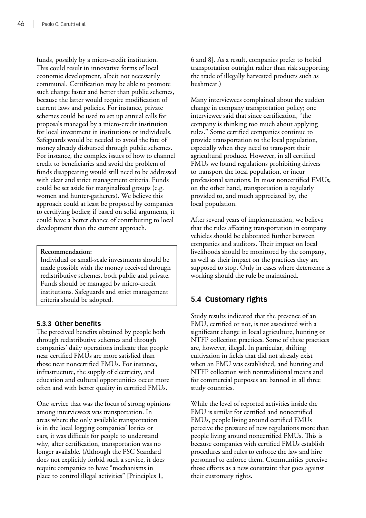funds, possibly by a micro-credit institution. This could result in innovative forms of local economic development, albeit not necessarily communal. Certification may be able to promote such change faster and better than public schemes, because the latter would require modification of current laws and policies. For instance, private schemes could be used to set up annual calls for proposals managed by a micro-credit institution for local investment in institutions or individuals. Safeguards would be needed to avoid the fate of money already disbursed through public schemes. For instance, the complex issues of how to channel credit to beneficiaries and avoid the problem of funds disappearing would still need to be addressed with clear and strict management criteria. Funds could be set aside for marginalized groups (e.g. women and hunter-gatherers). We believe this approach could at least be proposed by companies to certifying bodies; if based on solid arguments, it could have a better chance of contributing to local development than the current approach.

# **Recommendation:**

Individual or small-scale investments should be made possible with the money received through redistributive schemes, both public and private. Funds should be managed by micro-credit institutions. Safeguards and strict management criteria should be adopted.

# **5.3.3 Other benefits**

The perceived benefits obtained by people both through redistributive schemes and through companies' daily operations indicate that people near certified FMUs are more satisfied than those near noncertified FMUs. For instance, infrastructure, the supply of electricity, and education and cultural opportunities occur more often and with better quality in certified FMUs.

One service that was the focus of strong opinions among interviewees was transportation. In areas where the only available transportation is in the local logging companies' lorries or cars, it was difficult for people to understand why, after certification, transportation was no longer available. (Although the FSC Standard does not explicitly forbid such a service, it does require companies to have "mechanisms in place to control illegal activities" [Principles 1,

6 and 8]. As a result, companies prefer to forbid transportation outright rather than risk supporting the trade of illegally harvested products such as bushmeat.)

Many interviewees complained about the sudden change in company transportation policy; one interviewee said that since certification, "the company is thinking too much about applying rules." Some certified companies continue to provide transportation to the local population, especially when they need to transport their agricultural produce. However, in all certified FMUs we found regulations prohibiting drivers to transport the local population, or incur professional sanctions. In most noncertified FMUs, on the other hand, transportation is regularly provided to, and much appreciated by, the local population.

After several years of implementation, we believe that the rules affecting transportation in company vehicles should be elaborated further between companies and auditors. Their impact on local livelihoods should be monitored by the company, as well as their impact on the practices they are supposed to stop. Only in cases where deterrence is working should the rule be maintained.

# **5.4 Customary rights**

Study results indicated that the presence of an FMU, certified or not, is not associated with a significant change in local agriculture, hunting or NTFP collection practices. Some of these practices are, however, illegal. In particular, shifting cultivation in fields that did not already exist when an FMU was established, and hunting and NTFP collection with nontraditional means and for commercial purposes are banned in all three study countries.

While the level of reported activities inside the FMU is similar for certified and noncertified FMUs, people living around certified FMUs perceive the pressure of new regulations more than people living around noncertified FMUs. This is because companies with certified FMUs establish procedures and rules to enforce the law and hire personnel to enforce them. Communities perceive those efforts as a new constraint that goes against their customary rights.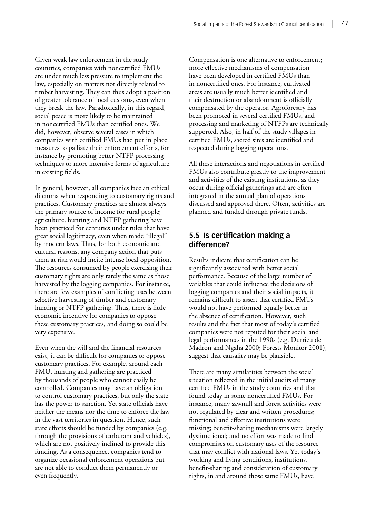Given weak law enforcement in the study countries, companies with noncertified FMUs are under much less pressure to implement the law, especially on matters not directly related to timber harvesting. They can thus adopt a position of greater tolerance of local customs, even when they break the law. Paradoxically, in this regard, social peace is more likely to be maintained in noncertified FMUs than certified ones. We did, however, observe several cases in which companies with certified FMUs had put in place measures to palliate their enforcement efforts, for instance by promoting better NTFP processing techniques or more intensive forms of agriculture in existing fields.

In general, however, all companies face an ethical dilemma when responding to customary rights and practices. Customary practices are almost always the primary source of income for rural people; agriculture, hunting and NTFP gathering have been practiced for centuries under rules that have great social legitimacy, even when made "illegal" by modern laws. Thus, for both economic and cultural reasons, any company action that puts them at risk would incite intense local opposition. The resources consumed by people exercising their customary rights are only rarely the same as those harvested by the logging companies. For instance, there are few examples of conflicting uses between selective harvesting of timber and customary hunting or NTFP gathering. Thus, there is little economic incentive for companies to oppose these customary practices, and doing so could be very expensive.

Even when the will and the financial resources exist, it can be difficult for companies to oppose customary practices. For example, around each FMU, hunting and gathering are practiced by thousands of people who cannot easily be controlled. Companies may have an obligation to control customary practices, but only the state has the power to sanction. Yet state officials have neither the means nor the time to enforce the law in the vast territories in question. Hence, such state efforts should be funded by companies (e.g. through the provisions of carburant and vehicles), which are not positively inclined to provide this funding. As a consequence, companies tend to organize occasional enforcement operations but are not able to conduct them permanently or even frequently.

Compensation is one alternative to enforcement; more effective mechanisms of compensation have been developed in certified FMUs than in noncertified ones. For instance, cultivated areas are usually much better identified and their destruction or abandonment is officially compensated by the operator. Agroforestry has been promoted in several certified FMUs, and processing and marketing of NTFPs are technically supported. Also, in half of the study villages in certified FMUs, sacred sites are identified and respected during logging operations.

All these interactions and negotiations in certified FMUs also contribute greatly to the improvement and activities of the existing institutions, as they occur during official gatherings and are often integrated in the annual plan of operations discussed and approved there. Often, activities are planned and funded through private funds.

# **5.5 Is certification making a difference?**

Results indicate that certification can be significantly associated with better social performance. Because of the large number of variables that could influence the decisions of logging companies and their social impacts, it remains difficult to assert that certified FMUs would not have performed equally better in the absence of certification. However, such results and the fact that most of today's certified companies were not reputed for their social and legal performances in the 1990s (e.g. Durrieu de Madron and Ngaha 2000; Forests Monitor 2001), suggest that causality may be plausible.

There are many similarities between the social situation reflected in the initial audits of many certified FMUs in the study countries and that found today in some noncertified FMUs. For instance, many sawmill and forest activities were not regulated by clear and written procedures; functional and effective institutions were missing; benefit-sharing mechanisms were largely dysfunctional; and no effort was made to find compromises on customary uses of the resource that may conflict with national laws. Yet today's working and living conditions, institutions, benefit-sharing and consideration of customary rights, in and around those same FMUs, have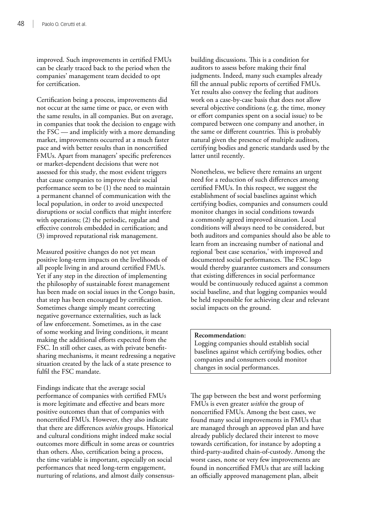improved. Such improvements in certified FMUs can be clearly traced back to the period when the companies' management team decided to opt for certification.

Certification being a process, improvements did not occur at the same time or pace, or even with the same results, in all companies. But on average, in companies that took the decision to engage with the FSC — and implicitly with a more demanding market, improvements occurred at a much faster pace and with better results than in noncertified FMUs. Apart from managers' specific preferences or market-dependent decisions that were not assessed for this study, the most evident triggers that cause companies to improve their social performance seem to be (1) the need to maintain a permanent channel of communication with the local population, in order to avoid unexpected disruptions or social conflicts that might interfere with operations; (2) the periodic, regular and effective controls embedded in certification; and (3) improved reputational risk management.

Measured positive changes do not yet mean positive long-term impacts on the livelihoods of all people living in and around certified FMUs. Yet if any step in the direction of implementing the philosophy of sustainable forest management has been made on social issues in the Congo basin, that step has been encouraged by certification. Sometimes change simply meant correcting negative governance externalities, such as lack of law enforcement. Sometimes, as in the case of some working and living conditions, it meant making the additional efforts expected from the FSC. In still other cases, as with private benefitsharing mechanisms, it meant redressing a negative situation created by the lack of a state presence to fulfil the FSC mandate.

Findings indicate that the average social performance of companies with certified FMUs is more legitimate and effective and bears more positive outcomes than that of companies with noncertified FMUs. However, they also indicate that there are differences *within* groups. Historical and cultural conditions might indeed make social outcomes more difficult in some areas or countries than others. Also, certification being a process, the time variable is important, especially on social performances that need long-term engagement, nurturing of relations, and almost daily consensusbuilding discussions. This is a condition for auditors to assess before making their final judgments. Indeed, many such examples already fill the annual public reports of certified FMUs. Yet results also convey the feeling that auditors work on a case-by-case basis that does not allow several objective conditions (e.g. the time, money or effort companies spent on a social issue) to be compared between one company and another, in the same or different countries. This is probably natural given the presence of multiple auditors, certifying bodies and generic standards used by the latter until recently.

Nonetheless, we believe there remains an urgent need for a reduction of such differences among certified FMUs. In this respect, we suggest the establishment of social baselines against which certifying bodies, companies and consumers could monitor changes in social conditions towards a commonly agreed improved situation. Local conditions will always need to be considered, but both auditors and companies should also be able to learn from an increasing number of national and regional 'best case scenarios,' with improved and documented social performances. The FSC logo would thereby guarantee customers and consumers that existing differences in social performance would be continuously reduced against a common social baseline, and that logging companies would be held responsible for achieving clear and relevant social impacts on the ground.

#### **Recommendation:**

Logging companies should establish social baselines against which certifying bodies, other companies and consumers could monitor changes in social performances.

The gap between the best and worst performing FMUs is even greater *within* the group of noncertified FMUs. Among the best cases, we found many social improvements in FMUs that are managed through an approved plan and have already publicly declared their interest to move towards certification, for instance by adopting a third-party-audited chain-of-custody. Among the worst cases, none or very few improvements are found in noncertified FMUs that are still lacking an officially approved management plan, albeit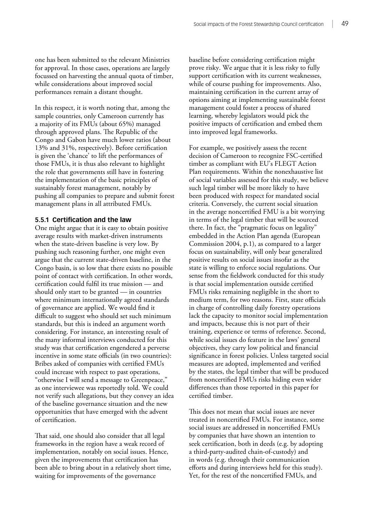one has been submitted to the relevant Ministries for approval. In those cases, operations are largely focussed on harvesting the annual quota of timber, while considerations about improved social performances remain a distant thought.

In this respect, it is worth noting that, among the sample countries, only Cameroon currently has a majority of its FMUs (about 65%) managed through approved plans. The Republic of the Congo and Gabon have much lower ratios (about 13% and 31%, respectively). Before certification is given the 'chance' to lift the performances of those FMUs, it is thus also relevant to highlight the role that governments still have in fostering the implementation of the basic principles of sustainably forest management, notably by pushing all companies to prepare and submit forest management plans in all attributed FMUs.

#### **5.5.1 Certification and the law**

One might argue that it is easy to obtain positive average results with market-driven instruments when the state-driven baseline is very low. By pushing such reasoning further, one might even argue that the current state-driven baseline, in the Congo basin, is so low that there exists no possible point of contact with certification. In other words, certification could fulfil its true mission — and should only start to be granted — in countries where minimum internationally agreed standards of governance are applied. We would find it difficult to suggest who should set such minimum standards, but this is indeed an argument worth considering. For instance, an interesting result of the many informal interviews conducted for this study was that certification engendered a perverse incentive in some state officials (in two countries): Bribes asked of companies with certified FMUs could increase with respect to past operations, "otherwise I will send a message to Greenpeace," as one interviewee was reportedly told. We could not verify such allegations, but they convey an idea of the baseline governance situation and the new opportunities that have emerged with the advent of certification.

That said, one should also consider that all legal frameworks in the region have a weak record of implementation, notably on social issues. Hence, given the improvements that certification has been able to bring about in a relatively short time, waiting for improvements of the governance

baseline before considering certification might prove risky. We argue that it is less risky to fully support certification with its current weaknesses, while of course pushing for improvements. Also, maintaining certification in the current array of options aiming at implementing sustainable forest management could foster a process of shared learning, whereby legislators would pick the positive impacts of certification and embed them into improved legal frameworks.

For example, we positively assess the recent decision of Cameroon to recognize FSC-certified timber as compliant with EU's FLEGT Action Plan requirements. Within the nonexhaustive list of social variables assessed for this study, we believe such legal timber will be more likely to have been produced with respect for mandated social criteria. Conversely, the current social situation in the average noncertified FMU is a bit worrying in terms of the legal timber that will be sourced there. In fact, the "pragmatic focus on legality" embedded in the Action Plan agenda (European Commission 2004, p.1), as compared to a larger focus on sustainability, will only bear generalized positive results on social issues insofar as the state is willing to enforce social regulations. Our sense from the fieldwork conducted for this study is that social implementation outside certified FMUs risks remaining negligible in the short to medium term, for two reasons. First, state officials in charge of controlling daily forestry operations lack the capacity to monitor social implementation and impacts, because this is not part of their training, experience or terms of reference. Second, while social issues do feature in the laws' general objectives, they carry low political and financial significance in forest policies. Unless targeted social measures are adopted, implemented and verified by the states, the legal timber that will be produced from noncertified FMUs risks hiding even wider differences than those reported in this paper for certified timber.

This does not mean that social issues are never treated in noncertified FMUs. For instance, some social issues are addressed in noncertified FMUs by companies that have shown an intention to seek certification, both in deeds (e.g. by adopting a third-party-audited chain-of-custody) and in words (e.g. through their communication efforts and during interviews held for this study). Yet, for the rest of the noncertified FMUs, and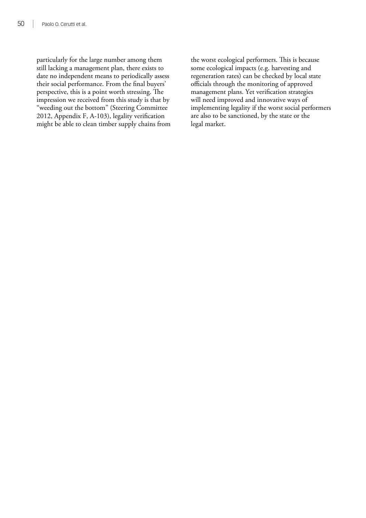particularly for the large number among them still lacking a management plan, there exists to date no independent means to periodically assess their social performance. From the final buyers' perspective, this is a point worth stressing. The impression we received from this study is that by "weeding out the bottom" (Steering Committee 2012, Appendix F, A-103), legality verification might be able to clean timber supply chains from

the worst ecological performers. This is because some ecological impacts (e.g. harvesting and regeneration rates) can be checked by local state officials through the monitoring of approved management plans. Yet verification strategies will need improved and innovative ways of implementing legality if the worst social performers are also to be sanctioned, by the state or the legal market.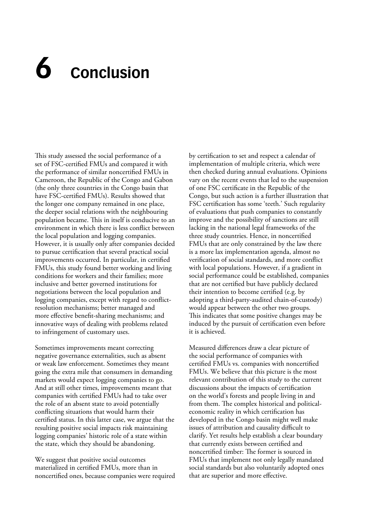# **6 Conclusion**

This study assessed the social performance of a set of FSC-certified FMUs and compared it with the performance of similar noncertified FMUs in Cameroon, the Republic of the Congo and Gabon (the only three countries in the Congo basin that have FSC-certified FMUs). Results showed that the longer one company remained in one place, the deeper social relations with the neighbouring population became. This in itself is conducive to an environment in which there is less conflict between the local population and logging companies. However, it is usually only after companies decided to pursue certification that several practical social improvements occurred. In particular, in certified FMUs, this study found better working and living conditions for workers and their families; more inclusive and better governed institutions for negotiations between the local population and logging companies, except with regard to conflictresolution mechanisms; better managed and more effective benefit-sharing mechanisms; and innovative ways of dealing with problems related to infringement of customary uses.

Sometimes improvements meant correcting negative governance externalities, such as absent or weak law enforcement. Sometimes they meant going the extra mile that consumers in demanding markets would expect logging companies to go. And at still other times, improvements meant that companies with certified FMUs had to take over the role of an absent state to avoid potentially conflicting situations that would harm their certified status. In this latter case, we argue that the resulting positive social impacts risk maintaining logging companies' historic role of a state within the state, which they should be abandoning.

We suggest that positive social outcomes materialized in certified FMUs, more than in noncertified ones, because companies were required by certification to set and respect a calendar of implementation of multiple criteria, which were then checked during annual evaluations. Opinions vary on the recent events that led to the suspension of one FSC certificate in the Republic of the Congo, but such action is a further illustration that FSC certification has some 'teeth.' Such regularity of evaluations that push companies to constantly improve and the possibility of sanctions are still lacking in the national legal frameworks of the three study countries. Hence, in noncertified FMUs that are only constrained by the law there is a more lax implementation agenda, almost no verification of social standards, and more conflict with local populations. However, if a gradient in social performance could be established, companies that are not certified but have publicly declared their intention to become certified (e.g. by adopting a third-party-audited chain-of-custody) would appear between the other two groups. This indicates that some positive changes may be induced by the pursuit of certification even before it is achieved.

Measured differences draw a clear picture of the social performance of companies with certified FMUs vs. companies with noncertified FMUs. We believe that this picture is the most relevant contribution of this study to the current discussions about the impacts of certification on the world's forests and people living in and from them. The complex historical and politicaleconomic reality in which certification has developed in the Congo basin might well make issues of attribution and causality difficult to clarify. Yet results help establish a clear boundary that currently exists between certified and noncertified timber: The former is sourced in FMUs that implement not only legally mandated social standards but also voluntarily adopted ones that are superior and more effective.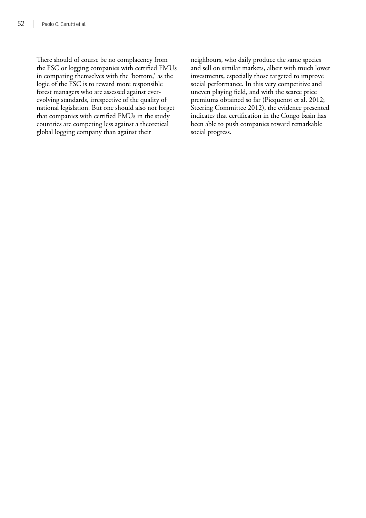There should of course be no complacency from the FSC or logging companies with certified FMUs in comparing themselves with the 'bottom,' as the logic of the FSC is to reward more responsible forest managers who are assessed against everevolving standards, irrespective of the quality of national legislation. But one should also not forget that companies with certified FMUs in the study countries are competing less against a theoretical global logging company than against their

neighbours, who daily produce the same species and sell on similar markets, albeit with much lower investments, especially those targeted to improve social performance. In this very competitive and uneven playing field, and with the scarce price premiums obtained so far (Picquenot et al. 2012; Steering Committee 2012), the evidence presented indicates that certification in the Congo basin has been able to push companies toward remarkable social progress.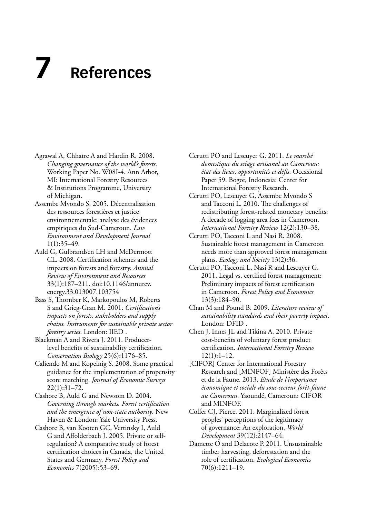# **7 References**

- Agrawal A, Chhatre A and Hardin R. 2008. *Changing governance of the world's forests*. Working Paper No. W08I-4. Ann Arbor, MI: International Forestry Resources & Institutions Programme, University of Michigan.
- Assembe Mvondo S. 2005. Décentralisation des ressources forestières et justice environnementale: analyse des évidences empiriques du Sud-Cameroun. *Law Environment and Development Journal* 1(1):35–49.
- Auld G, Gulbrandsen LH and McDermott CL. 2008. Certification schemes and the impacts on forests and forestry. *Annual Review of Environment and Resources* 33(1):187–211. doi:10.1146/annurev. energy.33.013007.103754
- Bass S, Thornber K, Markopoulos M, Roberts S and Grieg-Gran M. 2001. *Certification's impacts on forests, stakeholders and supply chains. Instruments for sustainable private sector forestry series*. London: IIED .
- Blackman A and Rivera J. 2011. Producerlevel benefits of sustainability certification. *Conservation Biology* 25(6):1176–85.
- Caliendo M and Kopeinig S. 2008. Some practical guidance for the implementation of propensity score matching. *Journal of Economic Surveys* 22(1):31–72.
- Cashore B, Auld G and Newsom D. 2004. *Governing through markets. Forest certification and the emergence of non-state authority*. New Haven & London: Yale University Press.
- Cashore B, van Kooten GC, Vertinsky I, Auld G and Affolderbach J. 2005. Private or selfregulation? A comparative study of forest certification choices in Canada, the United States and Germany. *Forest Policy and Economics* 7(2005):53–69.
- Cerutti PO and Lescuyer G. 2011. *Le marché domestique du sciage artisanal au Cameroun: état des lieux, opportunités et défis*. Occasional Paper 59. Bogor, Indonesia: Center for International Forestry Research.
- Cerutti PO, Lescuyer G, Assembe Mvondo S and Tacconi L. 2010. The challenges of redistributing forest-related monetary benefits: A decade of logging area fees in Cameroon. *International Forestry Review* 12(2):130–38.
- Cerutti PO, Tacconi L and Nasi R. 2008. Sustainable forest management in Cameroon needs more than approved forest management plans. *Ecology and Society* 13(2):36.
- Cerutti PO, Tacconi L, Nasi R and Lescuyer G. 2011. Legal vs. certified forest management: Preliminary impacts of forest certification in Cameroon. *Forest Policy and Economics* 13(3):184–90.
- Chan M and Pound B. 2009. *Literature review of sustainability standards and their poverty impact*. London: DFID .
- Chen J, Innes JL and Tikina A. 2010. Private cost-benefits of voluntary forest product certification. *International Forestry Review*  $12(1):1-12.$
- [CIFOR] Center for International Forestry Research and [MINFOF] Ministère des Forêts et de la Faune. 2013. *Etude de l'importance économique et sociale du sous-secteur forêt-faune au Cameroun*. Yaoundé, Cameroun: CIFOR and MINFOF.
- Colfer CJ, Pierce. 2011. Marginalized forest peoples' perceptions of the legitimacy of governance: An exploration. *World Development* 39(12):2147–64.
- Damette O and Delacote P. 2011. Unsustainable timber harvesting, deforestation and the role of certification. *Ecological Economics* 70(6):1211–19.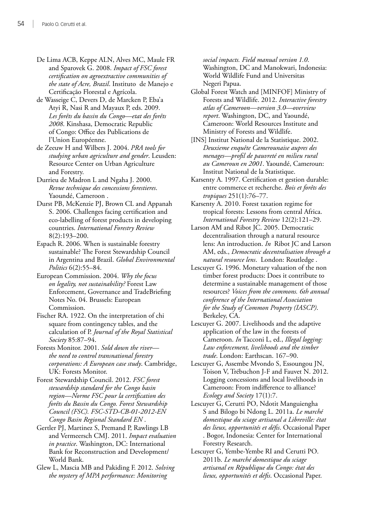- De Lima ACB, Keppe ALN, Alves MC, Maule FR and Sparovek G. 2008. *Impact of FSC forest certification on agroextractive communities of the state of Acre, Brazil*. Instituto de Manejo e Certificação Florestal e Agrícola.
- de Wasseige C, Devers D, de Marcken P, Eba'a Atyi R, Nasi R and Mayaux P, eds. 2009. *Les forêts du bassin du Congo—etat des forêts 2008*. Kinshasa, Democratic Republic of Congo: Office des Publications de l'Union Européenne.
- de Zeeuw H and Wilbers J. 2004. *PRA tools for studying urban agriculture and gender*. Leusden: Resource Center on Urban Agriculture and Forestry.
- Durrieu de Madron L and Ngaha J. 2000. *Revue technique des concessions forestieres*. Yaoundé, Cameroon .
- Durst PB, McKenzie PJ, Brown CL and Appanah S. 2006. Challenges facing certification and eco-labelling of forest products in developing countries. *International Forestry Review* 8(2):193–200.
- Espach R. 2006. When is sustainable forestry sustainable? The Forest Stewardship Council in Argentina and Brazil. *Global Environmental Politics* 6(2):55–84.
- European Commission. 2004. *Why the focus on legality, not sustainability?* Forest Law Enforcement, Governance and TradeBriefing Notes No. 04. Brussels: European Commission.
- Fischer RA. 1922. On the interpretation of chi square from contingency tables, and the calculation of P. *Journal of the Royal Statistical Society* 85:87–94.
- Forests Monitor. 2001. *Sold down the river the need to control transnational forestry corporations: A European case study*. Cambridge, UK: Forests Monitor.
- Forest Stewardship Council. 2012. *FSC forest stewardship standard for the Congo basin region—Norme FSC pour la certification des forêts du Bassin du Congo. Forest Stewardship Council (FSC). FSC-STD-CB-01-2012-EN Congo Basin Regional Standard EN* .
- Gertler PJ, Martinez S, Premand P, Rawlings LB and Vermeersch CMJ. 2011. *Impact evaluation in practice*. Washington, DC: International Bank for Reconstruction and Development/ World Bank.
- Glew L, Mascia MB and Pakiding F. 2012. *Solving the mystery of MPA performance: Monitoring*

*social impacts. Field manual version 1.0*. Washington, DC and Manokwari, Indonesia: World Wildlife Fund and Universitas Negeri Papua.

- Global Forest Watch and [MINFOF] Ministry of Forests and Wildlife. 2012. *Interactive forestry atlas of Cameroon—version 3.0—overview report*. Washington, DC, and Yaoundé, Cameroon: World Resources Institute and Ministry of Forests and Wildlife.
- [INS] Institut National de la Statistique. 2002. *Deuxieme enquête Camerounaise aupres des menages—profil de pauvreté en milieu rural au Cameroun en 2001*. Yaoundé, Cameroun: Institut National de la Statistique.
- Karsenty A. 1997. Certification et gestion durable: entre commerce et recherche. *Bois et forêts des tropiques* 251(1):76–77.
- Karsenty A. 2010. Forest taxation regime for tropical forests: Lessons from central Africa. *International Forestry Review* 12(2):121–29.
- Larson AM and Ribot JC. 2005. Democratic decentralisation through a natural resource lens: An introduction. *In* Ribot JC and Larson AM, eds., *Democratic decentralisation through a natural resource lens*. London: Routledge .
- Lescuyer G. 1996. Monetary valuation of the non timber forest products: Does it contribute to determine a sustainable management of those resources? *Voices from the commons. 6th annual conference of the International Association for the Study of Common Property (IASCP)*. Berkeley, CA.
- Lescuyer G. 2007. Livelihoods and the adaptive application of the law in the forests of Cameroon. *In* Tacconi L, ed., *Illegal logging: Law enforcement, livelihoods and the timber trade*. London: Earthscan. 167–90.
- Lescuyer G, Assembe Mvondo S, Essoungou JN, Toison V, Trébuchon J-F and Fauvet N. 2012. Logging concessions and local livelihoods in Cameroon: From indifference to alliance? *Ecology and Society* 17(1):7.
- Lescuyer G, Cerutti PO, Ndotit Manguiengha S and Bilogo bi Ndong L. 2011a. *Le marché domestique du sciage artisanal a Libreville: état des lieux, opportunités et défis*. Occasional Paper . Bogor, Indonesia: Center for International Forestry Research.
- Lescuyer G, Yembe-Yembe RI and Cerutti PO. 2011b. *Le marché domestique du sciage artisanal en République du Congo: état des lieux, opportunités et défis*. Occasional Paper.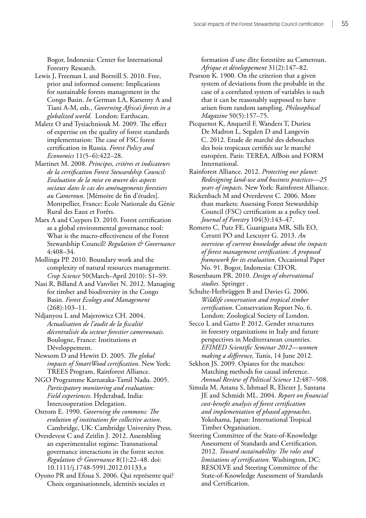Bogor, Indonesia: Center for International Forestry Research.

- Lewis J, Freeman L and Borreill S. 2010. Free, prior and informed consent: Implications for sustainable forests management in the Congo Basin. *In* German LA, Karsenty A and Tiani A-M, eds., *Governing Africa's forests in a globalized world*. London: Earthscan.
- Maletz O and Tysiachniouk M. 2009. The effect of expertise on the quality of forest standards implementation: The case of FSC forest certification in Russia. *Forest Policy and Economics* 11(5–6):422–28.
- Martinet M. 2008. *Principes, critères et indicateurs de la certification Forest Stewardship Council: Evaluation de la mise en œuvre des aspects sociaux dans le cas des aménagements forestiers au Cameroun*. [Mémoire de fin d'études]. Montpellier, France: Ecole Nationale du Génie Rural des Eaux et Forêts.
- Marx A and Cuypers D. 2010. Forest certification as a global environmental governance tool: What is the macro-effectiveness of the Forest Stewardship Council? *Regulation & Governance*  4:408–34.
- Mollinga PP. 2010. Boundary work and the complexity of natural resources management. *Crop Science* 50(March–April 2010): S1–S9.
- Nasi R, Billand A and Vanvliet N. 2012. Managing for timber and biodiversity in the Congo Basin. *Forest Ecology and Management* (268):103–11.
- Ndjanyou L and Majerowicz CH. 2004. *Actualisation de l'audit de la fiscalité décentralisée du secteur forestier camerounais*. Boulogne, France: Institutions et Développement.
- Newsom D and Hewitt D. 2005. *The global impacts of SmartWood certification*. New York: TREES Program, Rainforest Alliance.
- NGO Programme Karnataka-Tamil Nadu. 2005. *Participatory monitoring and evaluation: Field experiences*. Hyderabad, India: Intercooperation Delegation.
- Ostrom E. 1990. *Governing the commons: The evolution of institutions for collective action*. Cambridge, UK: Cambridge University Press.
- Overdevest C and Zeitlin J. 2012. Assembling an experimentalist regime: Transnational governance interactions in the forest sector. *Regulation & Governance* 8(1):22–48. doi: 10.1111/j.1748-5991.2012.01133.x
- Oyono PR and Efoua S. 2006. Qui représente qui? Choix organisationnels, identités sociales et

formation d'une élite forestière au Cameroun. *Afrique et développement* 31(2):147–82.

- Pearson K. 1900. On the criterion that a given system of deviations from the probable in the case of a correlated system of variables is such that it can be reasonably supposed to have arisen from random sampling. *Philosophical Magazine* 50(5):157–75.
- Picquenot K, Anquetil F, Wanders T, Durieu De Madron L, Segalen D and Langevin C. 2012. Etude de marché des debouches des bois tropicaux certifiés sur le marché européen. Paris: TEREA, AfBois and FORM International.
- Rainforest Alliance. 2012. *Protecting our planet: Redesigning land-use and business practices—25 years of impacts*. New York: Rainforest Alliance.
- Rickenbach M and Overdevest C. 2006. More than markets: Assessing Forest Stewardship Council (FSC) certification as a policy tool. *Journal of Forestry* 104(3):143–47.
- Romero C, Putz FE, Guariguata MR, Sills EO, Cerutti PO and Lescuyer G. 2013. *An overview of current knowledge about the impacts of forest management certification: A proposed framework for its evaluation*. Occasional Paper No. 91. Bogor, Indonesia: CIFOR.
- Rosenbaum PR. 2010. *Design of observational studies.* Springer .
- Schulte-Herbrüggen B and Davies G. 2006. *Wildlife conservation and tropical timber certification*. Conservation Report No. 6. London: Zoological Society of London.
- Secco L and Gatto P. 2012. Gender structures in forestry organizations in Italy and future perspectives in Mediterranean countries. *EFIMED Scientific Seminar 2012—women making a difference,* Tunis, 14 June 2012.
- Sekhon JS. 2009. Opiates for the matches: Matching methods for causal inference. *Annual Review of Political Science* 12:487–508.
- Simula M, Astana S, Ishmael R, Eliezer J, Santana JE and Schmidt ML. 2004. *Report on financial cost-benefit analysis of forest certification and implementation of phased approaches*. Yokohama, Japan: International Tropical Timber Organisation.
- Steering Committee of the State-of-Knowledge Assessment of Standards and Certification. 2012. *Toward sustainability: The roles and limitations of certification*. Washington, DC: RESOLVE and Steering Committee of the State-of-Knowledge Assessment of Standards and Certification.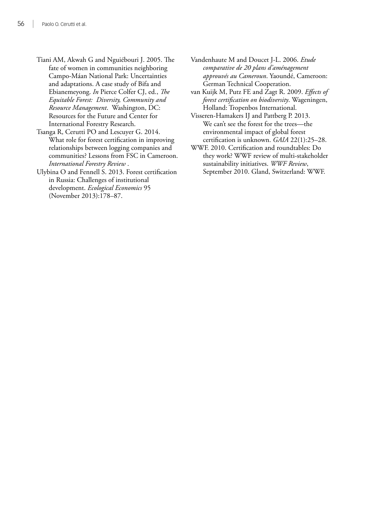- Tiani AM, Akwah G and Nguiébouri J. 2005. The fate of women in communities neighboring Campo-Máan National Park: Uncertainties and adaptations. A case study of Bifa and Ebianemeyong. *In* Pierce Colfer CJ, ed., *The Equitable Forest: Diversity, Community and Resource Management*. Washington, DC: Resources for the Future and Center for International Forestry Research.
- Tsanga R, Cerutti PO and Lescuyer G. 2014. What role for forest certification in improving relationships between logging companies and communities? Lessons from FSC in Cameroon. *International Forestry Review* .
- Ulybina O and Fennell S. 2013. Forest certification in Russia: Challenges of institutional development. *Ecological Economics* 95 (November 2013):178–87.
- Vandenhaute M and Doucet J-L. 2006. *Etude comparative de 20 plans d'aménagement approuvés au Cameroun*. Yaoundé, Cameroon: German Technical Cooperation.
- van Kuijk M, Putz FE and Zagt R. 2009. *Effects of forest certification on biodiversity*. Wageningen, Holland: Tropenbos International.
- Visseren-Hamakers IJ and Pattberg P. 2013. We can't see the forest for the trees—the environmental impact of global forest certification is unknown. *GAIA* 22(1):25–28.
- WWF. 2010. Certification and roundtables: Do they work? WWF review of multi-stakeholder sustainability initiatives. *WWF Review*, September 2010. Gland, Switzerland: WWF.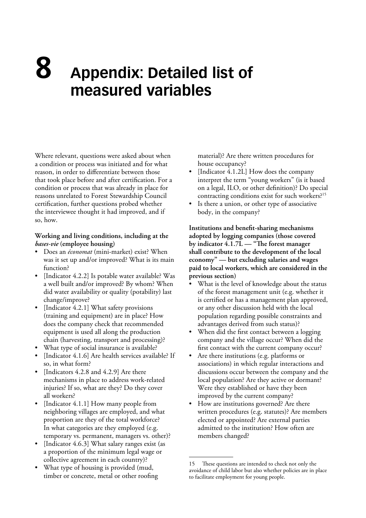# **Appendix: Detailed list of measured variables 8**

Where relevant, questions were asked about when a condition or process was initiated and for what reason, in order to differentiate between those that took place before and after certification. For a condition or process that was already in place for reasons unrelated to Forest Stewardship Council certification, further questions probed whether the interviewee thought it had improved, and if so, how.

# **Working and living conditions, including at the**  *bases-vie* **(employee housing)**

- Does an *économat* (mini-market) exist? When was it set up and/or improved? What is its main function?
- [Indicator 4.2.2] Is potable water available? Was a well built and/or improved? By whom? When did water availability or quality (potability) last change/improve?
- [Indicator 4.2.1] What safety provisions (training and equipment) are in place? How does the company check that recommended equipment is used all along the production chain (harvesting, transport and processing)?
- What type of social insurance is available?
- [Indicator 4.1.6] Are health services available? If so, in what form?
- [Indicators 4.2.8 and 4.2.9] Are there mechanisms in place to address work-related injuries? If so, what are they? Do they cover all workers?
- [Indicator 4.1.1] How many people from neighboring villages are employed, and what proportion are they of the total workforce? In what categories are they employed (e.g. temporary vs. permanent, managers vs. other)?
- [Indicator 4.6.3] What salary ranges exist (as a proportion of the minimum legal wage or collective agreement in each country)?
- What type of housing is provided (mud, timber or concrete, metal or other roofing

material)? Are there written procedures for house occupancy?

- [Indicator 4.1.2L] How does the company interpret the term "young workers" (is it based on a legal, ILO, or other definition)? Do special contracting conditions exist for such workers?15
- Is there a union, or other type of associative body, in the company?

**Institutions and benefit-sharing mechanisms adopted by logging companies (those covered by indicator 4.1.7L — "The forest manager shall contribute to the development of the local economy" — but excluding salaries and wages paid to local workers, which are considered in the previous section)**

- What is the level of knowledge about the status of the forest management unit (e.g. whether it is certified or has a management plan approved, or any other discussion held with the local population regarding possible constraints and advantages derived from such status)?
- When did the first contact between a logging company and the village occur? When did the first contact with the current company occur?
- Are there institutions (e.g. platforms or associations) in which regular interactions and discussions occur between the company and the local population? Are they active or dormant? Were they established or have they been improved by the current company?
- How are institutions governed? Are there written procedures (e.g. statutes)? Are members elected or appointed? Are external parties admitted to the institution? How often are members changed?

<sup>15</sup> These questions are intended to check not only the avoidance of child labor but also whether policies are in place to facilitate employment for young people.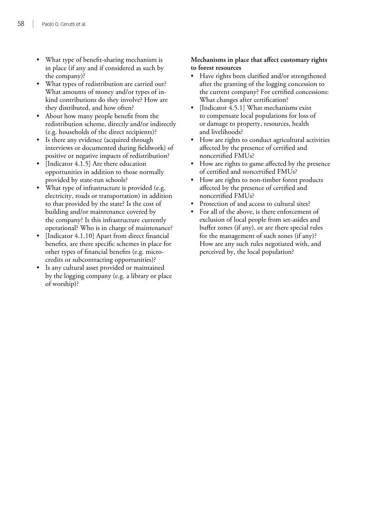- What type of benefit-sharing mechanism is in place (if any and if considered as such by the company)?
- What types of redistribution are carried out? What amounts of money and/or types of inkind contributions do they involve? How are they distributed, and how often?
- About how many people benefit from the redistribution scheme, directly and/or indirectly (e.g. households of the direct recipients)?
- Is there any evidence (acquired through interviews or documented during fieldwork) of positive or negative impacts of redistribution?
- [Indicator 4.1.5] Are there education opportunities in addition to those normally provided by state-run schools?
- What type of infrastructure is provided (e.g. electricity, roads or transportation) in addition to that provided by the state? Is the cost of building and/or maintenance covered by the company? Is this infrastructure currently operational? Who is in charge of maintenance?
- [Indicator 4.1.10] Apart from direct financial benefits, are there specific schemes in place for other types of financial benefits (e.g. microcredits or subcontracting opportunities)?
- Is any cultural asset provided or maintained by the logging company (e.g. a library or place of worship)?

# **Mechanisms in place that affect customary rights to forest resources**

- Have rights been clarified and/or strengthened after the granting of the logging concession to the current company? For certified concessions: What changes after certification?
- [Indicator 4.5.1] What mechanisms exist to compensate local populations for loss of or damage to property, resources, health and livelihoods?
- How are rights to conduct agricultural activities affected by the presence of certified and noncertified FMUs?
- How are rights to game affected by the presence of certified and noncertified FMUs?
- How are rights to non-timber forest products affected by the presence of certified and noncertified FMUs?
- Protection of and access to cultural sites?
- For all of the above, is there enforcement of exclusion of local people from set-asides and buffer zones (if any), or are there special rules for the management of such zones (if any)? How are any such rules negotiated with, and perceived by, the local population?